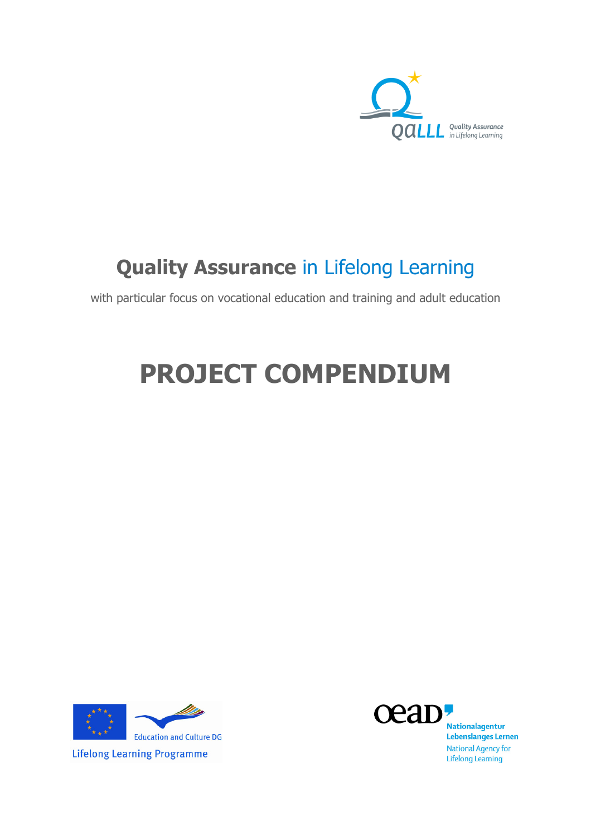

# **Quality Assurance** in Lifelong Learning

with particular focus on vocational education and training and adult education

# **PROJECT COMPENDIUM**





**Nationalagentur** Lebenslanges Lernen **National Agency for Lifelong Learning**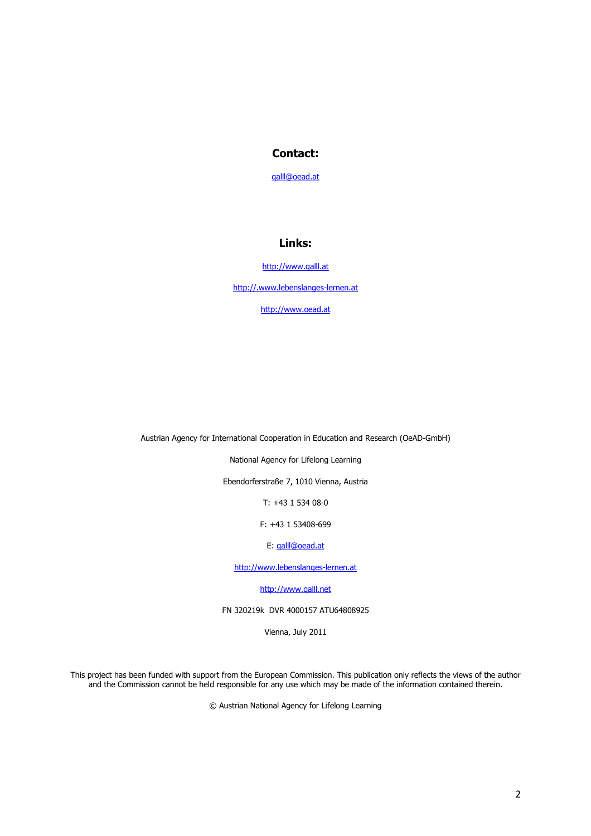#### **Contact:**

qalll@oead.at

# **Links:**

http://www.qalll.at

http://.www.lebenslanges-lernen.at

http://www.oead.at

Austrian Agency for International Cooperation in Education and Research (OeAD-GmbH)

National Agency for Lifelong Learning

Ebendorferstraße 7, 1010 Vienna, Austria

T: +43 1 534 08-0

F: +43 1 53408-699

E: qalll@oead.at

http://www.lebenslanges-lernen.at

http://www.qalll.net

FN 320219k DVR 4000157 ATU64808925

Vienna, July 2011

This project has been funded with support from the European Commission. This publication only reflects the views of the author and the Commission cannot be held responsible for any use which may be made of the information contained therein.

© Austrian National Agency for Lifelong Learning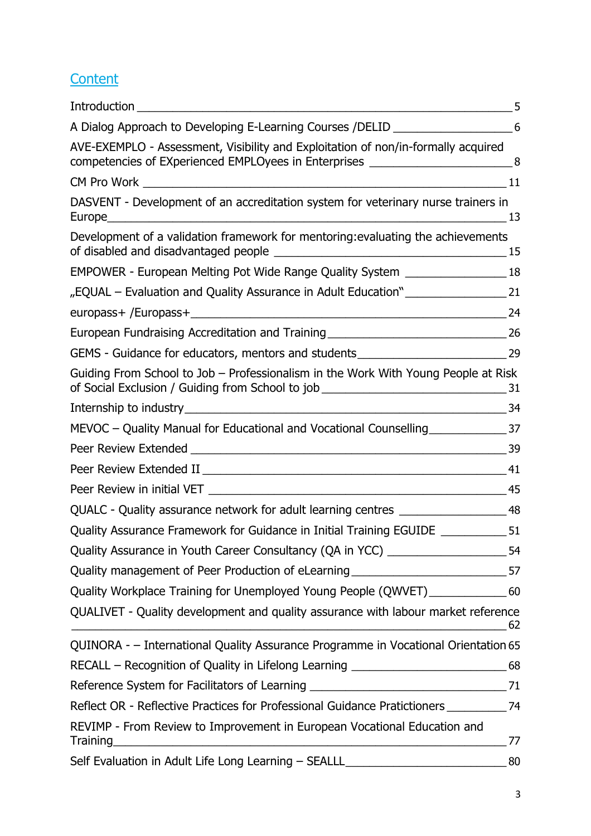# **Content**

|                                                                                                                                                                        | 5  |
|------------------------------------------------------------------------------------------------------------------------------------------------------------------------|----|
| A Dialog Approach to Developing E-Learning Courses /DELID _______________________6                                                                                     |    |
| AVE-EXEMPLO - Assessment, Visibility and Exploitation of non/in-formally acquired<br>competencies of EXperienced EMPLOyees in Enterprises ___________________________8 |    |
|                                                                                                                                                                        |    |
| DASVENT - Development of an accreditation system for veterinary nurse trainers in                                                                                      | 13 |
| Development of a validation framework for mentoring: evaluating the achievements                                                                                       |    |
| EMPOWER - European Melting Pot Wide Range Quality System ____________________18                                                                                        |    |
| "EQUAL - Evaluation and Quality Assurance in Adult Education" ___________________ 21                                                                                   |    |
|                                                                                                                                                                        |    |
|                                                                                                                                                                        |    |
| GEMS - Guidance for educators, mentors and students _________________________________29                                                                                |    |
| Guiding From School to Job - Professionalism in the Work With Young People at Risk                                                                                     |    |
|                                                                                                                                                                        |    |
| MEVOC - Quality Manual for Educational and Vocational Counselling_______________37                                                                                     |    |
|                                                                                                                                                                        |    |
|                                                                                                                                                                        |    |
|                                                                                                                                                                        |    |
| QUALC - Quality assurance network for adult learning centres ____________________ 48                                                                                   |    |
| Quality Assurance Framework for Guidance in Initial Training EGUIDE ___________51                                                                                      |    |
| Quality Assurance in Youth Career Consultancy (QA in YCC) ______________________54                                                                                     |    |
| Quality management of Peer Production of eLearning ____________________________57                                                                                      |    |
| Quality Workplace Training for Unemployed Young People (QWVET)________________60                                                                                       |    |
| QUALIVET - Quality development and quality assurance with labour market reference                                                                                      | 62 |
| QUINORA - - International Quality Assurance Programme in Vocational Orientation 65                                                                                     |    |
| RECALL - Recognition of Quality in Lifelong Learning ___________________________68                                                                                     |    |
|                                                                                                                                                                        |    |
| Reflect OR - Reflective Practices for Professional Guidance Pratictioners ____________ 74                                                                              |    |
| REVIMP - From Review to Improvement in European Vocational Education and<br><b>Training</b><br><u> 1989 - Jan Barnett, fransk politik (d. 1989)</u>                    | 77 |
| Self Evaluation in Adult Life Long Learning - SEALLL____________________________                                                                                       | 80 |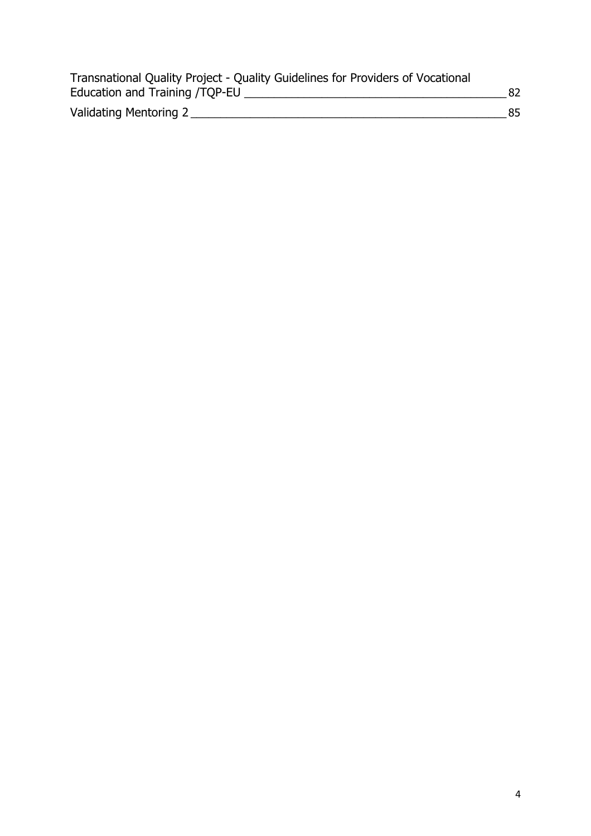| Transnational Quality Project - Quality Guidelines for Providers of Vocational |     |
|--------------------------------------------------------------------------------|-----|
| Education and Training /TQP-EU                                                 | -82 |
| Validating Mentoring 2                                                         | 85. |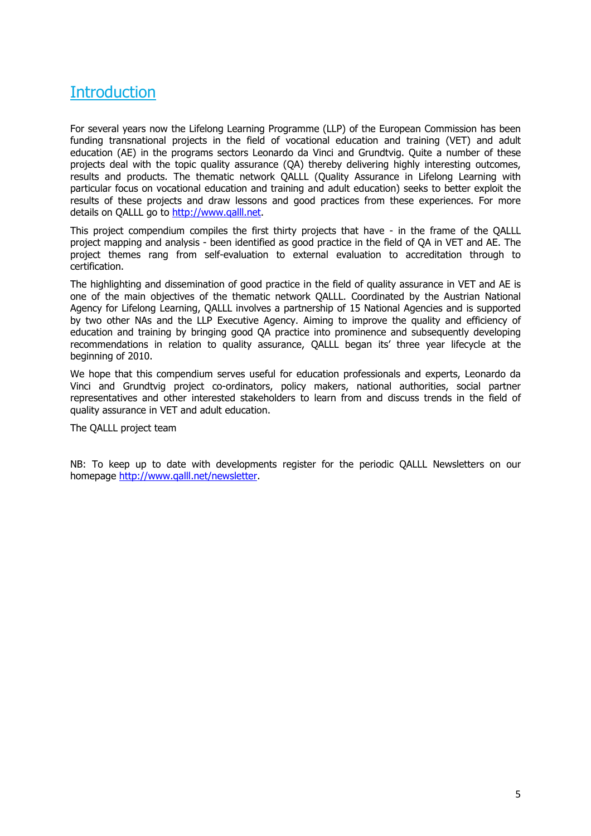# **Introduction**

For several years now the Lifelong Learning Programme (LLP) of the European Commission has been funding transnational projects in the field of vocational education and training (VET) and adult education (AE) in the programs sectors Leonardo da Vinci and Grundtvig. Quite a number of these projects deal with the topic quality assurance (QA) thereby delivering highly interesting outcomes, results and products. The thematic network QALLL (Quality Assurance in Lifelong Learning with particular focus on vocational education and training and adult education) seeks to better exploit the results of these projects and draw lessons and good practices from these experiences. For more details on QALLL go to http://www.qalll.net.

This project compendium compiles the first thirty projects that have - in the frame of the QALLL project mapping and analysis - been identified as good practice in the field of QA in VET and AE. The project themes rang from self-evaluation to external evaluation to accreditation through to certification.

The highlighting and dissemination of good practice in the field of quality assurance in VET and AE is one of the main objectives of the thematic network QALLL. Coordinated by the Austrian National Agency for Lifelong Learning, QALLL involves a partnership of 15 National Agencies and is supported by two other NAs and the LLP Executive Agency. Aiming to improve the quality and efficiency of education and training by bringing good QA practice into prominence and subsequently developing recommendations in relation to quality assurance, QALLL began its' three year lifecycle at the beginning of 2010.

We hope that this compendium serves useful for education professionals and experts, Leonardo da Vinci and Grundtvig project co-ordinators, policy makers, national authorities, social partner representatives and other interested stakeholders to learn from and discuss trends in the field of quality assurance in VET and adult education.

The QALLL project team

NB: To keep up to date with developments register for the periodic QALLL Newsletters on our homepage http://www.qalll.net/newsletter.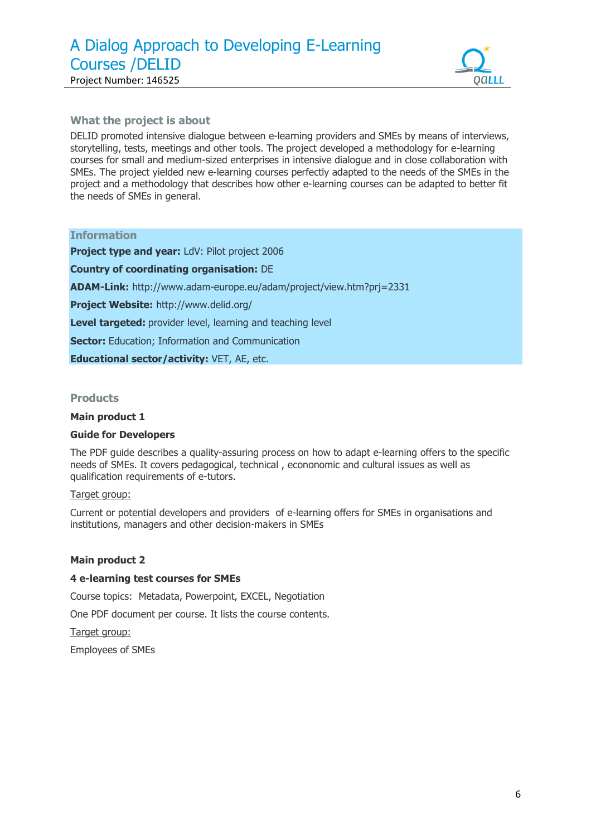# A Dialog Approach to Developing E-Learning Courses /DELID Project Number: 146525



# **What the project is about**

DELID promoted intensive dialogue between e-learning providers and SMEs by means of interviews, storytelling, tests, meetings and other tools. The project developed a methodology for e-learning courses for small and medium-sized enterprises in intensive dialogue and in close collaboration with SMEs. The project yielded new e-learning courses perfectly adapted to the needs of the SMEs in the project and a methodology that describes how other e-learning courses can be adapted to better fit the needs of SMEs in general.

**Information** 

**Project type and year: LdV: Pilot project 2006** 

**Country of coordinating organisation:** DE

**ADAM-Link:** http://www.adam-europe.eu/adam/project/view.htm?prj=2331

**Project Website:** http://www.delid.org/

**Level targeted:** provider level, learning and teaching level

**Sector:** Education; Information and Communication

**Educational sector/activity:** VET, AE, etc.

#### **Products**

#### **Main product 1**

#### **Guide for Developers**

The PDF guide describes a quality-assuring process on how to adapt e-learning offers to the specific needs of SMEs. It covers pedagogical, technical , econonomic and cultural issues as well as qualification requirements of e-tutors.

#### Target group:

Current or potential developers and providers of e-learning offers for SMEs in organisations and institutions, managers and other decision-makers in SMEs

#### **Main product 2**

#### **4 e-learning test courses for SMEs**

Course topics: Metadata, Powerpoint, EXCEL, Negotiation

One PDF document per course. It lists the course contents.

Target group:

Employees of SMEs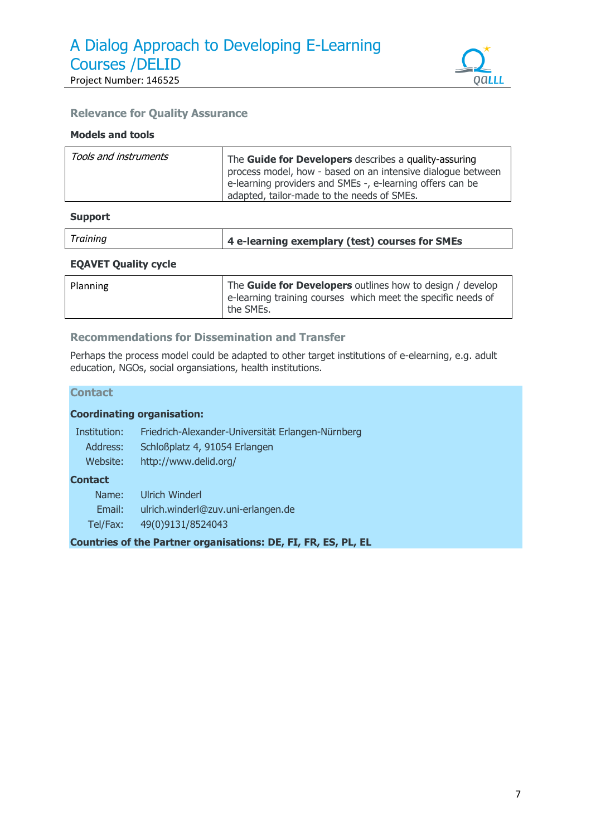

# **Relevance for Quality Assurance**

#### **Models and tools**

#### **Support**

| Training | 4 e-learning exemplary (test) courses for SMEs |
|----------|------------------------------------------------|
|----------|------------------------------------------------|

#### **EQAVET Quality cycle**

| Planning | The <b>Guide for Developers</b> outlines how to design / develop          |
|----------|---------------------------------------------------------------------------|
|          | e-learning training courses which meet the specific needs of<br>the SMEs. |

# **Recommendations for Dissemination and Transfer**

Perhaps the process model could be adapted to other target institutions of e-elearning, e.g. adult education, NGOs, social organsiations, health institutions.

#### **Contact**

# **Coordinating organisation:**

| Institution: | Friedrich-Alexander-Universität Erlangen-Nürnberg |
|--------------|---------------------------------------------------|
| Address:     | Schloßplatz 4, 91054 Erlangen                     |
| Website:     | http://www.delid.org/                             |

#### **Contact**

| Name:    | Ulrich Winderl                     |
|----------|------------------------------------|
| Email:   | ulrich.winderl@zuv.uni-erlangen.de |
| Tel/Fax: | 49(0)9131/8524043                  |

**Countries of the Partner organisations: DE, FI, FR, ES, PL, EL**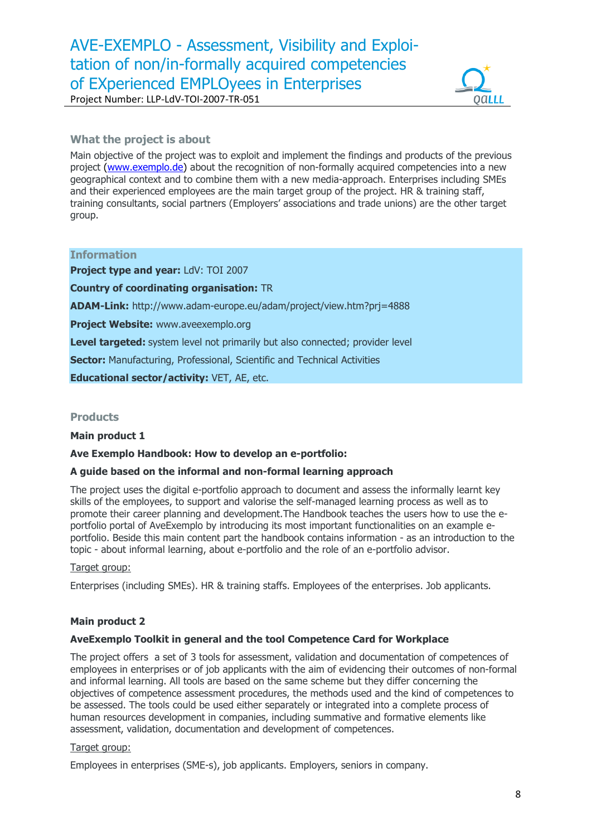# AVE-EXEMPLO - Assessment, Visibility and Exploitation of non/in-formally acquired competencies of EXperienced EMPLOyees in Enterprises





# **What the project is about**

Main objective of the project was to exploit and implement the findings and products of the previous project (www.exemplo.de) about the recognition of non-formally acquired competencies into a new geographical context and to combine them with a new media-approach. Enterprises including SMEs and their experienced employees are the main target group of the project. HR & training staff, training consultants, social partners (Employers' associations and trade unions) are the other target group.

#### **Information**

**Project type and year:** LdV: TOI 2007

**Country of coordinating organisation:** TR

**ADAM-Link:** http://www.adam-europe.eu/adam/project/view.htm?prj=4888

**Project Website:** www.aveexemplo.org

**Level targeted:** system level not primarily but also connected; provider level

**Sector:** Manufacturing, Professional, Scientific and Technical Activities

**Educational sector/activity:** VET, AE, etc.

#### **Products**

#### **Main product 1**

#### **Ave Exemplo Handbook: How to develop an e-portfolio:**

#### **A guide based on the informal and non-formal learning approach**

The project uses the digital e-portfolio approach to document and assess the informally learnt key skills of the employees, to support and valorise the self-managed learning process as well as to promote their career planning and development.The Handbook teaches the users how to use the eportfolio portal of AveExemplo by introducing its most important functionalities on an example eportfolio. Beside this main content part the handbook contains information - as an introduction to the topic - about informal learning, about e-portfolio and the role of an e-portfolio advisor.

#### Target group:

Enterprises (including SMEs). HR & training staffs. Employees of the enterprises. Job applicants.

#### **Main product 2**

#### **AveExemplo Toolkit in general and the tool Competence Card for Workplace**

The project offers a set of 3 tools for assessment, validation and documentation of competences of employees in enterprises or of job applicants with the aim of evidencing their outcomes of non-formal and informal learning. All tools are based on the same scheme but they differ concerning the objectives of competence assessment procedures, the methods used and the kind of competences to be assessed. The tools could be used either separately or integrated into a complete process of human resources development in companies, including summative and formative elements like assessment, validation, documentation and development of competences.

#### Target group:

Employees in enterprises (SME-s), job applicants. Employers, seniors in company.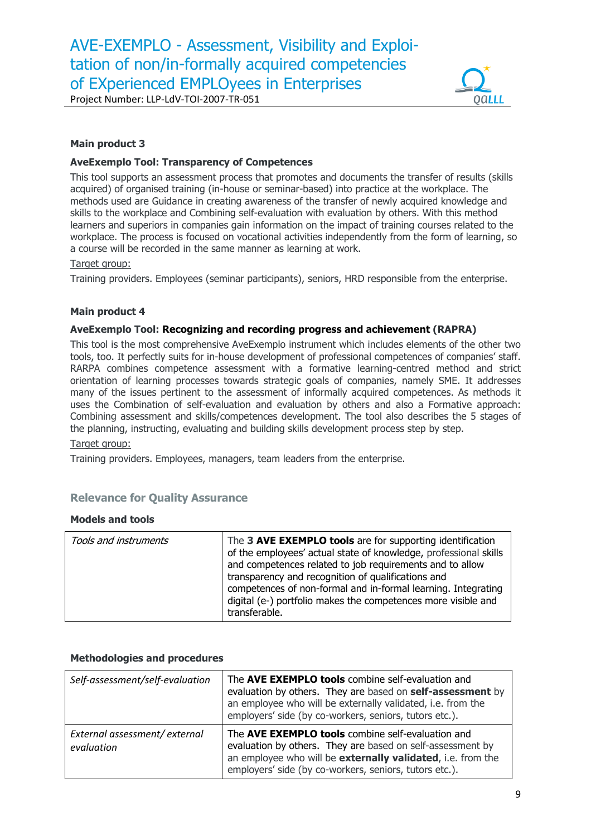Project Number: LLP-LdV-TOI-2007-TR-051



# **Main product 3**

## **AveExemplo Tool: Transparency of Competences**

This tool supports an assessment process that promotes and documents the transfer of results (skills acquired) of organised training (in-house or seminar-based) into practice at the workplace. The methods used are Guidance in creating awareness of the transfer of newly acquired knowledge and skills to the workplace and Combining self-evaluation with evaluation by others. With this method learners and superiors in companies gain information on the impact of training courses related to the workplace. The process is focused on vocational activities independently from the form of learning, so a course will be recorded in the same manner as learning at work.

#### Target group:

Training providers. Employees (seminar participants), seniors, HRD responsible from the enterprise.

#### **Main product 4**

#### **AveExemplo Tool: Recognizing and recording progress and achievement (RAPRA)**

This tool is the most comprehensive AveExemplo instrument which includes elements of the other two tools, too. It perfectly suits for in-house development of professional competences of companies' staff. RARPA combines competence assessment with a formative learning-centred method and strict orientation of learning processes towards strategic goals of companies, namely SME. It addresses many of the issues pertinent to the assessment of informally acquired competences. As methods it uses the Combination of self-evaluation and evaluation by others and also a Formative approach: Combining assessment and skills/competences development. The tool also describes the 5 stages of the planning, instructing, evaluating and building skills development process step by step.

#### Target group:

Training providers. Employees, managers, team leaders from the enterprise.

# **Relevance for Quality Assurance**

#### **Models and tools**

| Tools and instruments | The 3 AVE EXEMPLO tools are for supporting identification<br>of the employees' actual state of knowledge, professional skills<br>and competences related to job requirements and to allow<br>transparency and recognition of qualifications and<br>competences of non-formal and in-formal learning. Integrating<br>digital (e-) portfolio makes the competences more visible and<br>transferable. |
|-----------------------|----------------------------------------------------------------------------------------------------------------------------------------------------------------------------------------------------------------------------------------------------------------------------------------------------------------------------------------------------------------------------------------------------|
|-----------------------|----------------------------------------------------------------------------------------------------------------------------------------------------------------------------------------------------------------------------------------------------------------------------------------------------------------------------------------------------------------------------------------------------|

#### **Methodologies and procedures**

| Self-assessment/self-evaluation             | The AVE EXEMPLO tools combine self-evaluation and<br>evaluation by others. They are based on self-assessment by<br>an employee who will be externally validated, i.e. from the<br>employers' side (by co-workers, seniors, tutors etc.). |
|---------------------------------------------|------------------------------------------------------------------------------------------------------------------------------------------------------------------------------------------------------------------------------------------|
| External assessment/ external<br>evaluation | The AVE EXEMPLO tools combine self-evaluation and<br>evaluation by others. They are based on self-assessment by<br>an employee who will be externally validated, i.e. from the<br>employers' side (by co-workers, seniors, tutors etc.). |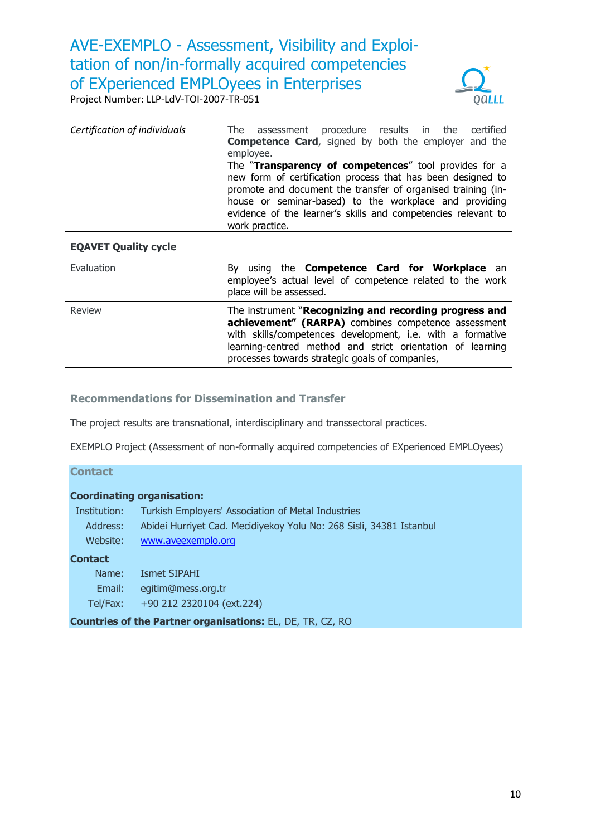# AVE-EXEMPLO - Assessment, Visibility and Exploitation of non/in-formally acquired competencies of EXperienced EMPLOyees in Enterprises

Project Number: LLP-LdV-TOI-2007-TR-051



| Certification of individuals | procedure results in the certified<br>The assessment                     |
|------------------------------|--------------------------------------------------------------------------|
|                              | <b>Competence Card, signed by both the employer and the</b><br>employee. |
|                              |                                                                          |
|                              | The "Transparency of competences" tool provides for a                    |
|                              | new form of certification process that has been designed to              |
|                              | promote and document the transfer of organised training (in-             |
|                              | house or seminar-based) to the workplace and providing                   |
|                              | evidence of the learner's skills and competencies relevant to            |
|                              | work practice.                                                           |

# **EQAVET Quality cycle**

| Evaluation    | using the <b>Competence Card for Workplace</b> an<br>Bv<br>employee's actual level of competence related to the work<br>place will be assessed.                                                                                                                                              |
|---------------|----------------------------------------------------------------------------------------------------------------------------------------------------------------------------------------------------------------------------------------------------------------------------------------------|
| <b>Review</b> | The instrument "Recognizing and recording progress and<br>achievement" (RARPA) combines competence assessment<br>with skills/competences development, i.e. with a formative<br>learning-centred method and strict orientation of learning<br>processes towards strategic goals of companies, |

# **Recommendations for Dissemination and Transfer**

The project results are transnational, interdisciplinary and transsectoral practices.

EXEMPLO Project (Assessment of non-formally acquired competencies of EXperienced EMPLOyees)

# **Contact**

### **Coordinating organisation:**

| Institution: | Turkish Employers' Association of Metal Industries                  |
|--------------|---------------------------------------------------------------------|
| Address:     | Abidei Hurriyet Cad. Mecidiyekoy Yolu No: 268 Sisli, 34381 Istanbul |
| Website:     | www.aveexemplo.org                                                  |

# **Contact**

| Name:    | Ismet SIPAHI              |
|----------|---------------------------|
| Email:   | eqitim@mess.org.tr        |
| Tel/Fax: | +90 212 2320104 (ext.224) |

**Countries of the Partner organisations:** EL, DE, TR, CZ, RO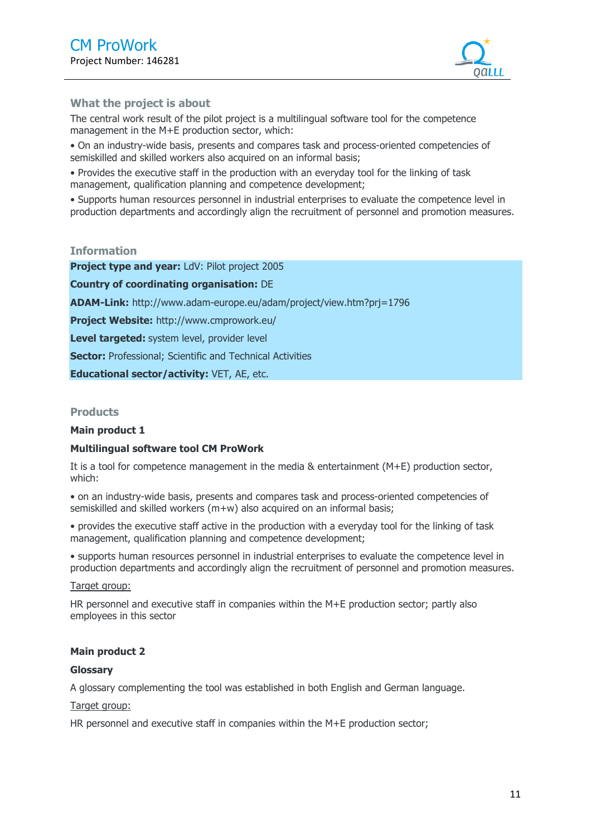

# **What the project is about**

The central work result of the pilot project is a multilingual software tool for the competence management in the M+E production sector, which:

• On an industry-wide basis, presents and compares task and process-oriented competencies of semiskilled and skilled workers also acquired on an informal basis;

• Provides the executive staff in the production with an everyday tool for the linking of task management, qualification planning and competence development;

• Supports human resources personnel in industrial enterprises to evaluate the competence level in production departments and accordingly align the recruitment of personnel and promotion measures.

# **Information**

**Project type and year:** LdV: Pilot project 2005

**Country of coordinating organisation:** DE

**ADAM-Link:** http://www.adam-europe.eu/adam/project/view.htm?prj=1796

**Project Website:** http://www.cmprowork.eu/

**Level targeted:** system level, provider level

**Sector: Professional: Scientific and Technical Activities** 

**Educational sector/activity:** VET, AE, etc.

# **Products**

#### **Main product 1**

#### **Multilingual software tool CM ProWork**

It is a tool for competence management in the media & entertainment (M+E) production sector, which:

• on an industry-wide basis, presents and compares task and process-oriented competencies of semiskilled and skilled workers (m+w) also acquired on an informal basis;

• provides the executive staff active in the production with a everyday tool for the linking of task management, qualification planning and competence development;

• supports human resources personnel in industrial enterprises to evaluate the competence level in production departments and accordingly align the recruitment of personnel and promotion measures.

#### Target group:

HR personnel and executive staff in companies within the M+E production sector; partly also employees in this sector

#### **Main product 2**

#### **Glossary**

A glossary complementing the tool was established in both English and German language.

#### Target group:

HR personnel and executive staff in companies within the M+E production sector;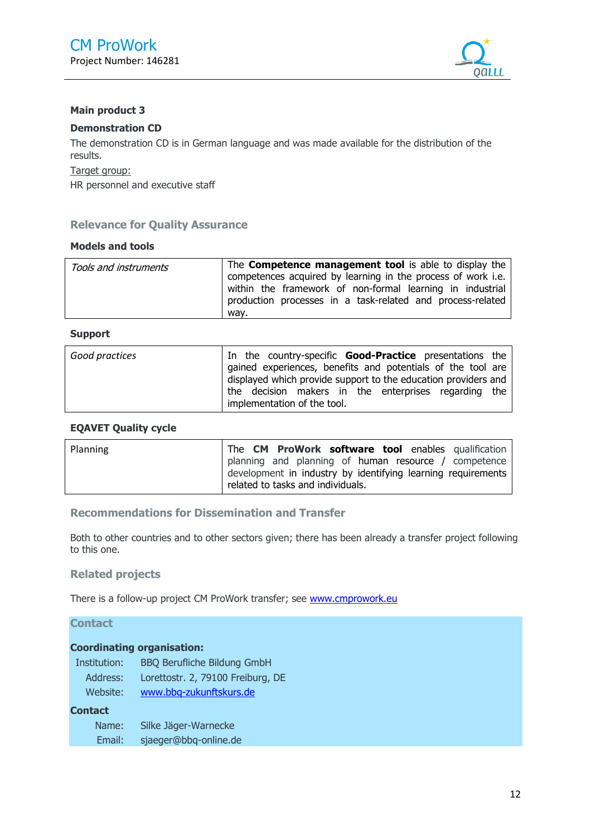

#### **Main product 3**

#### **Demonstration CD**

The demonstration CD is in German language and was made available for the distribution of the results.

# Target group:

HR personnel and executive staff

# **Relevance for Quality Assurance**

# **Models and tools**

| Tools and instruments | The <b>Competence management tool</b> is able to display the<br>competences acquired by learning in the process of work i.e.<br>within the framework of non-formal learning in industrial<br>production processes in a task-related and process-related<br>wav. |
|-----------------------|-----------------------------------------------------------------------------------------------------------------------------------------------------------------------------------------------------------------------------------------------------------------|
|-----------------------|-----------------------------------------------------------------------------------------------------------------------------------------------------------------------------------------------------------------------------------------------------------------|

## **Support**

| Good practices | In the country-specific <b>Good-Practice</b> presentations the<br>gained experiences, benefits and potentials of the tool are<br>displayed which provide support to the education providers and<br>the decision makers in the enterprises regarding the |
|----------------|---------------------------------------------------------------------------------------------------------------------------------------------------------------------------------------------------------------------------------------------------------|
|                | implementation of the tool.                                                                                                                                                                                                                             |

#### **EQAVET Quality cycle**

| Planning | The CM ProWork software tool enables qualification                                                                                                        |
|----------|-----------------------------------------------------------------------------------------------------------------------------------------------------------|
|          | planning and planning of human resource / competence<br>development in industry by identifying learning requirements<br>related to tasks and individuals. |

# **Recommendations for Dissemination and Transfer**

Both to other countries and to other sectors given; there has been already a transfer project following to this one.

#### **Related projects**

There is a follow-up project CM ProWork transfer; see www.cmprowork.eu

# **Contact**

## **Coordinating organisation:**

 Institution: BBQ Berufliche Bildung GmbH Address: Lorettostr. 2, 79100 Freiburg, DE Website: www.bbq-zukunftskurs.de **Contact**  Name: Silke Jäger-Warnecke Email: sjaeger@bbq-online.de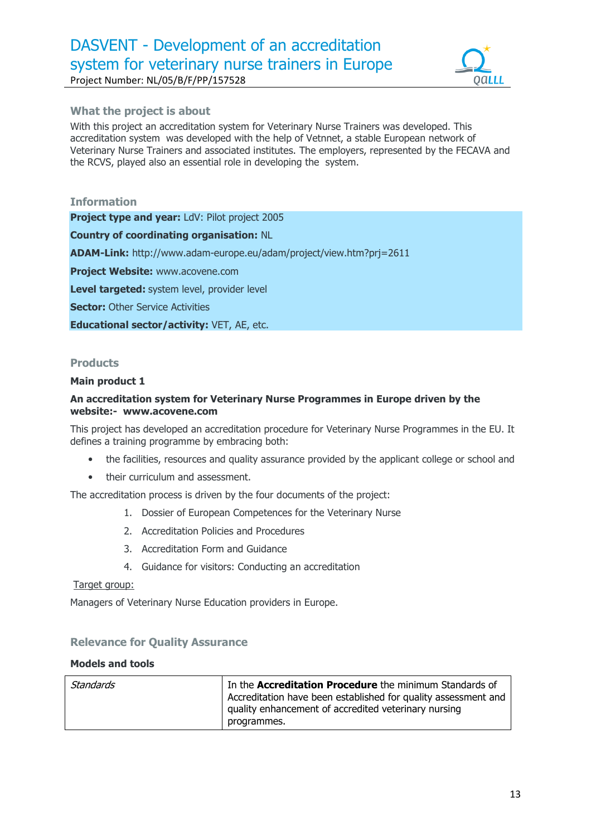

# **What the project is about**

With this project an accreditation system for Veterinary Nurse Trainers was developed. This accreditation system was developed with the help of Vetnnet, a stable European network of Veterinary Nurse Trainers and associated institutes. The employers, represented by the FECAVA and the RCVS, played also an essential role in developing the system.

**Information Project type and year:** LdV: Pilot project 2005 **Country of coordinating organisation:** NL **ADAM-Link:** http://www.adam-europe.eu/adam/project/view.htm?prj=2611 **Project Website:** www.acovene.com **Level targeted:** system level, provider level **Sector: Other Service Activities Educational sector/activity:** VET, AE, etc.

# **Products**

#### **Main product 1**

#### **An accreditation system for Veterinary Nurse Programmes in Europe driven by the website:- www.acovene.com**

This project has developed an accreditation procedure for Veterinary Nurse Programmes in the EU. It defines a training programme by embracing both:

- the facilities, resources and quality assurance provided by the applicant college or school and
- their curriculum and assessment.

The accreditation process is driven by the four documents of the project:

- 1. Dossier of European Competences for the Veterinary Nurse
- 2. Accreditation Policies and Procedures
- 3. Accreditation Form and Guidance
- 4. Guidance for visitors: Conducting an accreditation

#### Target group:

Managers of Veterinary Nurse Education providers in Europe.

#### **Relevance for Quality Assurance**

#### **Models and tools**

| Standards | In the Accreditation Procedure the minimum Standards of        |
|-----------|----------------------------------------------------------------|
|           | Accreditation have been established for quality assessment and |
|           | quality enhancement of accredited veterinary nursing           |
|           | programmes.                                                    |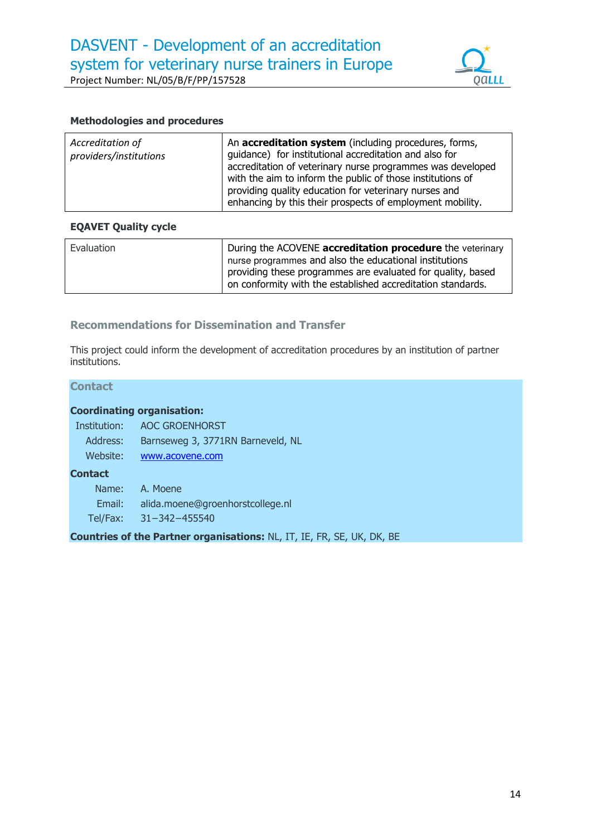

# **Methodologies and procedures**

| Accreditation of<br>providers/institutions | An accreditation system (including procedures, forms,<br>guidance) for institutional accreditation and also for<br>accreditation of veterinary nurse programmes was developed<br>with the aim to inform the public of those institutions of<br>providing quality education for veterinary nurses and<br>enhancing by this their prospects of employment mobility. |
|--------------------------------------------|-------------------------------------------------------------------------------------------------------------------------------------------------------------------------------------------------------------------------------------------------------------------------------------------------------------------------------------------------------------------|
|--------------------------------------------|-------------------------------------------------------------------------------------------------------------------------------------------------------------------------------------------------------------------------------------------------------------------------------------------------------------------------------------------------------------------|

# **EQAVET Quality cycle**

| Evaluation | During the ACOVENE accreditation procedure the veterinary<br>nurse programmes and also the educational institutions<br>providing these programmes are evaluated for quality, based<br>on conformity with the established accreditation standards. |
|------------|---------------------------------------------------------------------------------------------------------------------------------------------------------------------------------------------------------------------------------------------------|
|            |                                                                                                                                                                                                                                                   |

# **Recommendations for Dissemination and Transfer**

This project could inform the development of accreditation procedures by an institution of partner institutions.

# **Contact**

# **Coordinating organisation:**

| Institution: | <b>AOC GROENHORST</b>             |
|--------------|-----------------------------------|
| Address:     | Barnseweg 3, 3771RN Barneveld, NL |
| Website:     | www.acovene.com                   |
| Contact      |                                   |
| Name:        | A. Moene                          |
| Email:       | alida.moene@groenhorstcollege.nl  |
| Tel/Fax:     | $31 - 342 - 455540$               |
|              |                                   |

**Countries of the Partner organisations:** NL, IT, IE, FR, SE, UK, DK, BE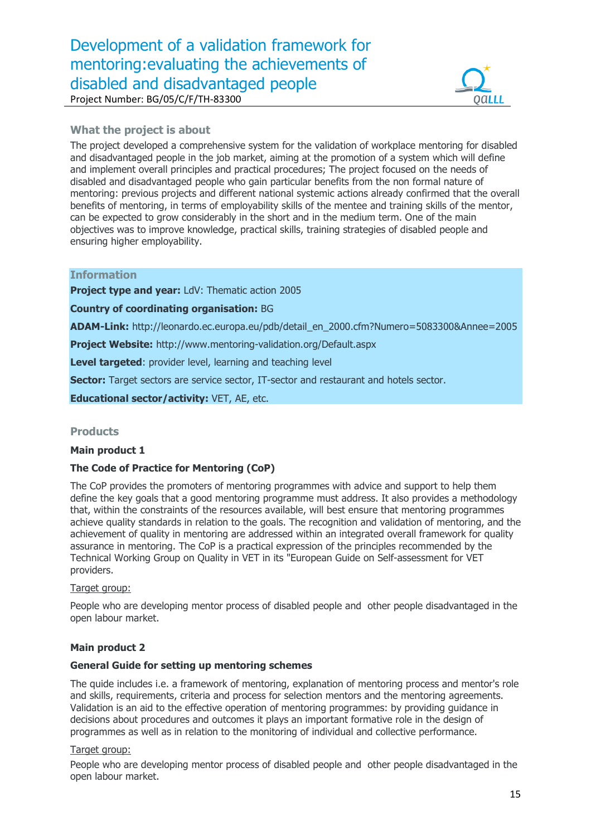# Development of a validation framework for mentoring:evaluating the achievements of disabled and disadvantaged people Project Number: BG/05/C/F/TH-83300



# **What the project is about**

The project developed a comprehensive system for the validation of workplace mentoring for disabled and disadvantaged people in the job market, aiming at the promotion of a system which will define and implement overall principles and practical procedures; The project focused on the needs of disabled and disadvantaged people who gain particular benefits from the non formal nature of mentoring: previous projects and different national systemic actions already confirmed that the overall benefits of mentoring, in terms of employability skills of the mentee and training skills of the mentor, can be expected to grow considerably in the short and in the medium term. One of the main objectives was to improve knowledge, practical skills, training strategies of disabled people and ensuring higher employability.

## **Information**

**Project type and year: LdV: Thematic action 2005** 

**Country of coordinating organisation:** BG

**ADAM-Link:** http://leonardo.ec.europa.eu/pdb/detail\_en\_2000.cfm?Numero=5083300&Annee=2005

**Project Website:** http://www.mentoring-validation.org/Default.aspx

**Level targeted**: provider level, learning and teaching level

**Sector:** Target sectors are service sector, IT-sector and restaurant and hotels sector.

**Educational sector/activity:** VET, AE, etc.

#### **Products**

#### **Main product 1**

#### **The Code of Practice for Mentoring (CoP)**

The CoP provides the promoters of mentoring programmes with advice and support to help them define the key goals that a good mentoring programme must address. It also provides a methodology that, within the constraints of the resources available, will best ensure that mentoring programmes achieve quality standards in relation to the goals. The recognition and validation of mentoring, and the achievement of quality in mentoring are addressed within an integrated overall framework for quality assurance in mentoring. The CoP is a practical expression of the principles recommended by the Technical Working Group on Quality in VET in its "European Guide on Self-assessment for VET providers.

#### Target group:

People who are developing mentor process of disabled people and other people disadvantaged in the open labour market.

#### **Main product 2**

#### **General Guide for setting up mentoring schemes**

The quide includes i.e. a framework of mentoring, explanation of mentoring process and mentor's role and skills, requirements, criteria and process for selection mentors and the mentoring agreements. Validation is an aid to the effective operation of mentoring programmes: by providing guidance in decisions about procedures and outcomes it plays an important formative role in the design of programmes as well as in relation to the monitoring of individual and collective performance.

#### Target group:

People who are developing mentor process of disabled people and other people disadvantaged in the open labour market.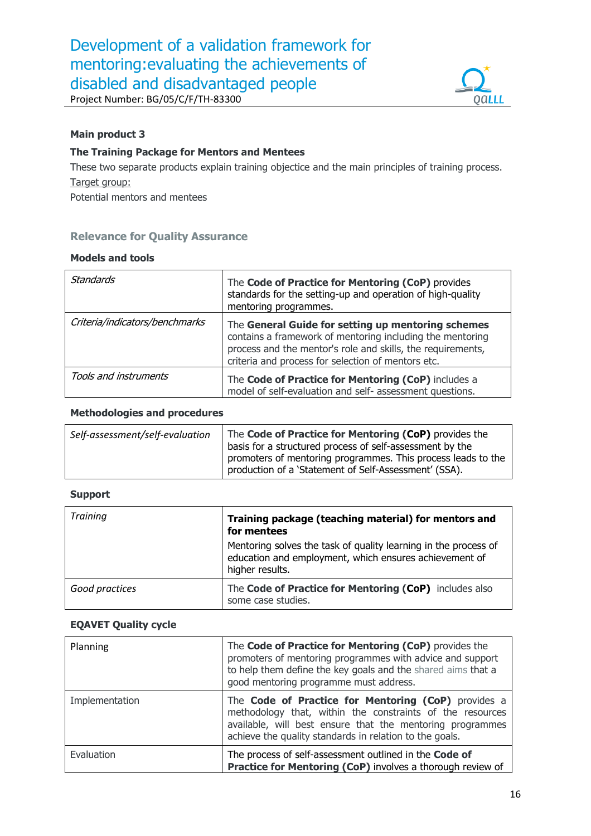

Project Number: BG/05/C/F/TH-83300

# **Main product 3**

# **The Training Package for Mentors and Mentees**

These two separate products explain training objectice and the main principles of training process. Target group:

Potential mentors and mentees

# **Relevance for Quality Assurance**

# **Models and tools**

| Standards                      | The Code of Practice for Mentoring (CoP) provides<br>standards for the setting-up and operation of high-quality<br>mentoring programmes.                                                                                             |
|--------------------------------|--------------------------------------------------------------------------------------------------------------------------------------------------------------------------------------------------------------------------------------|
| Criteria/indicators/benchmarks | The General Guide for setting up mentoring schemes<br>contains a framework of mentoring including the mentoring<br>process and the mentor's role and skills, the requirements,<br>criteria and process for selection of mentors etc. |
| Tools and instruments          | The Code of Practice for Mentoring (CoP) includes a<br>model of self-evaluation and self- assessment questions.                                                                                                                      |

#### **Methodologies and procedures**

| Self-assessment/self-evaluation | The Code of Practice for Mentoring (CoP) provides the<br>basis for a structured process of self-assessment by the     |
|---------------------------------|-----------------------------------------------------------------------------------------------------------------------|
|                                 | promoters of mentoring programmes. This process leads to the<br>production of a 'Statement of Self-Assessment' (SSA). |

#### **Support**

| <b>Training</b> | Training package (teaching material) for mentors and<br>for mentees                                                                          |
|-----------------|----------------------------------------------------------------------------------------------------------------------------------------------|
|                 | Mentoring solves the task of quality learning in the process of<br>education and employment, which ensures achievement of<br>higher results. |
| Good practices  | The Code of Practice for Mentoring (CoP) includes also<br>some case studies.                                                                 |

#### **EQAVET Quality cycle**

| Planning       | The Code of Practice for Mentoring (CoP) provides the<br>promoters of mentoring programmes with advice and support<br>to help them define the key goals and the shared aims that a<br>good mentoring programme must address.             |
|----------------|------------------------------------------------------------------------------------------------------------------------------------------------------------------------------------------------------------------------------------------|
| Implementation | The Code of Practice for Mentoring (CoP) provides a<br>methodology that, within the constraints of the resources<br>available, will best ensure that the mentoring programmes<br>achieve the quality standards in relation to the goals. |
| Evaluation     | The process of self-assessment outlined in the Code of<br>Practice for Mentoring (CoP) involves a thorough review of                                                                                                                     |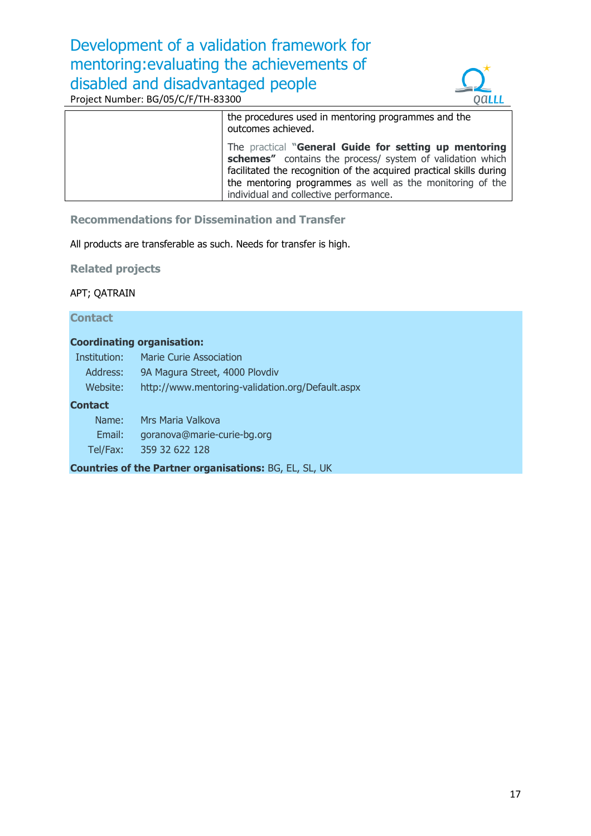# Development of a validation framework for mentoring:evaluating the achievements of disabled and disadvantaged people

Project Number: BG/05/C/F/TH-83300



the procedures used in mentoring programmes and the outcomes achieved.

The practical **"General Guide for setting up mentoring schemes"** contains the process/ system of validation which facilitated the recognition of the acquired practical skills during the mentoring programmes as well as the monitoring of the individual and collective performance.

# **Recommendations for Dissemination and Transfer**

All products are transferable as such. Needs for transfer is high.

**Related projects** 

APT; QATRAIN

#### **Contact**

#### **Coordinating organisation:**

| Institution:                                                  | <b>Marie Curie Association</b>                   |
|---------------------------------------------------------------|--------------------------------------------------|
| Address:                                                      | 9A Magura Street, 4000 Plovdiv                   |
| Website:                                                      | http://www.mentoring-validation.org/Default.aspx |
| Contact                                                       |                                                  |
| Name:                                                         | Mrs Maria Valkova                                |
| Email:                                                        | goranova@marie-curie-bg.org                      |
| Tel/Fax:                                                      | 359 32 622 128                                   |
| <b>Countries of the Partner organisations: BG, EL, SL, UK</b> |                                                  |
|                                                               |                                                  |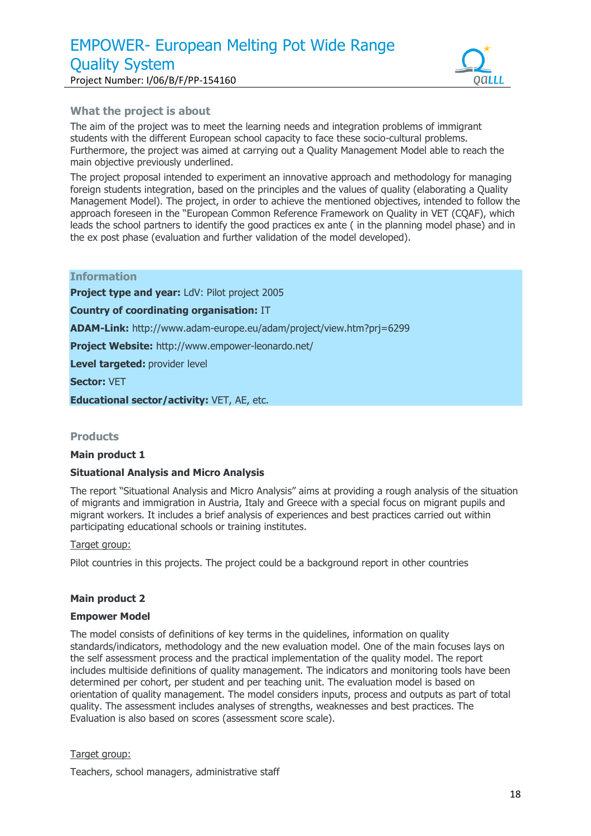

# **What the project is about**

The aim of the project was to meet the learning needs and integration problems of immigrant students with the different European school capacity to face these socio-cultural problems. Furthermore, the project was aimed at carrying out a Quality Management Model able to reach the main objective previously underlined.

The project proposal intended to experiment an innovative approach and methodology for managing foreign students integration, based on the principles and the values of quality (elaborating a Quality Management Model). The project, in order to achieve the mentioned objectives, intended to follow the approach foreseen in the "European Common Reference Framework on Quality in VET (CQAF), which leads the school partners to identify the good practices ex ante ( in the planning model phase) and in the ex post phase (evaluation and further validation of the model developed).

## **Information**

**Project type and year:** LdV: Pilot project 2005

**Country of coordinating organisation:** IT

**ADAM-Link:** http://www.adam-europe.eu/adam/project/view.htm?prj=6299

**Project Website:** http://www.empower-leonardo.net/

**Level targeted:** provider level

**Sector:** VET

**Educational sector/activity:** VET, AE, etc.

#### **Products**

#### **Main product 1**

#### **Situational Analysis and Micro Analysis**

The report "Situational Analysis and Micro Analysis" aims at providing a rough analysis of the situation of migrants and immigration in Austria, Italy and Greece with a special focus on migrant pupils and migrant workers. It includes a brief analysis of experiences and best practices carried out within participating educational schools or training institutes.

#### Target group:

Pilot countries in this projects. The project could be a background report in other countries

#### **Main product 2**

#### **Empower Model**

The model consists of definitions of key terms in the quidelines, information on quality standards/indicators, methodology and the new evaluation model. One of the main focuses lays on the self assessment process and the practical implementation of the quality model. The report includes multiside definitions of quality management. The indicators and monitoring tools have been determined per cohort, per student and per teaching unit. The evaluation model is based on orientation of quality management. The model considers inputs, process and outputs as part of total quality. The assessment includes analyses of strengths, weaknesses and best practices. The Evaluation is also based on scores (assessment score scale).

#### Target group:

Teachers, school managers, administrative staff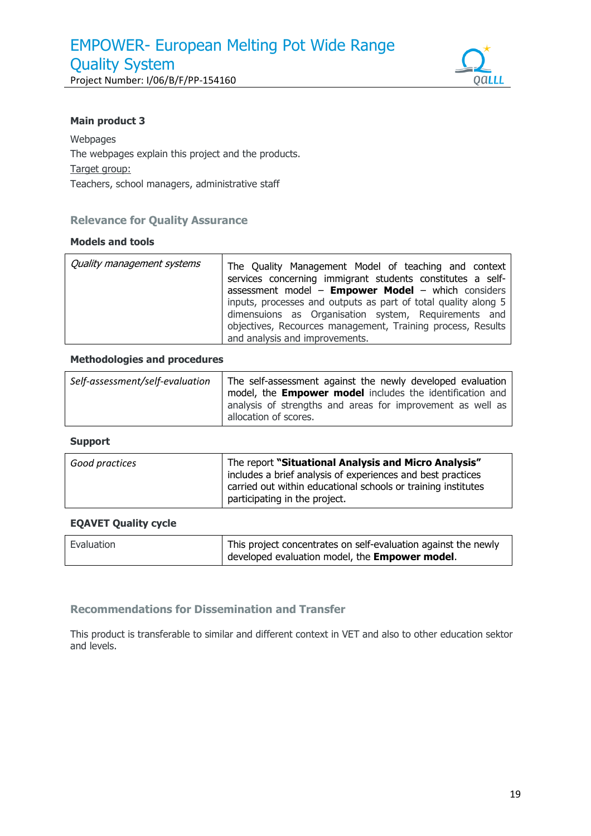EMPOWER- European Melting Pot Wide Range Quality System

Project Number: I/06/B/F/PP-154160



# **Main product 3**

Webpages The webpages explain this project and the products. Target group: Teachers, school managers, administrative staff

# **Relevance for Quality Assurance**

#### **Models and tools**

| Quality management systems | The Quality Management Model of teaching and context<br>services concerning immigrant students constitutes a self- |
|----------------------------|--------------------------------------------------------------------------------------------------------------------|
|                            | assessment model - Empower Model - which considers                                                                 |
|                            | inputs, processes and outputs as part of total quality along 5                                                     |
|                            | dimensuions as Organisation system, Requirements and                                                               |
|                            | objectives, Recources management, Training process, Results                                                        |
|                            | and analysis and improvements.                                                                                     |

#### **Methodologies and procedures**

| Self-assessment/self-evaluation | The self-assessment against the newly developed evaluation<br>model, the <b>Empower model</b> includes the identification and<br>analysis of strengths and areas for improvement as well as<br>allocation of scores. |
|---------------------------------|----------------------------------------------------------------------------------------------------------------------------------------------------------------------------------------------------------------------|
|---------------------------------|----------------------------------------------------------------------------------------------------------------------------------------------------------------------------------------------------------------------|

#### **Support**

| Good practices | The report "Situational Analysis and Micro Analysis"<br>includes a brief analysis of experiences and best practices<br>carried out within educational schools or training institutes<br>participating in the project. |
|----------------|-----------------------------------------------------------------------------------------------------------------------------------------------------------------------------------------------------------------------|
|                |                                                                                                                                                                                                                       |

#### **EQAVET Quality cycle**

| Evaluation | This project concentrates on self-evaluation against the newly |
|------------|----------------------------------------------------------------|
|            | developed evaluation model, the Empower model.                 |
|            |                                                                |

# **Recommendations for Dissemination and Transfer**

This product is transferable to similar and different context in VET and also to other education sektor and levels.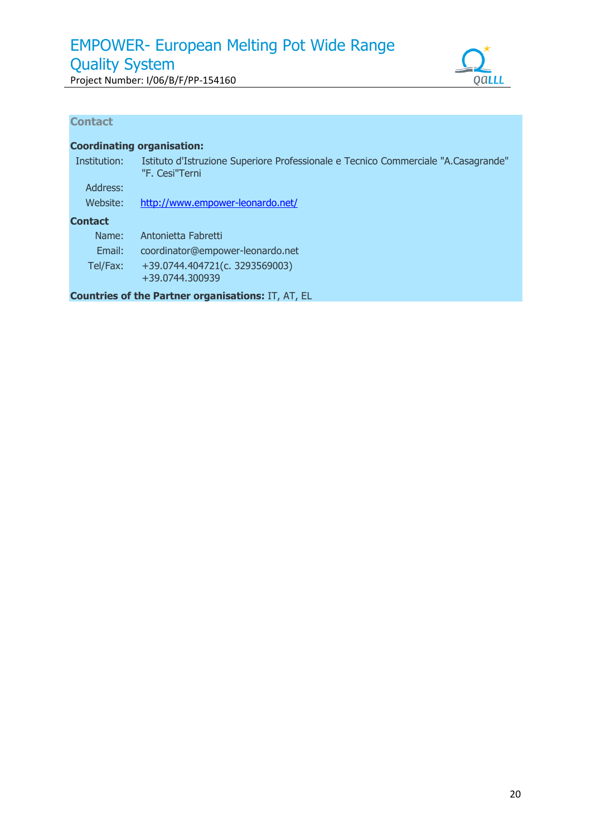# EMPOWER- European Melting Pot Wide Range Quality System

Project Number: I/06/B/F/PP-154160



# **Contact**

# **Coordinating organisation:**

| Institution:   | Istituto d'Istruzione Superiore Professionale e Tecnico Commerciale "A.Casagrande"<br>"F. Cesi"Terni |
|----------------|------------------------------------------------------------------------------------------------------|
| Address:       |                                                                                                      |
| Website:       | http://www.empower-leonardo.net/                                                                     |
| <b>Contact</b> |                                                                                                      |
| Name:          | Antonietta Fabretti                                                                                  |
| Email:         | coordinator@empower-leonardo.net                                                                     |
| Tel/Fax:       | +39.0744.404721(c. 3293569003)                                                                       |
|                | +39.0744.300939                                                                                      |
|                | <b>Countries of the Partner organisations: IT, AT, EL</b>                                            |
|                |                                                                                                      |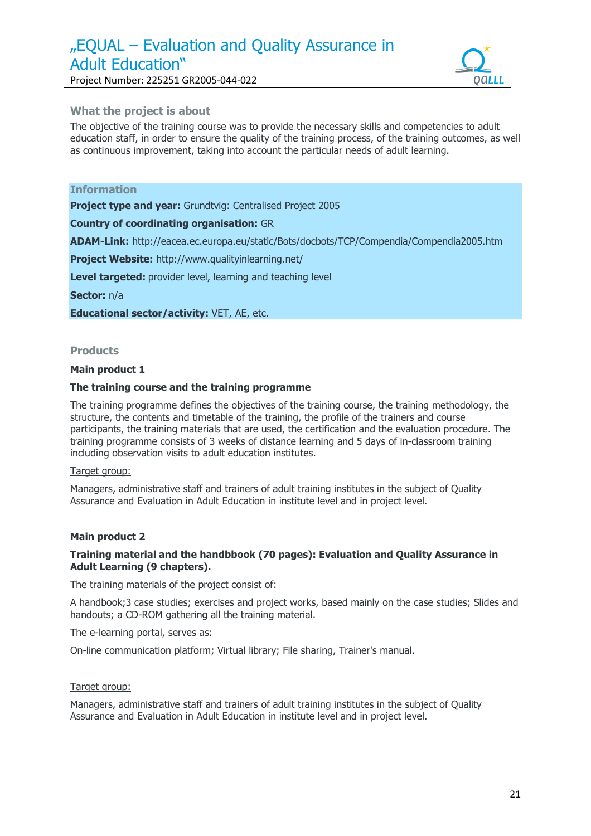# "EQUAL – Evaluation and Quality Assurance in Adult Education"





# **What the project is about**

The objective of the training course was to provide the necessary skills and competencies to adult education staff, in order to ensure the quality of the training process, of the training outcomes, as well as continuous improvement, taking into account the particular needs of adult learning.

# **Information**

**Project type and year:** Grundtvig: Centralised Project 2005

**Country of coordinating organisation:** GR

**ADAM-Link:** http://eacea.ec.europa.eu/static/Bots/docbots/TCP/Compendia/Compendia2005.htm

**Project Website:** http://www.qualityinlearning.net/

**Level targeted:** provider level, learning and teaching level

**Sector:** n/a

**Educational sector/activity:** VET, AE, etc.

#### **Products**

#### **Main product 1**

#### **The training course and the training programme**

The training programme defines the objectives of the training course, the training methodology, the structure, the contents and timetable of the training, the profile of the trainers and course participants, the training materials that are used, the certification and the evaluation procedure. The training programme consists of 3 weeks of distance learning and 5 days of in-classroom training including observation visits to adult education institutes.

#### Target group:

Managers, administrative staff and trainers of adult training institutes in the subject of Quality Assurance and Evaluation in Adult Education in institute level and in project level.

#### **Main product 2**

#### **Training material and the handbbook (70 pages): Evaluation and Quality Assurance in Adult Learning (9 chapters).**

The training materials of the project consist of:

A handbook;3 case studies; exercises and project works, based mainly on the case studies; Slides and handouts; a CD-ROM gathering all the training material.

The e-learning portal, serves as:

On-line communication platform; Virtual library; File sharing, Trainer's manual.

#### Target group:

Managers, administrative staff and trainers of adult training institutes in the subject of Quality Assurance and Evaluation in Adult Education in institute level and in project level.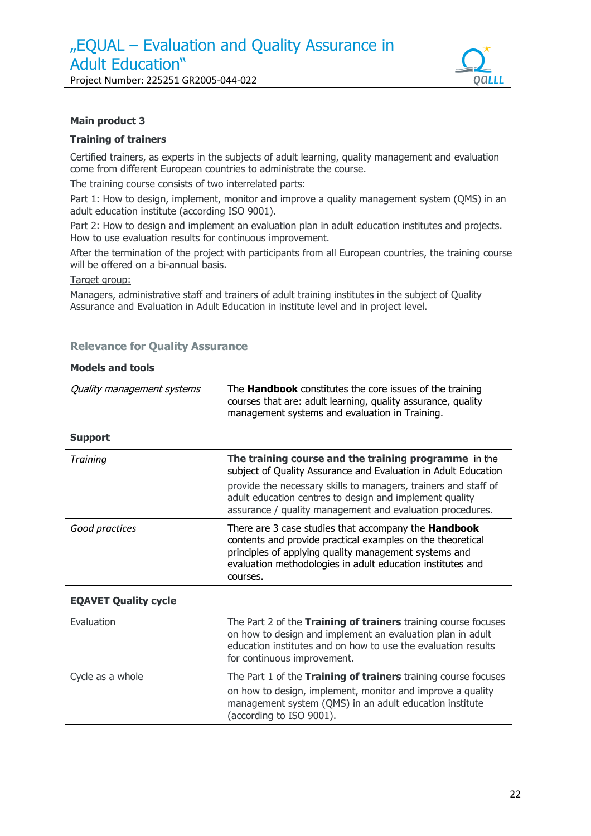"EQUAL – Evaluation and Quality Assurance in Adult Education"

Project Number: 225251 GR2005-044-022



# **Main product 3**

#### **Training of trainers**

Certified trainers, as experts in the subjects of adult learning, quality management and evaluation come from different European countries to administrate the course.

The training course consists of two interrelated parts:

Part 1: How to design, implement, monitor and improve a quality management system (QMS) in an adult education institute (according ISO 9001).

Part 2: How to design and implement an evaluation plan in adult education institutes and projects. How to use evaluation results for continuous improvement.

After the termination of the project with participants from all European countries, the training course will be offered on a bi-annual basis.

#### Target group:

Managers, administrative staff and trainers of adult training institutes in the subject of Quality Assurance and Evaluation in Adult Education in institute level and in project level.

### **Relevance for Quality Assurance**

#### **Models and tools**

| Quality management systems | The <b>Handbook</b> constitutes the core issues of the training<br>courses that are: adult learning, quality assurance, quality |
|----------------------------|---------------------------------------------------------------------------------------------------------------------------------|
|                            | management systems and evaluation in Training.                                                                                  |

#### **Support**

| <b>Training</b> | The training course and the training programme in the<br>subject of Quality Assurance and Evaluation in Adult Education<br>provide the necessary skills to managers, trainers and staff of<br>adult education centres to design and implement quality<br>assurance / quality management and evaluation procedures. |
|-----------------|--------------------------------------------------------------------------------------------------------------------------------------------------------------------------------------------------------------------------------------------------------------------------------------------------------------------|
| Good practices  | There are 3 case studies that accompany the <b>Handbook</b><br>contents and provide practical examples on the theoretical<br>principles of applying quality management systems and<br>evaluation methodologies in adult education institutes and<br>courses.                                                       |

#### **EQAVET Quality cycle**

| Evaluation       | The Part 2 of the Training of trainers training course focuses<br>on how to design and implement an evaluation plan in adult<br>education institutes and on how to use the evaluation results<br>for continuous improvement. |
|------------------|------------------------------------------------------------------------------------------------------------------------------------------------------------------------------------------------------------------------------|
| Cycle as a whole | The Part 1 of the Training of trainers training course focuses<br>on how to design, implement, monitor and improve a quality<br>management system (QMS) in an adult education institute<br>(according to ISO 9001).          |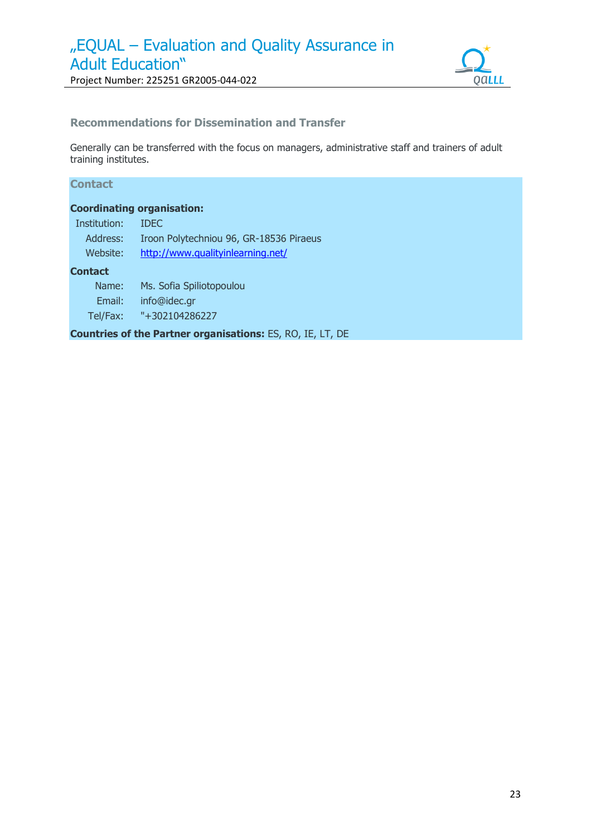"EQUAL – Evaluation and Quality Assurance in Adult Education"





# **Recommendations for Dissemination and Transfer**

Generally can be transferred with the focus on managers, administrative staff and trainers of adult training institutes.

# **Contact**

# **Coordinating organisation:**

| Institution:<br><b>IDEC</b> |  |
|-----------------------------|--|
|-----------------------------|--|

| Address: | Iroon Polytechniou 96, GR-18536 Piraeus |
|----------|-----------------------------------------|
| Website: | http://www.qualityinlearning.net/       |

#### **Contact**

| Name:    | Ms. Sofia Spiliotopoulou |
|----------|--------------------------|
| Email:   | info@idec.gr             |
| Tel/Fax: | "+302104286227           |

**Countries of the Partner organisations:** ES, RO, IE, LT, DE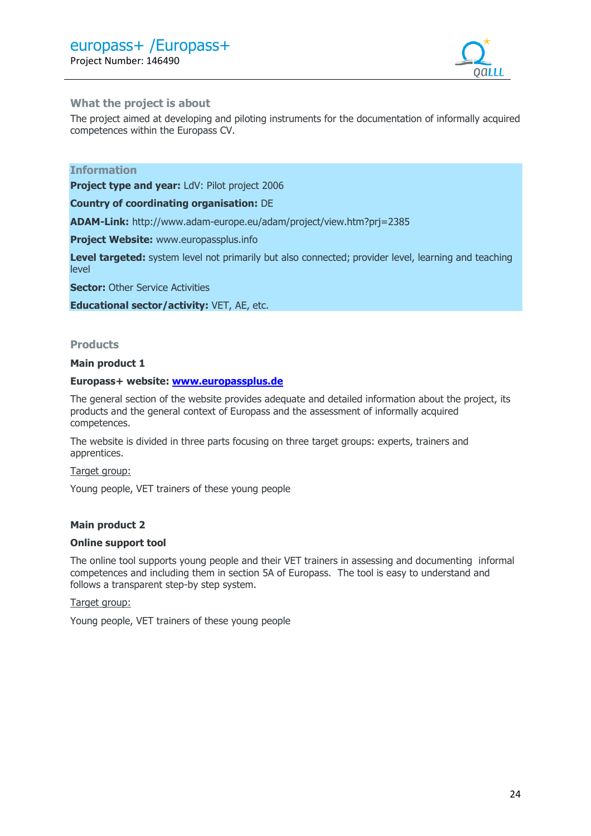

# **What the project is about**

The project aimed at developing and piloting instruments for the documentation of informally acquired competences within the Europass CV.

## **Information**

**Project type and year: LdV: Pilot project 2006** 

**Country of coordinating organisation:** DE

**ADAM-Link:** http://www.adam-europe.eu/adam/project/view.htm?prj=2385

**Project Website:** www.europassplus.info

Level targeted: system level not primarily but also connected; provider level, learning and teaching level

**Sector: Other Service Activities** 

**Educational sector/activity:** VET, AE, etc.

#### **Products**

**Main product 1** 

#### **Europass+ website: www.europassplus.de**

The general section of the website provides adequate and detailed information about the project, its products and the general context of Europass and the assessment of informally acquired competences.

The website is divided in three parts focusing on three target groups: experts, trainers and apprentices.

#### Target group:

Young people, VET trainers of these young people

#### **Main product 2**

#### **Online support tool**

The online tool supports young people and their VET trainers in assessing and documenting informal competences and including them in section 5A of Europass. The tool is easy to understand and follows a transparent step-by step system.

#### Target group:

Young people, VET trainers of these young people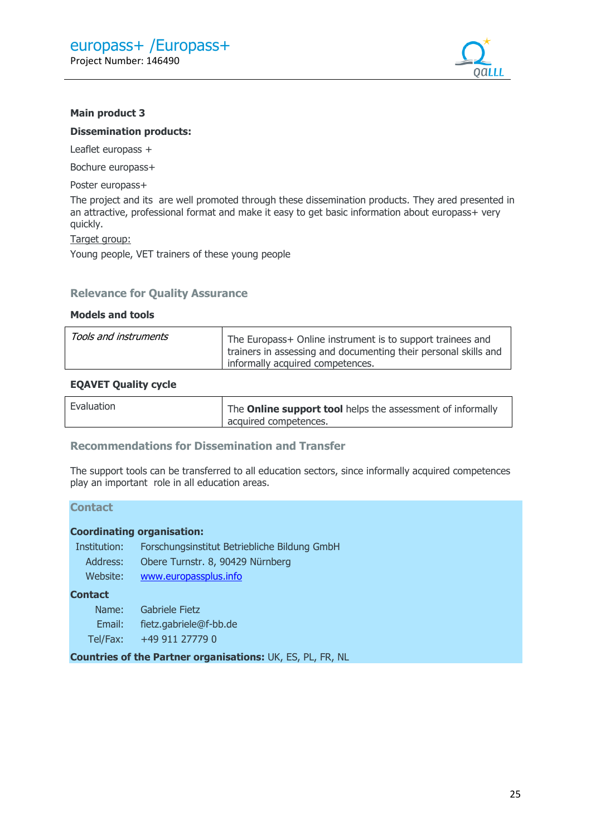

#### **Main product 3**

#### **Dissemination products:**

Leaflet europass +

Bochure europass+

Poster europass+

The project and its are well promoted through these dissemination products. They ared presented in an attractive, professional format and make it easy to get basic information about europass+ very quickly.

Target group:

Young people, VET trainers of these young people

# **Relevance for Quality Assurance**

#### **Models and tools**

| Tools and instruments | The Europass+ Online instrument is to support trainees and      |
|-----------------------|-----------------------------------------------------------------|
|                       | trainers in assessing and documenting their personal skills and |
|                       | informally acquired competences.                                |

#### **EQAVET Quality cycle**

| Evaluation | The <b>Online support tool</b> helps the assessment of informally |
|------------|-------------------------------------------------------------------|
|            | acquired competences.                                             |

# **Recommendations for Dissemination and Transfer**

The support tools can be transferred to all education sectors, since informally acquired competences play an important role in all education areas.

#### **Contact**

#### **Coordinating organisation:**

| Institution: | Forschungsinstitut Betriebliche Bildung GmbH |
|--------------|----------------------------------------------|
| Address:     | Obere Turnstr. 8, 90429 Nürnberg             |
| Website:     | www.europassplus.info                        |
| Contact      |                                              |
| Name:        | Gabriele Fietz                               |
| Email:       | fietz.gabriele@f-bb.de                       |

Tel/Fax: +49 911 27779 0

**Countries of the Partner organisations:** UK, ES, PL, FR, NL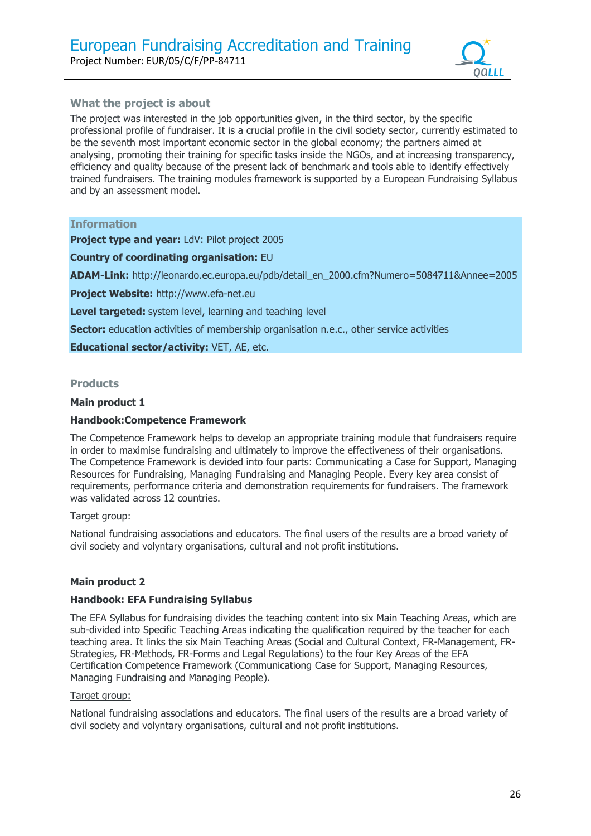

# **What the project is about**

The project was interested in the job opportunities given, in the third sector, by the specific professional profile of fundraiser. It is a crucial profile in the civil society sector, currently estimated to be the seventh most important economic sector in the global economy; the partners aimed at analysing, promoting their training for specific tasks inside the NGOs, and at increasing transparency, efficiency and quality because of the present lack of benchmark and tools able to identify effectively trained fundraisers. The training modules framework is supported by a European Fundraising Syllabus and by an assessment model.

## **Information**

**Project type and year: LdV: Pilot project 2005** 

#### **Country of coordinating organisation:** EU

**ADAM-Link:** http://leonardo.ec.europa.eu/pdb/detail\_en\_2000.cfm?Numero=5084711&Annee=2005

**Project Website:** http://www.efa-net.eu

**Level targeted:** system level, learning and teaching level

**Sector:** education activities of membership organisation n.e.c., other service activities

**Educational sector/activity:** VET, AE, etc.

#### **Products**

#### **Main product 1**

#### **Handbook:Competence Framework**

The Competence Framework helps to develop an appropriate training module that fundraisers require in order to maximise fundraising and ultimately to improve the effectiveness of their organisations. The Competence Framework is devided into four parts: Communicating a Case for Support, Managing Resources for Fundraising, Managing Fundraising and Managing People. Every key area consist of requirements, performance criteria and demonstration requirements for fundraisers. The framework was validated across 12 countries.

#### Target group:

National fundraising associations and educators. The final users of the results are a broad variety of civil society and volyntary organisations, cultural and not profit institutions.

#### **Main product 2**

#### **Handbook: EFA Fundraising Syllabus**

The EFA Syllabus for fundraising divides the teaching content into six Main Teaching Areas, which are sub-divided into Specific Teaching Areas indicating the qualification required by the teacher for each teaching area. It links the six Main Teaching Areas (Social and Cultural Context, FR-Management, FR-Strategies, FR-Methods, FR-Forms and Legal Regulations) to the four Key Areas of the EFA Certification Competence Framework (Communicationg Case for Support, Managing Resources, Managing Fundraising and Managing People).

#### Target group:

National fundraising associations and educators. The final users of the results are a broad variety of civil society and volyntary organisations, cultural and not profit institutions.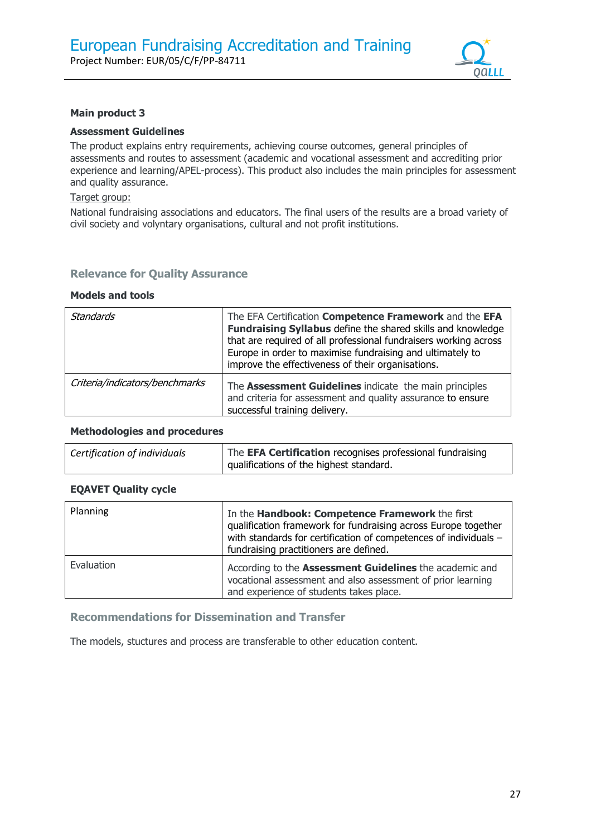

#### **Main product 3**

#### **Assessment Guidelines**

The product explains entry requirements, achieving course outcomes, general principles of assessments and routes to assessment (academic and vocational assessment and accrediting prior experience and learning/APEL-process). This product also includes the main principles for assessment and quality assurance.

#### Target group:

National fundraising associations and educators. The final users of the results are a broad variety of civil society and volyntary organisations, cultural and not profit institutions.

### **Relevance for Quality Assurance**

#### **Models and tools**

| Standards                      | The EFA Certification Competence Framework and the EFA<br>Fundraising Syllabus define the shared skills and knowledge<br>that are required of all professional fundraisers working across<br>Europe in order to maximise fundraising and ultimately to<br>improve the effectiveness of their organisations. |
|--------------------------------|-------------------------------------------------------------------------------------------------------------------------------------------------------------------------------------------------------------------------------------------------------------------------------------------------------------|
| Criteria/indicators/benchmarks | The <b>Assessment Guidelines</b> indicate the main principles<br>and criteria for assessment and quality assurance to ensure<br>successful training delivery.                                                                                                                                               |

#### **Methodologies and procedures**

| Certification of individuals | The EFA Certification recognises professional fundraising |
|------------------------------|-----------------------------------------------------------|
|                              | qualifications of the highest standard.                   |

#### **EQAVET Quality cycle**

| Planning   | In the Handbook: Competence Framework the first<br>qualification framework for fundraising across Europe together<br>with standards for certification of competences of individuals -<br>fundraising practitioners are defined. |
|------------|---------------------------------------------------------------------------------------------------------------------------------------------------------------------------------------------------------------------------------|
| Evaluation | According to the <b>Assessment Guidelines</b> the academic and<br>vocational assessment and also assessment of prior learning<br>and experience of students takes place.                                                        |

# **Recommendations for Dissemination and Transfer**

The models, stuctures and process are transferable to other education content.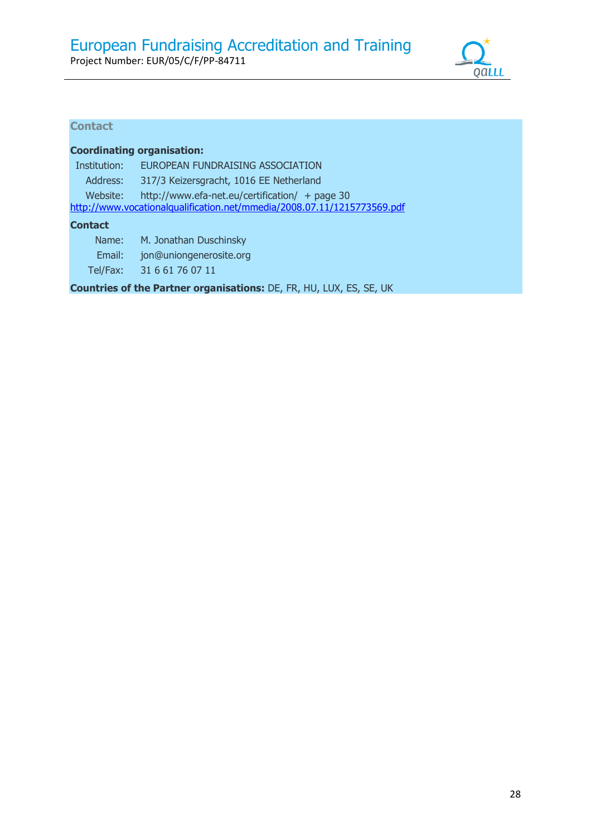

# **Contact**

| <b>Coordinating organisation:</b> |  |
|-----------------------------------|--|
|-----------------------------------|--|

| Institution: | EUROPEAN FUNDRAISING ASSOCIATION                                        |
|--------------|-------------------------------------------------------------------------|
| Address:     | 317/3 Keizersgracht, 1016 EE Netherland                                 |
| Website:     | http://www.efa-net.eu/certification/ + page 30                          |
|              | http://www.vocationalqualification.net/mmedia/2008.07.11/1215773569.pdf |

#### **Contact**

 Name: M. Jonathan Duschinsky Email: jon@uniongenerosite.org Tel/Fax: 31 6 61 76 07 11

**Countries of the Partner organisations:** DE, FR, HU, LUX, ES, SE, UK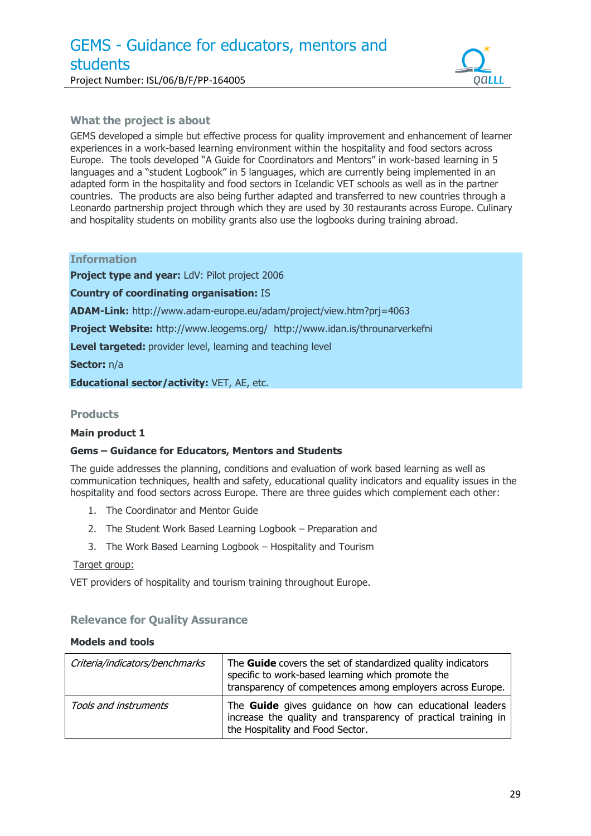# GEMS - Guidance for educators, mentors and students

Project Number: ISL/06/B/F/PP-164005



## **What the project is about**

GEMS developed a simple but effective process for quality improvement and enhancement of learner experiences in a work-based learning environment within the hospitality and food sectors across Europe. The tools developed "A Guide for Coordinators and Mentors" in work-based learning in 5 languages and a "student Logbook" in 5 languages, which are currently being implemented in an adapted form in the hospitality and food sectors in Icelandic VET schools as well as in the partner countries. The products are also being further adapted and transferred to new countries through a Leonardo partnership project through which they are used by 30 restaurants across Europe. Culinary and hospitality students on mobility grants also use the logbooks during training abroad.

### **Information**

**Project type and year:** LdV: Pilot project 2006

#### **Country of coordinating organisation:** IS

**ADAM-Link:** http://www.adam-europe.eu/adam/project/view.htm?prj=4063

**Project Website:** http://www.leogems.org/ http://www.idan.is/throunarverkefni

**Level targeted:** provider level, learning and teaching level

**Sector:** n/a

**Educational sector/activity:** VET, AE, etc.

#### **Products**

#### **Main product 1**

# **Gems – Guidance for Educators, Mentors and Students**

The guide addresses the planning, conditions and evaluation of work based learning as well as communication techniques, health and safety, educational quality indicators and equality issues in the hospitality and food sectors across Europe. There are three guides which complement each other:

- 1. The Coordinator and Mentor Guide
- 2. The Student Work Based Learning Logbook Preparation and
- 3. The Work Based Learning Logbook Hospitality and Tourism

#### Target group:

VET providers of hospitality and tourism training throughout Europe.

#### **Relevance for Quality Assurance**

#### **Models and tools**

| Criteria/indicators/benchmarks | The <b>Guide</b> covers the set of standardized quality indicators<br>specific to work-based learning which promote the<br>transparency of competences among employers across Europe. |
|--------------------------------|---------------------------------------------------------------------------------------------------------------------------------------------------------------------------------------|
| Tools and instruments          | The <b>Guide</b> gives guidance on how can educational leaders<br>increase the quality and transparency of practical training in<br>the Hospitality and Food Sector.                  |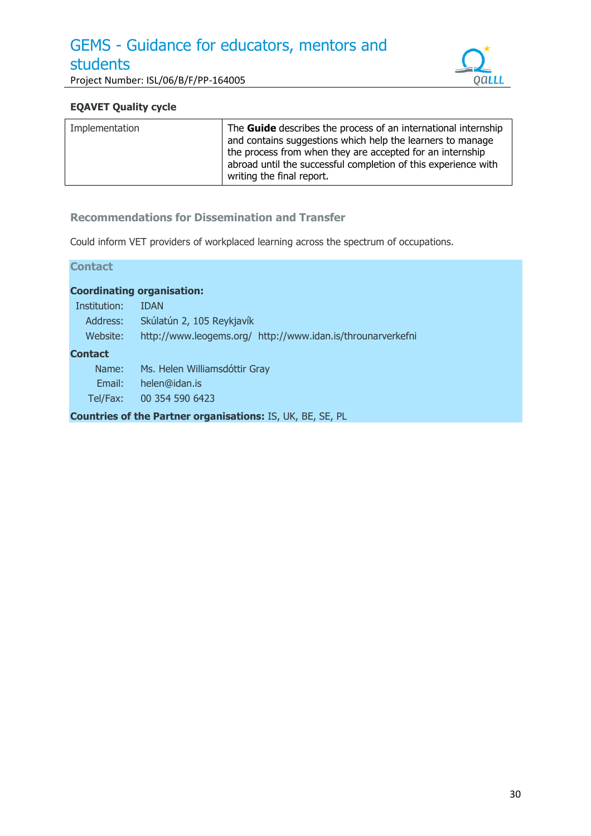# GEMS - Guidance for educators, mentors and students

Project Number: ISL/06/B/F/PP-164005



# **EQAVET Quality cycle**

| Implementation | The <b>Guide</b> describes the process of an international internship<br>and contains suggestions which help the learners to manage<br>the process from when they are accepted for an internship<br>abroad until the successful completion of this experience with<br>writing the final report. |
|----------------|-------------------------------------------------------------------------------------------------------------------------------------------------------------------------------------------------------------------------------------------------------------------------------------------------|
|----------------|-------------------------------------------------------------------------------------------------------------------------------------------------------------------------------------------------------------------------------------------------------------------------------------------------|

# **Recommendations for Dissemination and Transfer**

Could inform VET providers of workplaced learning across the spectrum of occupations.

# **Contact**

# **Coordinating organisation:**

| Institution: |        | <b>IDAN</b>                                                       |
|--------------|--------|-------------------------------------------------------------------|
| Address:     |        | Skúlatún 2, 105 Reykjavík                                         |
| Website:     |        | http://www.leogems.org/ http://www.idan.is/throunarverkefni       |
| Contact      |        |                                                                   |
|              | Name:  | Ms. Helen Williamsdóttir Gray                                     |
|              | Email: | helen@idan.is                                                     |
| Tel/Fax:     |        | 00 354 590 6423                                                   |
|              |        | <b>Countries of the Partner organisations: IS, UK, BE, SE, PL</b> |
|              |        |                                                                   |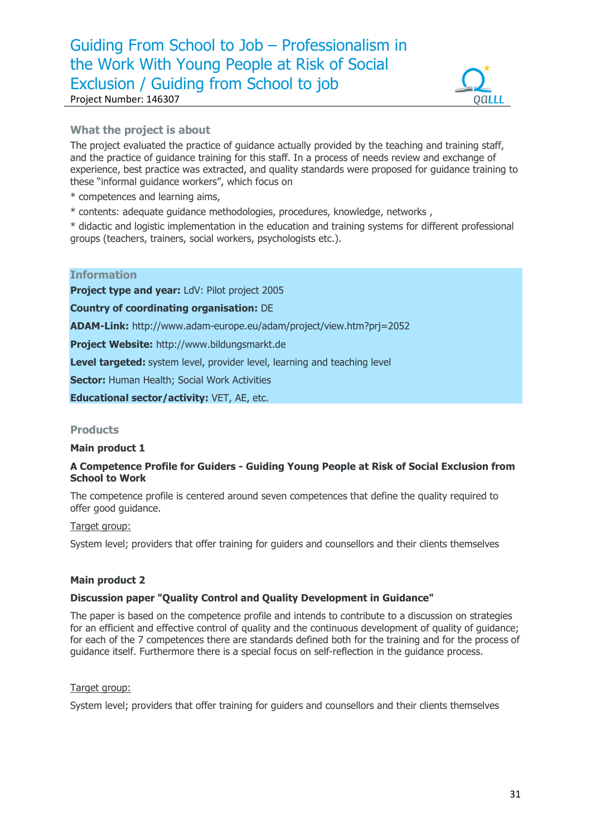# Guiding From School to Job – Professionalism in the Work With Young People at Risk of Social Exclusion / Guiding from School to job Project Number: 146307



# **What the project is about**

The project evaluated the practice of guidance actually provided by the teaching and training staff, and the practice of guidance training for this staff. In a process of needs review and exchange of experience, best practice was extracted, and quality standards were proposed for guidance training to these "informal guidance workers", which focus on

- \* competences and learning aims,
- \* contents: adequate guidance methodologies, procedures, knowledge, networks ,

\* didactic and logistic implementation in the education and training systems for different professional groups (teachers, trainers, social workers, psychologists etc.).

## **Information**

**Project type and year:** LdV: Pilot project 2005

**Country of coordinating organisation:** DE

**ADAM-Link:** http://www.adam-europe.eu/adam/project/view.htm?prj=2052

**Project Website:** http://www.bildungsmarkt.de

**Level targeted:** system level, provider level, learning and teaching level

**Sector:** Human Health; Social Work Activities

**Educational sector/activity:** VET, AE, etc.

# **Products**

**Main product 1** 

## **A Competence Profile for Guiders - Guiding Young People at Risk of Social Exclusion from School to Work**

The competence profile is centered around seven competences that define the quality required to offer good guidance.

#### Target group:

System level; providers that offer training for guiders and counsellors and their clients themselves

#### **Main product 2**

#### **Discussion paper "Quality Control and Quality Development in Guidance"**

The paper is based on the competence profile and intends to contribute to a discussion on strategies for an efficient and effective control of quality and the continuous development of quality of guidance; for each of the 7 competences there are standards defined both for the training and for the process of guidance itself. Furthermore there is a special focus on self-reflection in the guidance process.

#### Target group:

System level; providers that offer training for guiders and counsellors and their clients themselves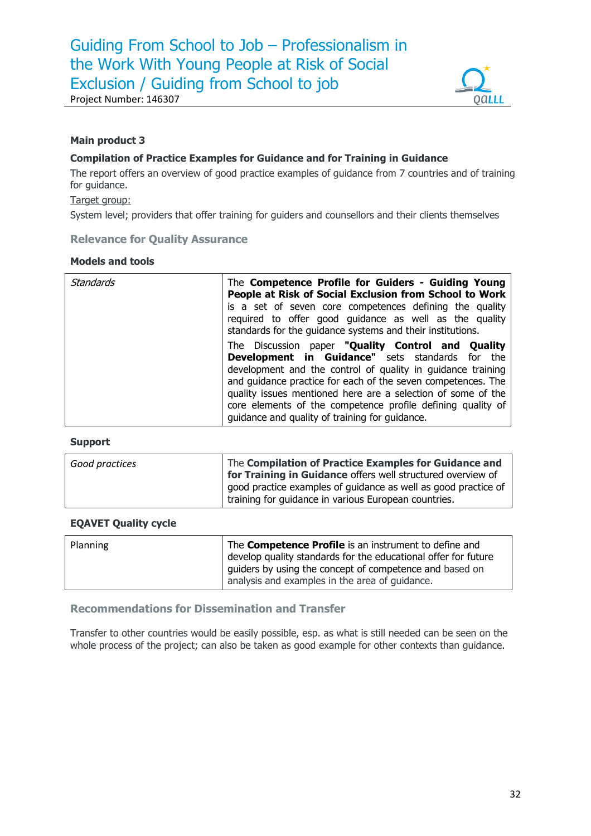

Project Number: 146307

# **Main product 3**

# **Compilation of Practice Examples for Guidance and for Training in Guidance**

The report offers an overview of good practice examples of guidance from 7 countries and of training for guidance.

# Target group:

System level; providers that offer training for guiders and counsellors and their clients themselves

# **Relevance for Quality Assurance**

## **Models and tools**

| Standards | The Competence Profile for Guiders - Guiding Young<br>People at Risk of Social Exclusion from School to Work<br>is a set of seven core competences defining the quality<br>required to offer good guidance as well as the quality<br>standards for the guidance systems and their institutions.                                                                                                                      |
|-----------|----------------------------------------------------------------------------------------------------------------------------------------------------------------------------------------------------------------------------------------------------------------------------------------------------------------------------------------------------------------------------------------------------------------------|
|           | The Discussion paper "Quality Control and Quality<br>Development in Guidance" sets standards for the<br>development and the control of quality in guidance training<br>and guidance practice for each of the seven competences. The<br>quality issues mentioned here are a selection of some of the<br>core elements of the competence profile defining quality of<br>guidance and quality of training for guidance. |

#### **Support**

# **EQAVET Quality cycle**

| Planning | The <b>Competence Profile</b> is an instrument to define and                                                                                                                |
|----------|-----------------------------------------------------------------------------------------------------------------------------------------------------------------------------|
|          | develop quality standards for the educational offer for future<br>guiders by using the concept of competence and based on<br>analysis and examples in the area of quidance. |
|          |                                                                                                                                                                             |

# **Recommendations for Dissemination and Transfer**

Transfer to other countries would be easily possible, esp. as what is still needed can be seen on the whole process of the project; can also be taken as good example for other contexts than guidance.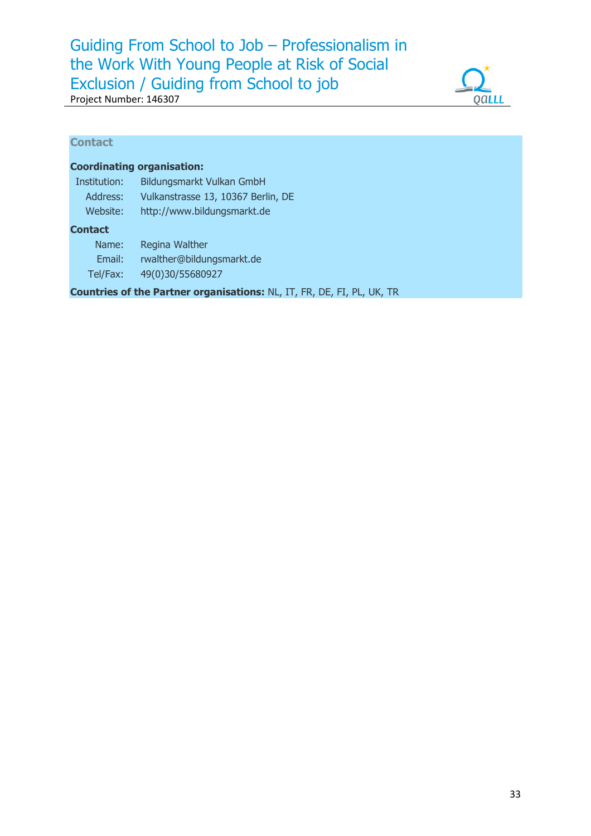# Guiding From School to Job – Professionalism in the Work With Young People at Risk of Social Exclusion / Guiding from School to job

Project Number: 146307



# **Contact**

|                | <b>Coordinating organisation:</b>                                             |
|----------------|-------------------------------------------------------------------------------|
| Institution:   | Bildungsmarkt Vulkan GmbH                                                     |
| Address:       | Vulkanstrasse 13, 10367 Berlin, DE                                            |
| Website:       | http://www.bildungsmarkt.de                                                   |
| <b>Contact</b> |                                                                               |
| Name:          | Regina Walther                                                                |
| Email:         | rwalther@bildungsmarkt.de                                                     |
| Tel/Fax:       | 49(0)30/55680927                                                              |
|                | <b>Countries of the Partner organisations: NL, IT, FR, DE, FI, PL, UK, TR</b> |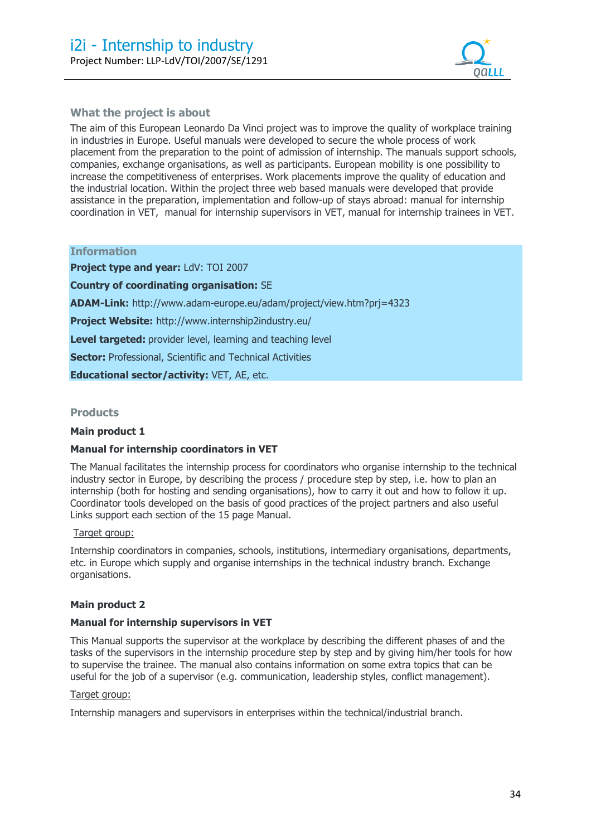

# **What the project is about**

The aim of this European Leonardo Da Vinci project was to improve the quality of workplace training in industries in Europe. Useful manuals were developed to secure the whole process of work placement from the preparation to the point of admission of internship. The manuals support schools, companies, exchange organisations, as well as participants. European mobility is one possibility to increase the competitiveness of enterprises. Work placements improve the quality of education and the industrial location. Within the project three web based manuals were developed that provide assistance in the preparation, implementation and follow-up of stays abroad: manual for internship coordination in VET, manual for internship supervisors in VET, manual for internship trainees in VET.

#### **Information**

**Project type and year:** LdV: TOI 2007

**Country of coordinating organisation:** SE

**ADAM-Link:** http://www.adam-europe.eu/adam/project/view.htm?prj=4323

**Project Website:** http://www.internship2industry.eu/

**Level targeted:** provider level, learning and teaching level

**Sector: Professional, Scientific and Technical Activities** 

**Educational sector/activity:** VET, AE, etc.

#### **Products**

#### **Main product 1**

#### **Manual for internship coordinators in VET**

The Manual facilitates the internship process for coordinators who organise internship to the technical industry sector in Europe, by describing the process / procedure step by step, i.e. how to plan an internship (both for hosting and sending organisations), how to carry it out and how to follow it up. Coordinator tools developed on the basis of good practices of the project partners and also useful Links support each section of the 15 page Manual.

#### Target group:

Internship coordinators in companies, schools, institutions, intermediary organisations, departments, etc. in Europe which supply and organise internships in the technical industry branch. Exchange organisations.

#### **Main product 2**

#### **Manual for internship supervisors in VET**

This Manual supports the supervisor at the workplace by describing the different phases of and the tasks of the supervisors in the internship procedure step by step and by giving him/her tools for how to supervise the trainee. The manual also contains information on some extra topics that can be useful for the job of a supervisor (e.g. communication, leadership styles, conflict management).

#### Target group:

Internship managers and supervisors in enterprises within the technical/industrial branch.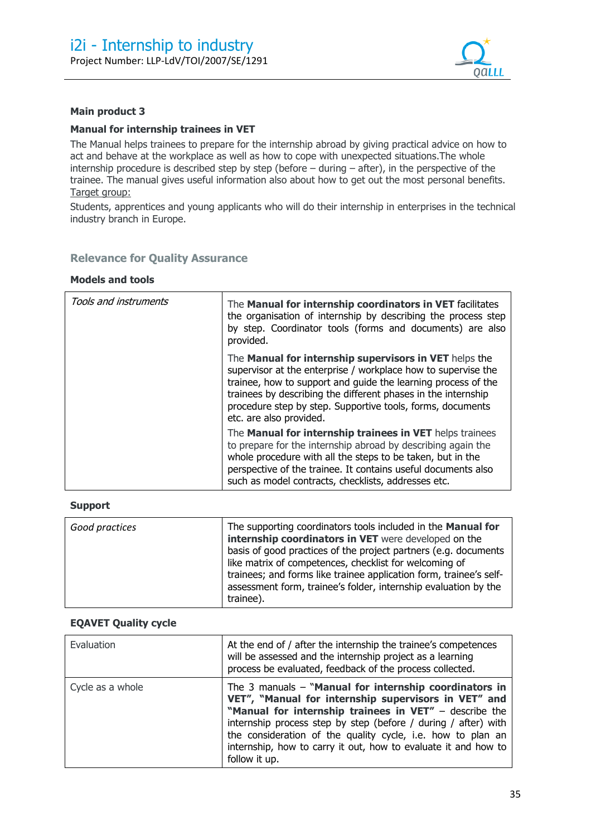

#### **Main product 3**

#### **Manual for internship trainees in VET**

The Manual helps trainees to prepare for the internship abroad by giving practical advice on how to act and behave at the workplace as well as how to cope with unexpected situations.The whole internship procedure is described step by step (before – during – after), in the perspective of the trainee. The manual gives useful information also about how to get out the most personal benefits. Target group:

Students, apprentices and young applicants who will do their internship in enterprises in the technical industry branch in Europe.

# **Relevance for Quality Assurance**

# **Models and tools**

| Tools and instruments | The Manual for internship coordinators in VET facilitates<br>the organisation of internship by describing the process step<br>by step. Coordinator tools (forms and documents) are also<br>provided.                                                                                                                                               |
|-----------------------|----------------------------------------------------------------------------------------------------------------------------------------------------------------------------------------------------------------------------------------------------------------------------------------------------------------------------------------------------|
|                       | The Manual for internship supervisors in VET helps the<br>supervisor at the enterprise / workplace how to supervise the<br>trainee, how to support and guide the learning process of the<br>trainees by describing the different phases in the internship<br>procedure step by step. Supportive tools, forms, documents<br>etc. are also provided. |
|                       | The Manual for internship trainees in VET helps trainees<br>to prepare for the internship abroad by describing again the<br>whole procedure with all the steps to be taken, but in the<br>perspective of the trainee. It contains useful documents also<br>such as model contracts, checklists, addresses etc.                                     |

#### **Support**

| Good practices | The supporting coordinators tools included in the <b>Manual for</b><br>internship coordinators in VET were developed on the<br>basis of good practices of the project partners (e.g. documents<br>like matrix of competences, checklist for welcoming of<br>trainees; and forms like trainee application form, trainee's self-<br>assessment form, trainee's folder, internship evaluation by the |
|----------------|---------------------------------------------------------------------------------------------------------------------------------------------------------------------------------------------------------------------------------------------------------------------------------------------------------------------------------------------------------------------------------------------------|
|                | trainee).                                                                                                                                                                                                                                                                                                                                                                                         |

#### **EQAVET Quality cycle**

| Evaluation       | At the end of / after the internship the trainee's competences<br>will be assessed and the internship project as a learning<br>process be evaluated, feedback of the process collected.                                                                                                                                                                                                      |
|------------------|----------------------------------------------------------------------------------------------------------------------------------------------------------------------------------------------------------------------------------------------------------------------------------------------------------------------------------------------------------------------------------------------|
| Cycle as a whole | The 3 manuals - "Manual for internship coordinators in<br>VET", "Manual for internship supervisors in VET" and<br>"Manual for internship trainees in VET" - describe the<br>internship process step by step (before / during / after) with<br>the consideration of the quality cycle, i.e. how to plan an<br>internship, how to carry it out, how to evaluate it and how to<br>follow it up. |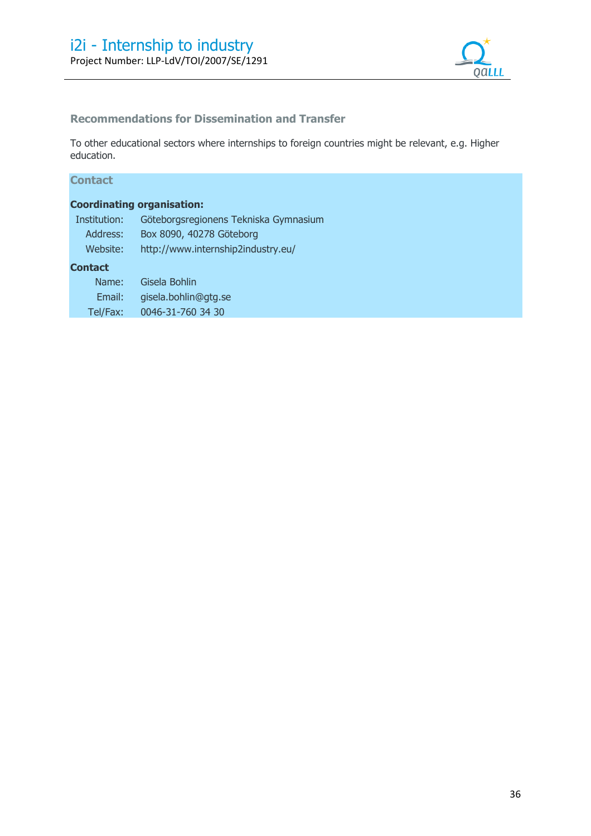

# **Recommendations for Dissemination and Transfer**

To other educational sectors where internships to foreign countries might be relevant, e.g. Higher education.

# **Contact**

| <b>Coordinating organisation:</b> |                                       |  |  |  |
|-----------------------------------|---------------------------------------|--|--|--|
| Institution:                      | Göteborgsregionens Tekniska Gymnasium |  |  |  |
| Address:                          | Box 8090, 40278 Göteborg              |  |  |  |
| Website:                          | http://www.internship2industry.eu/    |  |  |  |
| <b>Contact</b>                    |                                       |  |  |  |
| Name:                             | Gisela Bohlin                         |  |  |  |
| Email:                            | gisela.bohlin@gtg.se                  |  |  |  |
| Tel/Fax:                          | 0046-31-760 34 30                     |  |  |  |
|                                   |                                       |  |  |  |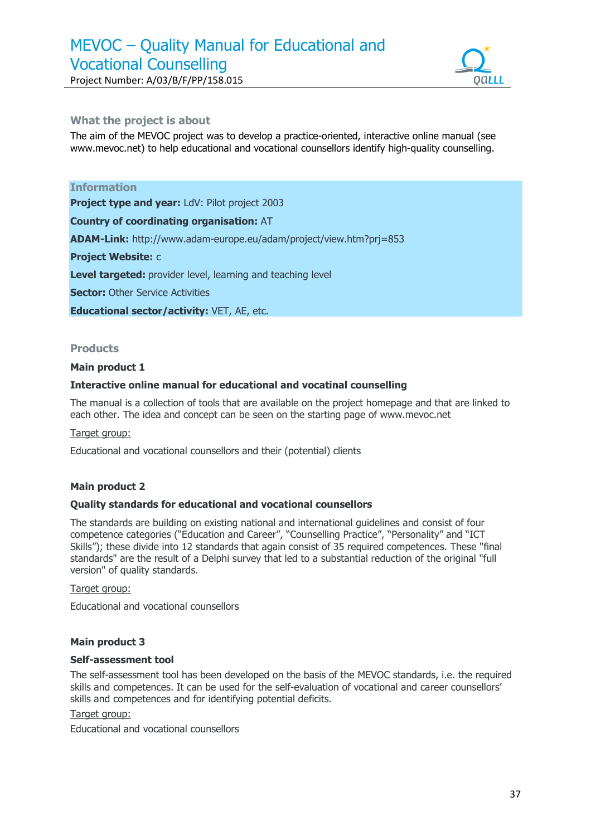# MEVOC – Quality Manual for Educational and Vocational Counselling

Project Number: A/03/B/F/PP/158.015



# **What the project is about**

The aim of the MEVOC project was to develop a practice-oriented, interactive online manual (see www.mevoc.net) to help educational and vocational counsellors identify high-quality counselling.

# **Information**

**Project type and year: LdV: Pilot project 2003** 

**Country of coordinating organisation:** AT

**ADAM-Link:** http://www.adam-europe.eu/adam/project/view.htm?prj=853

**Project Website:** c

**Level targeted:** provider level, learning and teaching level

**Sector: Other Service Activities** 

**Educational sector/activity:** VET, AE, etc.

#### **Products**

#### **Main product 1**

## **Interactive online manual for educational and vocatinal counselling**

The manual is a collection of tools that are available on the project homepage and that are linked to each other. The idea and concept can be seen on the starting page of www.mevoc.net

#### Target group:

Educational and vocational counsellors and their (potential) clients

## **Main product 2**

# **Quality standards for educational and vocational counsellors**

The standards are building on existing national and international guidelines and consist of four competence categories ("Education and Career", "Counselling Practice", "Personality" and "ICT Skills"); these divide into 12 standards that again consist of 35 required competences. These "final standards" are the result of a Delphi survey that led to a substantial reduction of the original "full version" of quality standards.

#### Target group:

Educational and vocational counsellors

## **Main product 3**

#### **Self-assessment tool**

The self-assessment tool has been developed on the basis of the MEVOC standards, i.e. the required skills and competences. It can be used for the self-evaluation of vocational and career counsellors' skills and competences and for identifying potential deficits.

## Target group:

Educational and vocational counsellors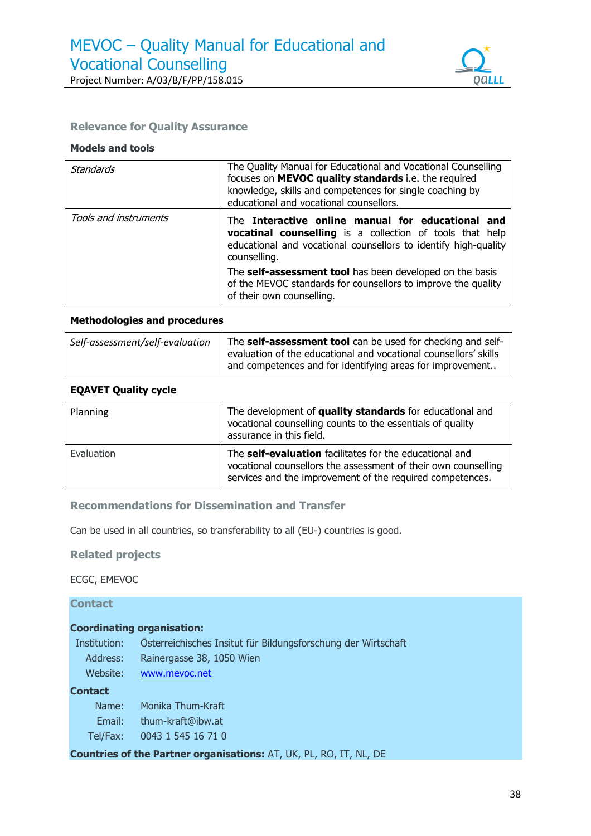

# **Relevance for Quality Assurance**

## **Models and tools**

| <b>Standards</b>      | The Quality Manual for Educational and Vocational Counselling<br>focuses on MEVOC quality standards i.e. the required<br>knowledge, skills and competences for single coaching by<br>educational and vocational counsellors. |
|-----------------------|------------------------------------------------------------------------------------------------------------------------------------------------------------------------------------------------------------------------------|
| Tools and instruments | The Interactive online manual for educational and<br>vocatinal counselling is a collection of tools that help<br>educational and vocational counsellors to identify high-quality<br>counselling.                             |
|                       | The self-assessment tool has been developed on the basis<br>of the MEVOC standards for counsellors to improve the quality<br>of their own counselling.                                                                       |

#### **Methodologies and procedures**

| Self-assessment/self-evaluation | The self-assessment tool can be used for checking and self-<br>evaluation of the educational and vocational counsellors' skills<br>and competences and for identifying areas for improvement |
|---------------------------------|----------------------------------------------------------------------------------------------------------------------------------------------------------------------------------------------|
|---------------------------------|----------------------------------------------------------------------------------------------------------------------------------------------------------------------------------------------|

## **EQAVET Quality cycle**

| Planning   | The development of quality standards for educational and<br>vocational counselling counts to the essentials of quality<br>assurance in this field.                                     |
|------------|----------------------------------------------------------------------------------------------------------------------------------------------------------------------------------------|
| Evaluation | The self-evaluation facilitates for the educational and<br>vocational counsellors the assessment of their own counselling<br>services and the improvement of the required competences. |

# **Recommendations for Dissemination and Transfer**

Can be used in all countries, so transferability to all (EU-) countries is good.

# **Related projects**

ECGC, EMEVOC

# **Contact**

# **Coordinating organisation:**

| Institution: | Österreichisches Insitut für Bildungsforschung der Wirtschaft |
|--------------|---------------------------------------------------------------|
| Address:     | Rainergasse 38, 1050 Wien                                     |
| Website:     | www.mevoc.net                                                 |
| Contact      |                                                               |
| Name:        | Monika Thum-Kraft                                             |
| Email:       | thum-kraft@ibw.at                                             |

Tel/Fax: 0043 1 545 16 71 0

**Countries of the Partner organisations:** AT, UK, PL, RO, IT, NL, DE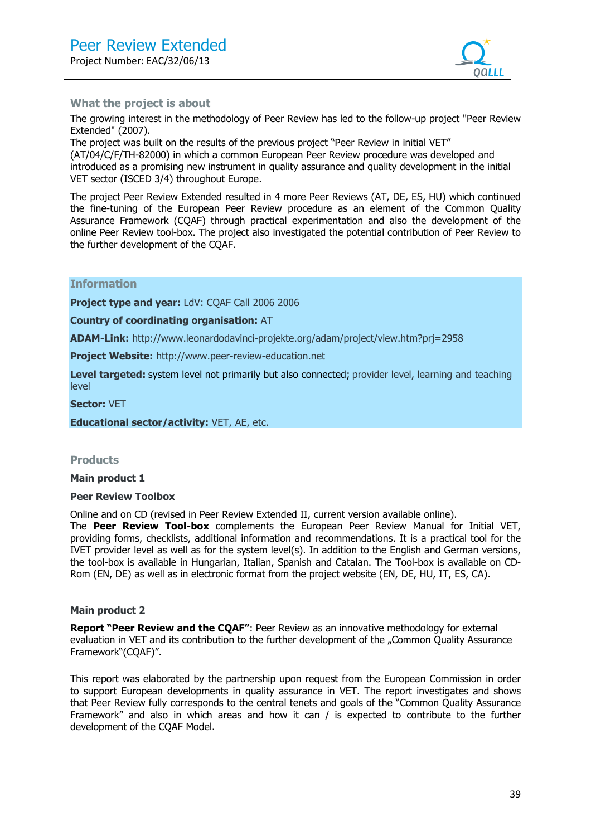

# **What the project is about**

The growing interest in the methodology of Peer Review has led to the follow-up project "Peer Review Extended" (2007).

The project was built on the results of the previous project "Peer Review in initial VET" (AT/04/C/F/TH-82000) in which a common European Peer Review procedure was developed and introduced as a promising new instrument in quality assurance and quality development in the initial VET sector (ISCED 3/4) throughout Europe.

The project Peer Review Extended resulted in 4 more Peer Reviews (AT, DE, ES, HU) which continued the fine-tuning of the European Peer Review procedure as an element of the Common Quality Assurance Framework (CQAF) through practical experimentation and also the development of the online Peer Review tool-box. The project also investigated the potential contribution of Peer Review to the further development of the CQAF.

# **Information**

**Project type and year:** LdV: CQAF Call 2006 2006

**Country of coordinating organisation:** AT

**ADAM-Link:** http://www.leonardodavinci-projekte.org/adam/project/view.htm?prj=2958

**Project Website:** http://www.peer-review-education.net

Level targeted: system level not primarily but also connected; provider level, learning and teaching level

**Sector:** VET

**Educational sector/activity:** VET, AE, etc.

#### **Products**

**Main product 1** 

#### **Peer Review Toolbox**

Online and on CD (revised in Peer Review Extended II, current version available online).

The **Peer Review Tool-box** complements the European Peer Review Manual for Initial VET, providing forms, checklists, additional information and recommendations. It is a practical tool for the IVET provider level as well as for the system level(s). In addition to the English and German versions, the tool-box is available in Hungarian, Italian, Spanish and Catalan. The Tool-box is available on CD-Rom (EN, DE) as well as in electronic format from the project website (EN, DE, HU, IT, ES, CA).

#### **Main product 2**

**Report "Peer Review and the CQAF": Peer Review as an innovative methodology for external** evaluation in VET and its contribution to the further development of the "Common Quality Assurance Framework"(CQAF)".

This report was elaborated by the partnership upon request from the European Commission in order to support European developments in quality assurance in VET. The report investigates and shows that Peer Review fully corresponds to the central tenets and goals of the "Common Quality Assurance Framework" and also in which areas and how it can / is expected to contribute to the further development of the CQAF Model.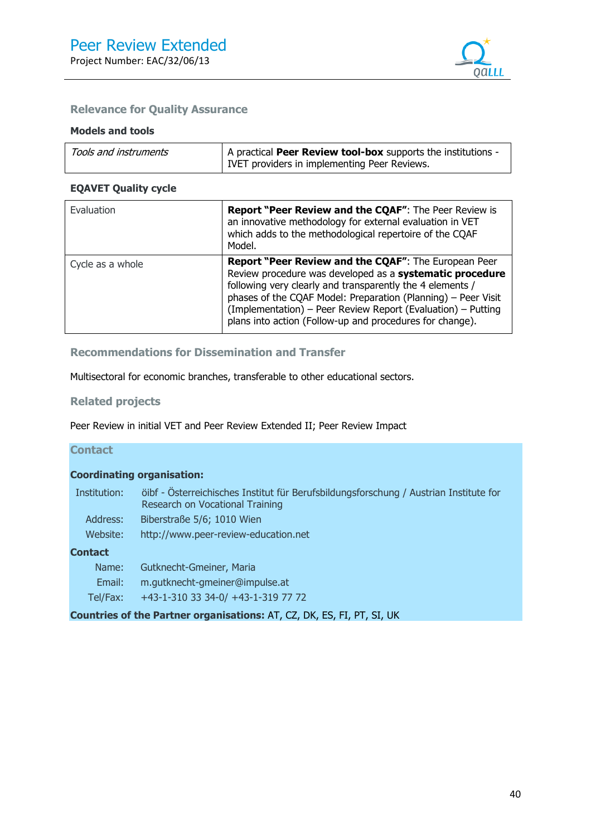

# **Relevance for Quality Assurance**

#### **Models and tools**

| Tools and instruments | A practical <b>Peer Review tool-box</b> supports the institutions - |
|-----------------------|---------------------------------------------------------------------|
|                       | I IVET providers in implementing Peer Reviews.                      |

## **EQAVET Quality cycle**

| Evaluation       | <b>Report "Peer Review and the CQAF":</b> The Peer Review is<br>an innovative methodology for external evaluation in VET<br>which adds to the methodological repertoire of the CQAF<br>Model.                                                                                                                                                                              |
|------------------|----------------------------------------------------------------------------------------------------------------------------------------------------------------------------------------------------------------------------------------------------------------------------------------------------------------------------------------------------------------------------|
| Cycle as a whole | Report "Peer Review and the CQAF": The European Peer<br>Review procedure was developed as a systematic procedure<br>following very clearly and transparently the 4 elements /<br>phases of the CQAF Model: Preparation (Planning) - Peer Visit<br>(Implementation) – Peer Review Report (Evaluation) – Putting<br>plans into action (Follow-up and procedures for change). |

# **Recommendations for Dissemination and Transfer**

Multisectoral for economic branches, transferable to other educational sectors.

# **Related projects**

Peer Review in initial VET and Peer Review Extended II; Peer Review Impact

# **Contact**

# **Coordinating organisation:**

| Institution: | öibf - Österreichisches Institut für Berufsbildungsforschung / Austrian Institute for<br>Research on Vocational Training |
|--------------|--------------------------------------------------------------------------------------------------------------------------|
| Address:     | Biberstraße 5/6; 1010 Wien                                                                                               |
| Website:     | http://www.peer-review-education.net                                                                                     |
| Contact      |                                                                                                                          |
| Name:        | Gutknecht-Gmeiner, Maria                                                                                                 |
| Email:       | m.gutknecht-gmeiner@impulse.at                                                                                           |
| Tel/Fax:     | +43-1-310 33 34-0/ +43-1-319 77 72                                                                                       |
|              | Countries of the Partner organisations: AT, CZ, DK, ES, FI, PT, SI, UK                                                   |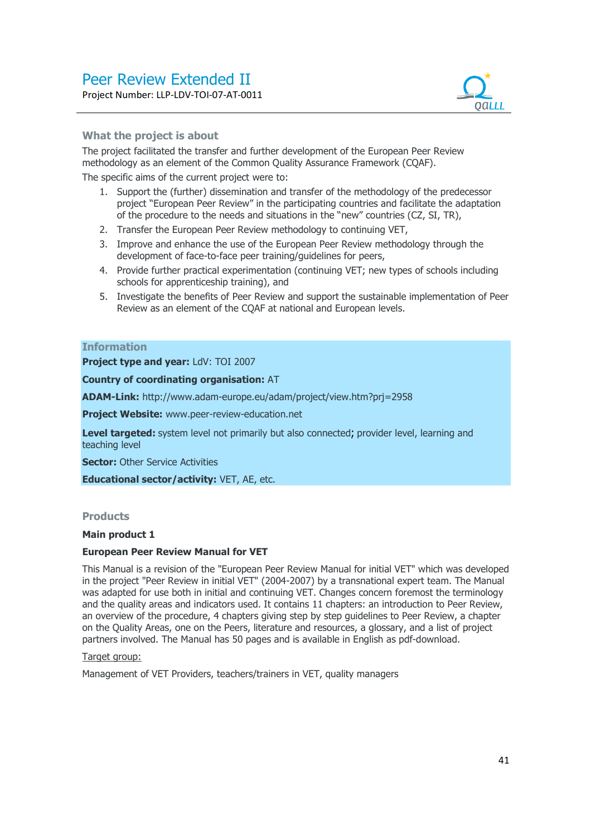

# **What the project is about**

The project facilitated the transfer and further development of the European Peer Review methodology as an element of the Common Quality Assurance Framework (CQAF).

The specific aims of the current project were to:

- 1. Support the (further) dissemination and transfer of the methodology of the predecessor project "European Peer Review" in the participating countries and facilitate the adaptation of the procedure to the needs and situations in the "new" countries (CZ, SI, TR),
- 2. Transfer the European Peer Review methodology to continuing VET,
- 3. Improve and enhance the use of the European Peer Review methodology through the development of face-to-face peer training/guidelines for peers,
- 4. Provide further practical experimentation (continuing VET; new types of schools including schools for apprenticeship training), and
- 5. Investigate the benefits of Peer Review and support the sustainable implementation of Peer Review as an element of the CQAF at national and European levels.

# **Information**

**Project type and year:** LdV: TOI 2007

**Country of coordinating organisation:** AT

**ADAM-Link:** http://www.adam-europe.eu/adam/project/view.htm?prj=2958

**Project Website:** www.peer-review-education.net

Level targeted: system level not primarily but also connected; provider level, learning and teaching level

**Sector: Other Service Activities** 

**Educational sector/activity:** VET, AE, etc.

## **Products**

#### **Main product 1**

## **European Peer Review Manual for VET**

This Manual is a revision of the "European Peer Review Manual for initial VET" which was developed in the project "Peer Review in initial VET" (2004-2007) by a transnational expert team. The Manual was adapted for use both in initial and continuing VET. Changes concern foremost the terminology and the quality areas and indicators used. It contains 11 chapters: an introduction to Peer Review, an overview of the procedure, 4 chapters giving step by step guidelines to Peer Review, a chapter on the Quality Areas, one on the Peers, literature and resources, a glossary, and a list of project partners involved. The Manual has 50 pages and is available in English as pdf-download.

#### Target group:

Management of VET Providers, teachers/trainers in VET, quality managers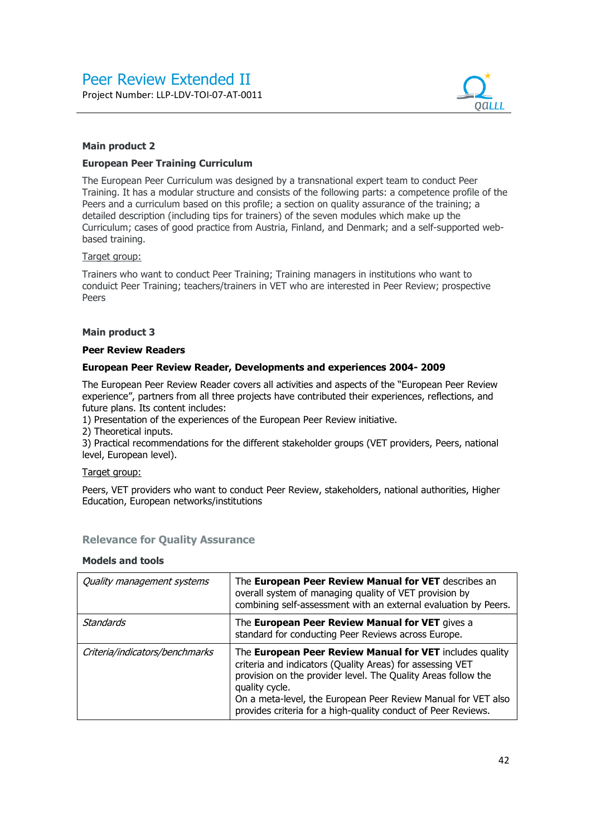

#### **Main product 2**

#### **European Peer Training Curriculum**

The European Peer Curriculum was designed by a transnational expert team to conduct Peer Training. It has a modular structure and consists of the following parts: a competence profile of the Peers and a curriculum based on this profile; a section on quality assurance of the training; a detailed description (including tips for trainers) of the seven modules which make up the Curriculum; cases of good practice from Austria, Finland, and Denmark; and a self-supported webbased training.

#### Target group:

Trainers who want to conduct Peer Training; Training managers in institutions who want to conduict Peer Training; teachers/trainers in VET who are interested in Peer Review; prospective Peers

# **Main product 3**

#### **Peer Review Readers**

#### **European Peer Review Reader, Developments and experiences 2004- 2009**

The European Peer Review Reader covers all activities and aspects of the "European Peer Review experience", partners from all three projects have contributed their experiences, reflections, and future plans. Its content includes:

1) Presentation of the experiences of the European Peer Review initiative.

2) Theoretical inputs.

3) Practical recommendations for the different stakeholder groups (VET providers, Peers, national level, European level).

#### Target group:

Peers, VET providers who want to conduct Peer Review, stakeholders, national authorities, Higher Education, European networks/institutions

#### **Relevance for Quality Assurance**

#### **Models and tools**

| Quality management systems     | The European Peer Review Manual for VET describes an<br>overall system of managing quality of VET provision by<br>combining self-assessment with an external evaluation by Peers.                                                                                                                                                          |
|--------------------------------|--------------------------------------------------------------------------------------------------------------------------------------------------------------------------------------------------------------------------------------------------------------------------------------------------------------------------------------------|
| Standards                      | The European Peer Review Manual for VET gives a<br>standard for conducting Peer Reviews across Europe.                                                                                                                                                                                                                                     |
| Criteria/indicators/benchmarks | The European Peer Review Manual for VET includes quality<br>criteria and indicators (Quality Areas) for assessing VET<br>provision on the provider level. The Quality Areas follow the<br>quality cycle.<br>On a meta-level, the European Peer Review Manual for VET also<br>provides criteria for a high-quality conduct of Peer Reviews. |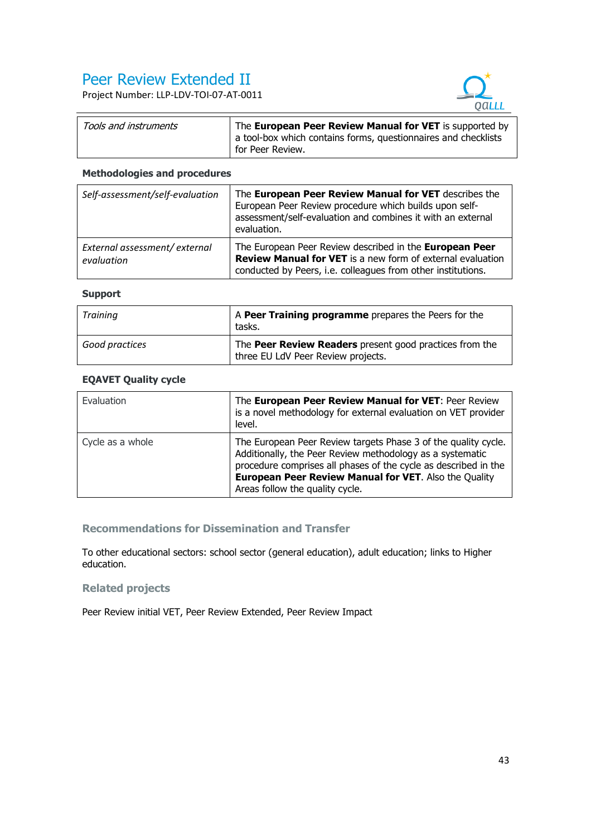# Peer Review Extended II

Project Number: LLP-LDV-TOI-07-AT-0011



| Tools and instruments | The <b>European Peer Review Manual for VET</b> is supported by                       |
|-----------------------|--------------------------------------------------------------------------------------|
|                       | a tool-box which contains forms, questionnaires and checklists<br>l for Peer Review. |

## **Methodologies and procedures**

| Self-assessment/self-evaluation            | The European Peer Review Manual for VET describes the<br>European Peer Review procedure which builds upon self-<br>assessment/self-evaluation and combines it with an external<br>evaluation. |
|--------------------------------------------|-----------------------------------------------------------------------------------------------------------------------------------------------------------------------------------------------|
| External assessment/external<br>evaluation | The European Peer Review described in the European Peer<br>Review Manual for VET is a new form of external evaluation<br>conducted by Peers, i.e. colleagues from other institutions.         |

#### **Support**

| Training       | A Peer Training programme prepares the Peers for the<br>tasks.                                |
|----------------|-----------------------------------------------------------------------------------------------|
| Good practices | The Peer Review Readers present good practices from the<br>three EU LdV Peer Review projects. |

# **EQAVET Quality cycle**

| Evaluation       | The European Peer Review Manual for VET: Peer Review<br>is a novel methodology for external evaluation on VET provider<br>level.                                                                                                                                                           |
|------------------|--------------------------------------------------------------------------------------------------------------------------------------------------------------------------------------------------------------------------------------------------------------------------------------------|
| Cycle as a whole | The European Peer Review targets Phase 3 of the quality cycle.<br>Additionally, the Peer Review methodology as a systematic<br>procedure comprises all phases of the cycle as described in the<br>European Peer Review Manual for VET. Also the Quality<br>Areas follow the quality cycle. |

# **Recommendations for Dissemination and Transfer**

To other educational sectors: school sector (general education), adult education; links to Higher education.

# **Related projects**

Peer Review initial VET, Peer Review Extended, Peer Review Impact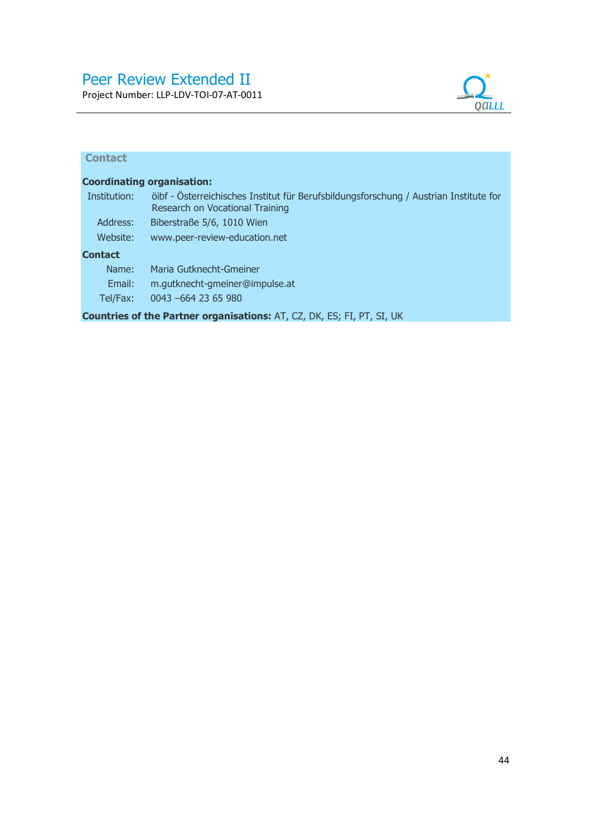

# **Contact**

|                | <b>Coordinating organisation:</b>                                                                                        |
|----------------|--------------------------------------------------------------------------------------------------------------------------|
| Institution:   | öibf - Österreichisches Institut für Berufsbildungsforschung / Austrian Institute for<br>Research on Vocational Training |
| Address:       | Biberstraße 5/6, 1010 Wien                                                                                               |
| Website:       | www.peer-review-education.net                                                                                            |
| <b>Contact</b> |                                                                                                                          |
| Name:          | Maria Gutknecht-Gmeiner                                                                                                  |
| Email:         | m.gutknecht-gmeiner@impulse.at                                                                                           |
| Tel/Fax:       | $0043 - 6642365980$                                                                                                      |
|                | <b>Countries of the Partner organisations: AT, CZ, DK, ES; FI, PT, SI, UK</b>                                            |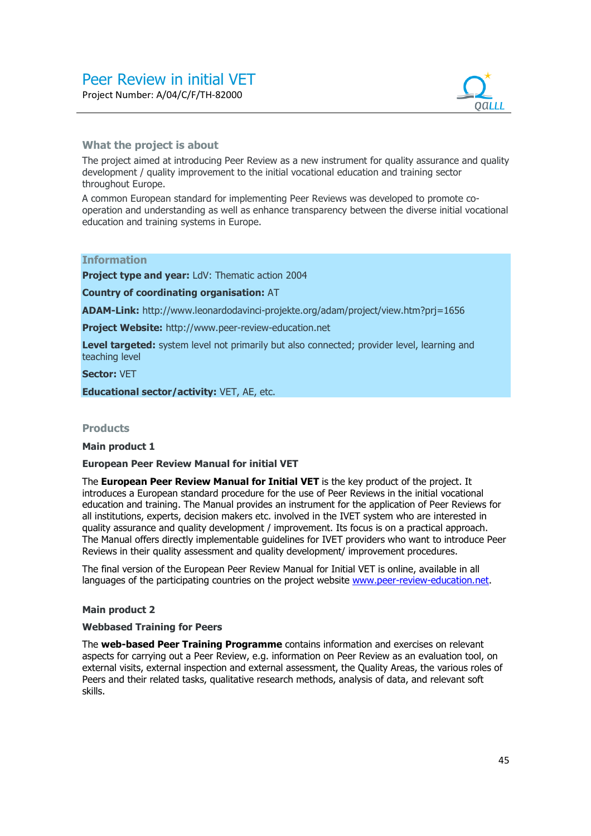

## **What the project is about**

The project aimed at introducing Peer Review as a new instrument for quality assurance and quality development / quality improvement to the initial vocational education and training sector throughout Europe.

A common European standard for implementing Peer Reviews was developed to promote cooperation and understanding as well as enhance transparency between the diverse initial vocational education and training systems in Europe.

## **Information**

**Project type and year:** LdV: Thematic action 2004

**Country of coordinating organisation:** AT

**ADAM-Link:** http://www.leonardodavinci-projekte.org/adam/project/view.htm?prj=1656

**Project Website:** http://www.peer-review-education.net

**Level targeted:** system level not primarily but also connected; provider level, learning and teaching level

**Sector:** VET

**Educational sector/activity:** VET, AE, etc.

# **Products**

**Main product 1** 

**European Peer Review Manual for initial VET** 

The **European Peer Review Manual for Initial VET** is the key product of the project. It introduces a European standard procedure for the use of Peer Reviews in the initial vocational education and training. The Manual provides an instrument for the application of Peer Reviews for all institutions, experts, decision makers etc. involved in the IVET system who are interested in quality assurance and quality development / improvement. Its focus is on a practical approach. The Manual offers directly implementable guidelines for IVET providers who want to introduce Peer Reviews in their quality assessment and quality development/ improvement procedures.

The final version of the European Peer Review Manual for Initial VET is online, available in all languages of the participating countries on the project website www.peer-review-education.net.

## **Main product 2**

#### **Webbased Training for Peers**

The **web-based Peer Training Programme** contains information and exercises on relevant aspects for carrying out a Peer Review, e.g. information on Peer Review as an evaluation tool, on external visits, external inspection and external assessment, the Quality Areas, the various roles of Peers and their related tasks, qualitative research methods, analysis of data, and relevant soft skills.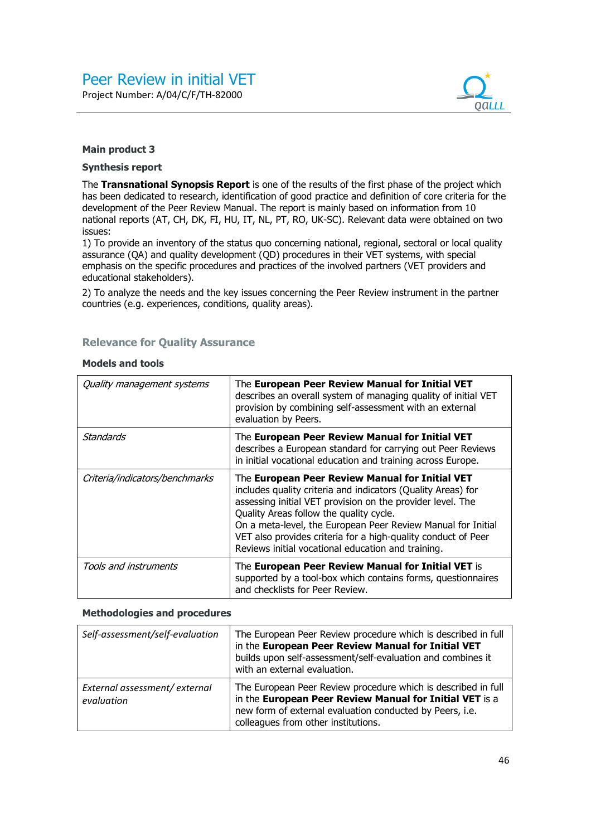

## **Main product 3**

#### **Synthesis report**

The **Transnational Synopsis Report** is one of the results of the first phase of the project which has been dedicated to research, identification of good practice and definition of core criteria for the development of the Peer Review Manual. The report is mainly based on information from 10 national reports (AT, CH, DK, FI, HU, IT, NL, PT, RO, UK-SC). Relevant data were obtained on two issues:

1) To provide an inventory of the status quo concerning national, regional, sectoral or local quality assurance (QA) and quality development (QD) procedures in their VET systems, with special emphasis on the specific procedures and practices of the involved partners (VET providers and educational stakeholders).

2) To analyze the needs and the key issues concerning the Peer Review instrument in the partner countries (e.g. experiences, conditions, quality areas).

|  |  |  | <b>Relevance for Quality Assurance</b> |
|--|--|--|----------------------------------------|
|--|--|--|----------------------------------------|

| Quality management systems     | The European Peer Review Manual for Initial VET<br>describes an overall system of managing quality of initial VET<br>provision by combining self-assessment with an external<br>evaluation by Peers.                                                                                                                                                                                                            |
|--------------------------------|-----------------------------------------------------------------------------------------------------------------------------------------------------------------------------------------------------------------------------------------------------------------------------------------------------------------------------------------------------------------------------------------------------------------|
| Standards                      | The European Peer Review Manual for Initial VET<br>describes a European standard for carrying out Peer Reviews<br>in initial vocational education and training across Europe.                                                                                                                                                                                                                                   |
| Criteria/indicators/benchmarks | The European Peer Review Manual for Initial VET<br>includes quality criteria and indicators (Quality Areas) for<br>assessing initial VET provision on the provider level. The<br>Quality Areas follow the quality cycle.<br>On a meta-level, the European Peer Review Manual for Initial<br>VET also provides criteria for a high-quality conduct of Peer<br>Reviews initial vocational education and training. |
| Tools and instruments          | The European Peer Review Manual for Initial VET is<br>supported by a tool-box which contains forms, questionnaires<br>and checklists for Peer Review.                                                                                                                                                                                                                                                           |

#### **Models and tools**

#### **Methodologies and procedures**

| Self-assessment/self-evaluation             | The European Peer Review procedure which is described in full<br>in the European Peer Review Manual for Initial VET<br>builds upon self-assessment/self-evaluation and combines it<br>with an external evaluation.          |
|---------------------------------------------|-----------------------------------------------------------------------------------------------------------------------------------------------------------------------------------------------------------------------------|
| External assessment/ external<br>evaluation | The European Peer Review procedure which is described in full<br>in the European Peer Review Manual for Initial VET is a<br>new form of external evaluation conducted by Peers, i.e.<br>colleagues from other institutions. |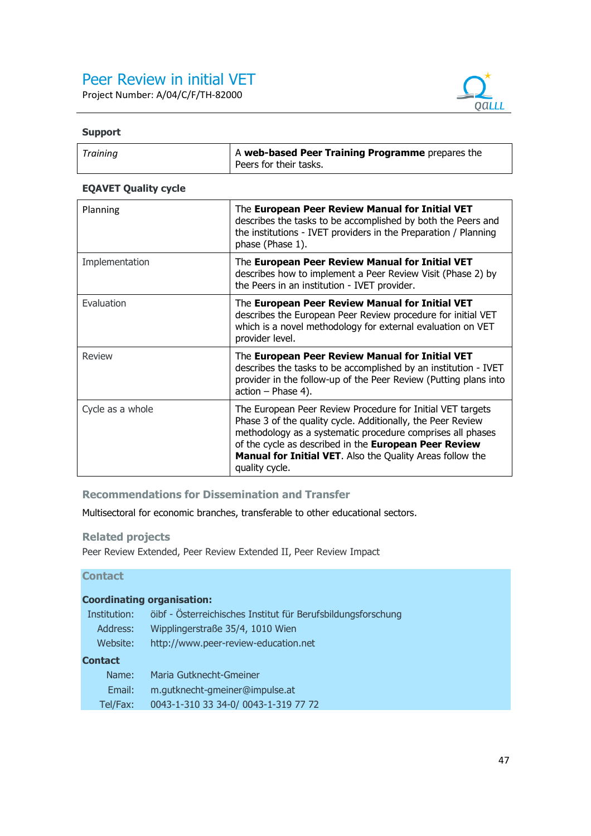

# **Support**

| Training | A web-based Peer Training Programme prepares the |
|----------|--------------------------------------------------|
|          | Peers for their tasks.                           |

# **EQAVET Quality cycle**

| Planning         | The European Peer Review Manual for Initial VET<br>describes the tasks to be accomplished by both the Peers and<br>the institutions - IVET providers in the Preparation / Planning<br>phase (Phase 1).                                                                                                                          |
|------------------|---------------------------------------------------------------------------------------------------------------------------------------------------------------------------------------------------------------------------------------------------------------------------------------------------------------------------------|
| Implementation   | The European Peer Review Manual for Initial VET<br>describes how to implement a Peer Review Visit (Phase 2) by<br>the Peers in an institution - IVET provider.                                                                                                                                                                  |
| Evaluation       | The European Peer Review Manual for Initial VET<br>describes the European Peer Review procedure for initial VET<br>which is a novel methodology for external evaluation on VET<br>provider level.                                                                                                                               |
| Review           | The European Peer Review Manual for Initial VET<br>describes the tasks to be accomplished by an institution - IVET<br>provider in the follow-up of the Peer Review (Putting plans into<br>$action - Phase 4).$                                                                                                                  |
| Cycle as a whole | The European Peer Review Procedure for Initial VET targets<br>Phase 3 of the quality cycle. Additionally, the Peer Review<br>methodology as a systematic procedure comprises all phases<br>of the cycle as described in the European Peer Review<br>Manual for Initial VET. Also the Quality Areas follow the<br>quality cycle. |

# **Recommendations for Dissemination and Transfer**

Multisectoral for economic branches, transferable to other educational sectors.

# **Related projects**

Peer Review Extended, Peer Review Extended II, Peer Review Impact

# **Contact**

#### **Coordinating organisation:**

| Institution: | öibf - Österreichisches Institut für Berufsbildungsforschung |
|--------------|--------------------------------------------------------------|
| Address:     | Wipplingerstraße 35/4, 1010 Wien                             |
| Website:     | http://www.peer-review-education.net                         |
| Contact      |                                                              |
|              |                                                              |
| Name:        | Maria Gutknecht-Gmeiner                                      |
| Email:       | m.gutknecht-gmeiner@impulse.at                               |

Tel/Fax: 0043-1-310 33 34-0/ 0043-1-319 77 72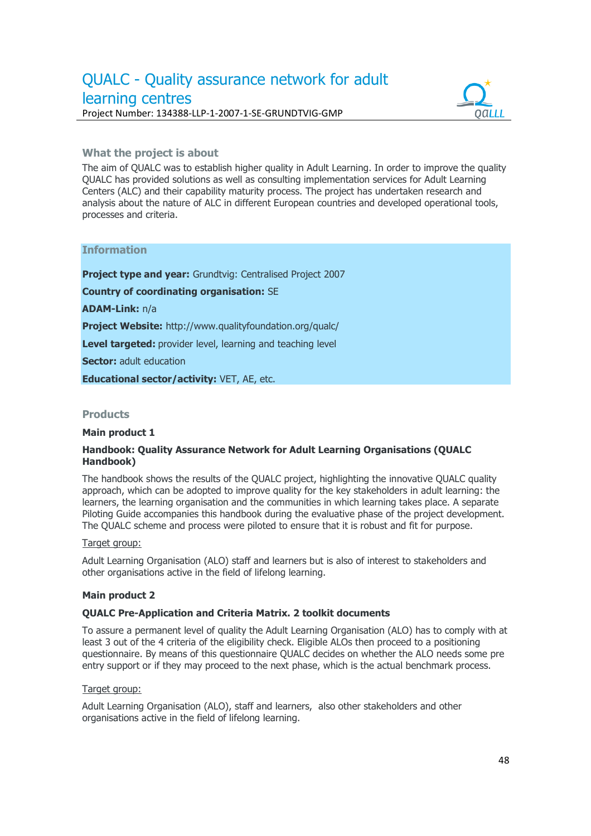# QUALC - Quality assurance network for adult learning centres Project Number: 134388-LLP-1-2007-1-SE-GRUNDTVIG-GMP



# **What the project is about**

The aim of QUALC was to establish higher quality in Adult Learning. In order to improve the quality QUALC has provided solutions as well as consulting implementation services for Adult Learning Centers (ALC) and their capability maturity process. The project has undertaken research and analysis about the nature of ALC in different European countries and developed operational tools, processes and criteria.

# **Information**

**Project type and year:** Grundtvig: Centralised Project 2007

**Country of coordinating organisation:** SE

**ADAM-Link:** n/a

**Project Website:** http://www.qualityfoundation.org/qualc/

**Level targeted:** provider level, learning and teaching level

**Sector:** adult education

**Educational sector/activity:** VET, AE, etc.

# **Products**

## **Main product 1**

# **Handbook: Quality Assurance Network for Adult Learning Organisations (QUALC Handbook)**

The handbook shows the results of the QUALC project, highlighting the innovative QUALC quality approach, which can be adopted to improve quality for the key stakeholders in adult learning: the learners, the learning organisation and the communities in which learning takes place. A separate Piloting Guide accompanies this handbook during the evaluative phase of the project development. The QUALC scheme and process were piloted to ensure that it is robust and fit for purpose.

## Target group:

Adult Learning Organisation (ALO) staff and learners but is also of interest to stakeholders and other organisations active in the field of lifelong learning.

# **Main product 2**

## **QUALC Pre-Application and Criteria Matrix. 2 toolkit documents**

To assure a permanent level of quality the Adult Learning Organisation (ALO) has to comply with at least 3 out of the 4 criteria of the eligibility check. Eligible ALOs then proceed to a positioning questionnaire. By means of this questionnaire QUALC decides on whether the ALO needs some pre entry support or if they may proceed to the next phase, which is the actual benchmark process.

## Target group:

Adult Learning Organisation (ALO), staff and learners, also other stakeholders and other organisations active in the field of lifelong learning.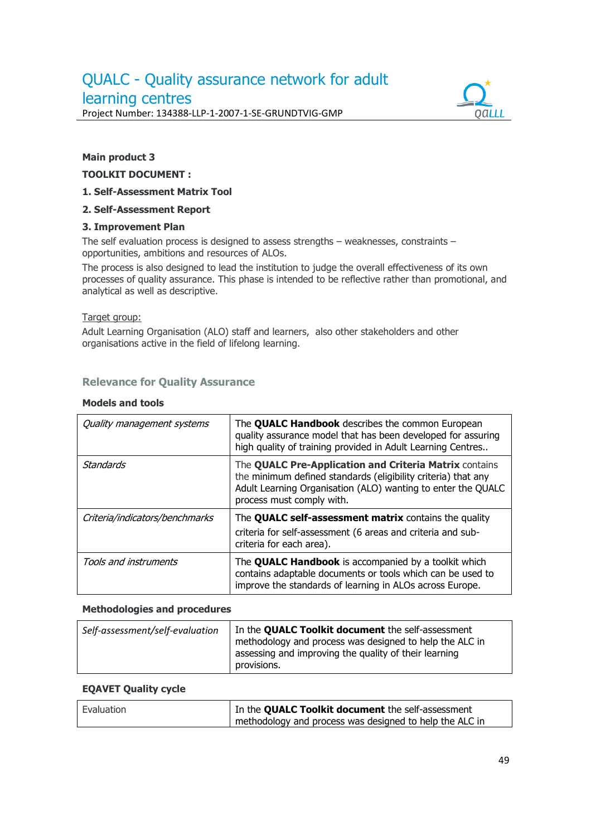# QUALC - Quality assurance network for adult learning centres





# **Main product 3**

# **TOOLKIT DOCUMENT :**

**1. Self-Assessment Matrix Tool** 

#### **2. Self-Assessment Report**

#### **3. Improvement Plan**

The self evaluation process is designed to assess strengths – weaknesses, constraints – opportunities, ambitions and resources of ALOs.

The process is also designed to lead the institution to judge the overall effectiveness of its own processes of quality assurance. This phase is intended to be reflective rather than promotional, and analytical as well as descriptive.

#### Target group:

Adult Learning Organisation (ALO) staff and learners, also other stakeholders and other organisations active in the field of lifelong learning.

# **Relevance for Quality Assurance**

#### **Models and tools**

| Quality management systems     | The <b>QUALC Handbook</b> describes the common European<br>quality assurance model that has been developed for assuring<br>high quality of training provided in Adult Learning Centres                               |
|--------------------------------|----------------------------------------------------------------------------------------------------------------------------------------------------------------------------------------------------------------------|
| Standards                      | The QUALC Pre-Application and Criteria Matrix contains<br>the minimum defined standards (eligibility criteria) that any<br>Adult Learning Organisation (ALO) wanting to enter the QUALC<br>process must comply with. |
| Criteria/indicators/benchmarks | The <b>QUALC self-assessment matrix</b> contains the quality<br>criteria for self-assessment (6 areas and criteria and sub-<br>criteria for each area).                                                              |
| Tools and instruments          | The <b>QUALC Handbook</b> is accompanied by a toolkit which<br>contains adaptable documents or tools which can be used to<br>improve the standards of learning in ALOs across Europe.                                |

#### **Methodologies and procedures**

| Self-assessment/self-evaluation | In the <b>QUALC Toolkit document</b> the self-assessment                                                                        |
|---------------------------------|---------------------------------------------------------------------------------------------------------------------------------|
|                                 | methodology and process was designed to help the ALC in<br>assessing and improving the quality of their learning<br>provisions. |

#### **EQAVET Quality cycle**

| Evaluation | In the <b>QUALC Toolkit document</b> the self-assessment  |
|------------|-----------------------------------------------------------|
|            | I methodology and process was designed to help the ALC in |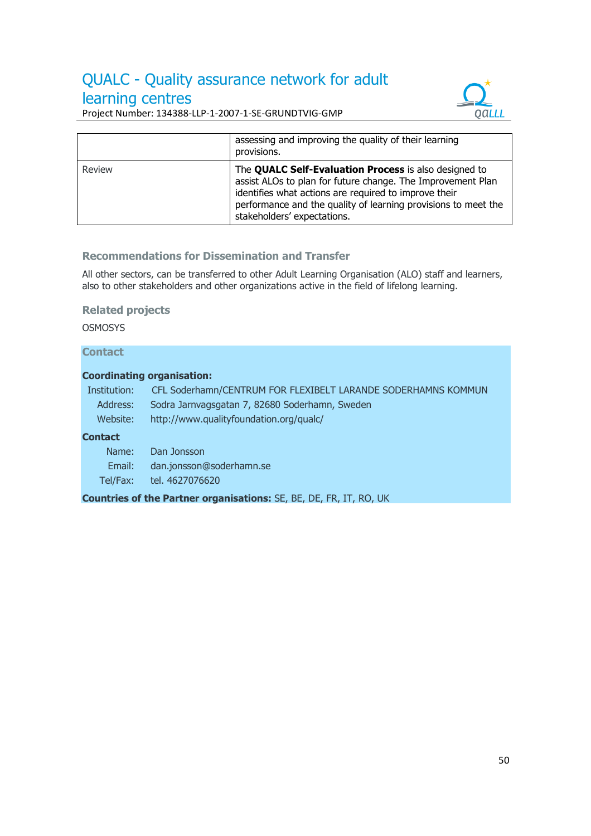# QUALC - Quality assurance network for adult learning centres



Project Number: 134388-LLP-1-2007-1-SE-GRUNDTVIG-GMP

|        | assessing and improving the quality of their learning<br>provisions.                                                                                                                                                                                                                  |
|--------|---------------------------------------------------------------------------------------------------------------------------------------------------------------------------------------------------------------------------------------------------------------------------------------|
| Review | The <b>QUALC Self-Evaluation Process</b> is also designed to<br>assist ALOs to plan for future change. The Improvement Plan<br>identifies what actions are required to improve their<br>performance and the quality of learning provisions to meet the<br>stakeholders' expectations. |

# **Recommendations for Dissemination and Transfer**

All other sectors, can be transferred to other Adult Learning Organisation (ALO) staff and learners, also to other stakeholders and other organizations active in the field of lifelong learning.

# **Related projects**

**OSMOSYS** 

# **Contact**

# **Coordinating organisation:**

| Institution: | CFL Soderhamn/CENTRUM FOR FLEXIBELT LARANDE SODERHAMNS KOMMUN |
|--------------|---------------------------------------------------------------|
| Address:     | Sodra Jarnvagsgatan 7, 82680 Soderhamn, Sweden                |
| Website:     | http://www.qualityfoundation.org/qualc/                       |
| Contact      |                                                               |

| Name: | Dan Jonsson                     |
|-------|---------------------------------|
|       | Email: dan.jonsson@soderhamn.se |
|       | Tel/Fax: tel. 4627076620        |

**Countries of the Partner organisations:** SE, BE, DE, FR, IT, RO, UK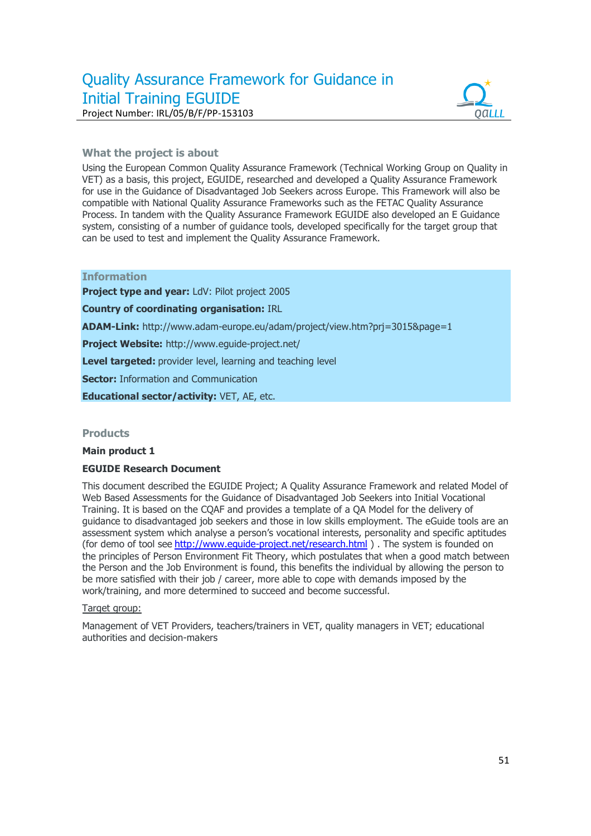

## **What the project is about**

Using the European Common Quality Assurance Framework (Technical Working Group on Quality in VET) as a basis, this project, EGUIDE, researched and developed a Quality Assurance Framework for use in the Guidance of Disadvantaged Job Seekers across Europe. This Framework will also be compatible with National Quality Assurance Frameworks such as the FETAC Quality Assurance Process. In tandem with the Quality Assurance Framework EGUIDE also developed an E Guidance system, consisting of a number of guidance tools, developed specifically for the target group that can be used to test and implement the Quality Assurance Framework.

#### **Information**

**Project type and year: LdV: Pilot project 2005** 

**Country of coordinating organisation:** IRL

**ADAM-Link:** http://www.adam-europe.eu/adam/project/view.htm?prj=3015&page=1

**Project Website:** http://www.eguide-project.net/

**Level targeted:** provider level, learning and teaching level

**Sector: Information and Communication** 

**Educational sector/activity:** VET, AE, etc.

#### **Products**

#### **Main product 1**

#### **EGUIDE Research Document**

This document described the EGUIDE Project; A Quality Assurance Framework and related Model of Web Based Assessments for the Guidance of Disadvantaged Job Seekers into Initial Vocational Training. It is based on the CQAF and provides a template of a QA Model for the delivery of guidance to disadvantaged job seekers and those in low skills employment. The eGuide tools are an assessment system which analyse a person's vocational interests, personality and specific aptitudes (for demo of tool see http://www.equide-project.net/research.html). The system is founded on the principles of Person Environment Fit Theory, which postulates that when a good match between the Person and the Job Environment is found, this benefits the individual by allowing the person to be more satisfied with their job / career, more able to cope with demands imposed by the work/training, and more determined to succeed and become successful.

#### Target group:

Management of VET Providers, teachers/trainers in VET, quality managers in VET; educational authorities and decision-makers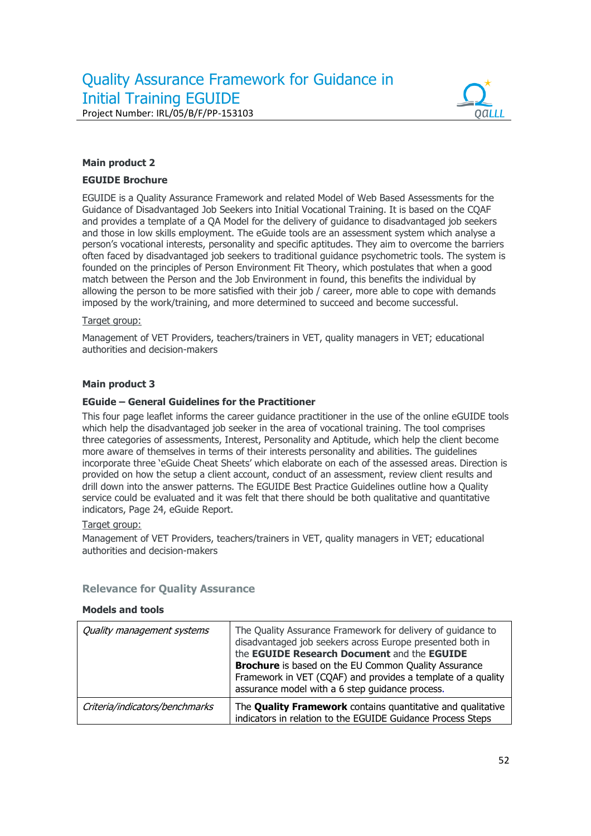

#### **Main product 2**

#### **EGUIDE Brochure**

EGUIDE is a Quality Assurance Framework and related Model of Web Based Assessments for the Guidance of Disadvantaged Job Seekers into Initial Vocational Training. It is based on the CQAF and provides a template of a QA Model for the delivery of guidance to disadvantaged job seekers and those in low skills employment. The eGuide tools are an assessment system which analyse a person's vocational interests, personality and specific aptitudes. They aim to overcome the barriers often faced by disadvantaged job seekers to traditional guidance psychometric tools. The system is founded on the principles of Person Environment Fit Theory, which postulates that when a good match between the Person and the Job Environment in found, this benefits the individual by allowing the person to be more satisfied with their job / career, more able to cope with demands imposed by the work/training, and more determined to succeed and become successful.

#### Target group:

Management of VET Providers, teachers/trainers in VET, quality managers in VET; educational authorities and decision-makers

#### **Main product 3**

#### **EGuide – General Guidelines for the Practitioner**

This four page leaflet informs the career guidance practitioner in the use of the online eGUIDE tools which help the disadvantaged job seeker in the area of vocational training. The tool comprises three categories of assessments, Interest, Personality and Aptitude, which help the client become more aware of themselves in terms of their interests personality and abilities. The guidelines incorporate three 'eGuide Cheat Sheets' which elaborate on each of the assessed areas. Direction is provided on how the setup a client account, conduct of an assessment, review client results and drill down into the answer patterns. The EGUIDE Best Practice Guidelines outline how a Quality service could be evaluated and it was felt that there should be both qualitative and quantitative indicators, Page 24, eGuide Report.

#### Target group:

Management of VET Providers, teachers/trainers in VET, quality managers in VET; educational authorities and decision-makers

#### **Relevance for Quality Assurance**

#### **Models and tools**

| Quality management systems     | The Quality Assurance Framework for delivery of guidance to<br>disadvantaged job seekers across Europe presented both in<br>the EGUIDE Research Document and the EGUIDE<br><b>Brochure</b> is based on the EU Common Quality Assurance<br>Framework in VET (CQAF) and provides a template of a quality<br>assurance model with a 6 step guidance process. |
|--------------------------------|-----------------------------------------------------------------------------------------------------------------------------------------------------------------------------------------------------------------------------------------------------------------------------------------------------------------------------------------------------------|
| Criteria/indicators/benchmarks | The <b>Quality Framework</b> contains quantitative and qualitative<br>indicators in relation to the EGUIDE Guidance Process Steps                                                                                                                                                                                                                         |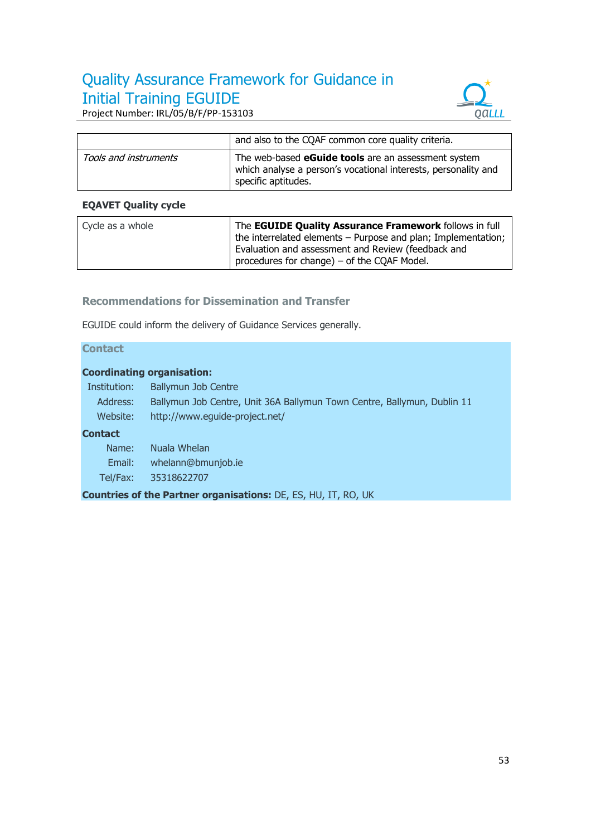# Quality Assurance Framework for Guidance in Initial Training EGUIDE



Project Number: IRL/05/B/F/PP-153103

|                       | and also to the CQAF common core quality criteria.                                                                                                  |
|-----------------------|-----------------------------------------------------------------------------------------------------------------------------------------------------|
| Tools and instruments | The web-based <b>eGuide tools</b> are an assessment system<br>which analyse a person's vocational interests, personality and<br>specific aptitudes. |

# **EQAVET Quality cycle**

| Cycle as a whole | The EGUIDE Quality Assurance Framework follows in full        |
|------------------|---------------------------------------------------------------|
|                  | the interrelated elements – Purpose and plan; Implementation; |
|                  | Evaluation and assessment and Review (feedback and            |
|                  | procedures for change) – of the CQAF Model.                   |

# **Recommendations for Dissemination and Transfer**

EGUIDE could inform the delivery of Guidance Services generally.

# **Contact**

# **Coordinating organisation:**

| <b>Ballymun Job Centre</b>                                              |
|-------------------------------------------------------------------------|
| Ballymun Job Centre, Unit 36A Ballymun Town Centre, Ballymun, Dublin 11 |
| http://www.equide-project.net/                                          |
|                                                                         |
| Nuala Whelan                                                            |
| whelann@bmunjob.ie                                                      |
| 35318622707                                                             |
| Countries of the Partner organisations: DE, ES, HU, IT, RO, UK          |
|                                                                         |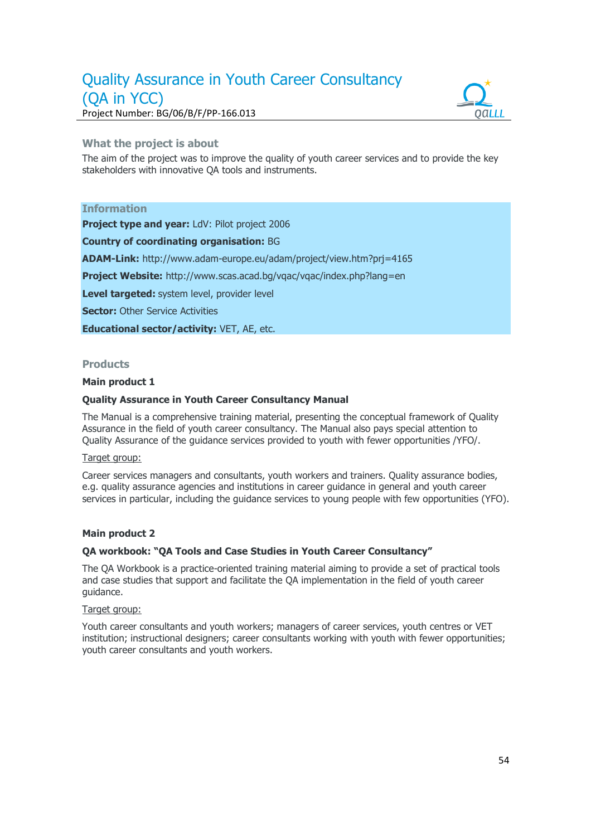# Quality Assurance in Youth Career Consultancy (QA in YCC) Project Number: BG/06/B/F/PP-166.013



# **What the project is about**

The aim of the project was to improve the quality of youth career services and to provide the key stakeholders with innovative QA tools and instruments.

#### **Information**

**Project type and year: LdV: Pilot project 2006** 

#### **Country of coordinating organisation:** BG

**ADAM-Link:** http://www.adam-europe.eu/adam/project/view.htm?prj=4165

**Project Website:** http://www.scas.acad.bg/vqac/vqac/index.php?lang=en

Level targeted: system level, provider level

**Sector: Other Service Activities** 

**Educational sector/activity:** VET, AE, etc.

# **Products**

#### **Main product 1**

## **Quality Assurance in Youth Career Consultancy Manual**

The Manual is a comprehensive training material, presenting the conceptual framework of Quality Assurance in the field of youth career consultancy. The Manual also pays special attention to Quality Assurance of the guidance services provided to youth with fewer opportunities /YFO/.

#### Target group:

Career services managers and consultants, youth workers and trainers. Quality assurance bodies, e.g. quality assurance agencies and institutions in career guidance in general and youth career services in particular, including the guidance services to young people with few opportunities (YFO).

## **Main product 2**

## **QA workbook: "QA Tools and Case Studies in Youth Career Consultancy"**

The QA Workbook is a practice-oriented training material aiming to provide a set of practical tools and case studies that support and facilitate the QA implementation in the field of youth career guidance.

#### Target group:

Youth career consultants and youth workers; managers of career services, youth centres or VET institution; instructional designers; career consultants working with youth with fewer opportunities; youth career consultants and youth workers.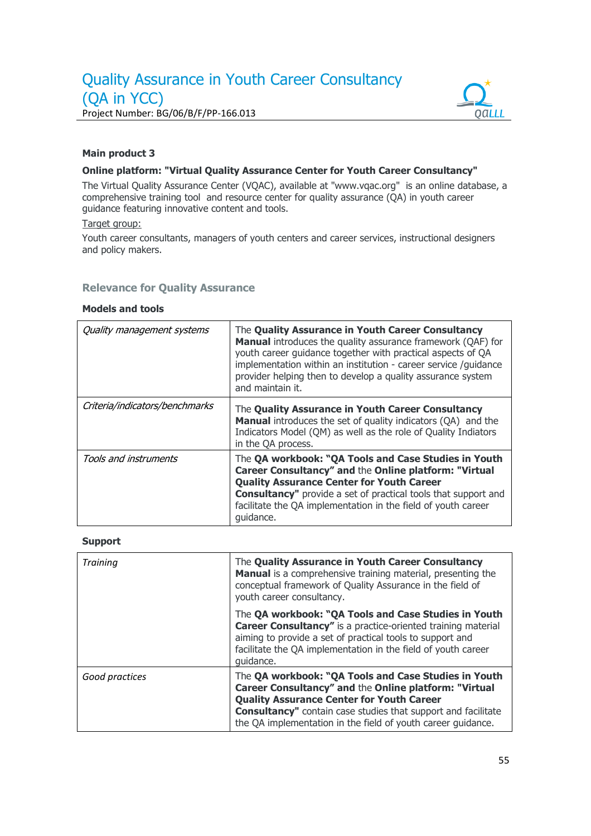

# **Main product 3**

#### **Online platform: "Virtual Quality Assurance Center for Youth Career Consultancy"**

The Virtual Quality Assurance Center (VQAC), available at "www.vqac.org" is an online database, a comprehensive training tool and resource center for quality assurance (QA) in youth career guidance featuring innovative content and tools.

#### Target group:

Youth career consultants, managers of youth centers and career services, instructional designers and policy makers.

# **Relevance for Quality Assurance**

#### **Models and tools**

| Quality management systems     | The Quality Assurance in Youth Career Consultancy<br><b>Manual</b> introduces the quality assurance framework (QAF) for<br>youth career quidance together with practical aspects of QA<br>implementation within an institution - career service /guidance<br>provider helping then to develop a quality assurance system<br>and maintain it. |
|--------------------------------|----------------------------------------------------------------------------------------------------------------------------------------------------------------------------------------------------------------------------------------------------------------------------------------------------------------------------------------------|
| Criteria/indicators/benchmarks | The Quality Assurance in Youth Career Consultancy<br><b>Manual</b> introduces the set of quality indicators (QA) and the<br>Indicators Model (QM) as well as the role of Quality Indiators<br>in the QA process.                                                                                                                             |
| Tools and instruments          | The QA workbook: "QA Tools and Case Studies in Youth<br>Career Consultancy" and the Online platform: "Virtual<br><b>Quality Assurance Center for Youth Career</b><br><b>Consultancy"</b> provide a set of practical tools that support and<br>facilitate the QA implementation in the field of youth career<br>quidance.                     |

#### **Support**

| <b>Training</b> | The Quality Assurance in Youth Career Consultancy<br><b>Manual</b> is a comprehensive training material, presenting the<br>conceptual framework of Quality Assurance in the field of<br>youth career consultancy.                                                                                         |  |  |  |  |
|-----------------|-----------------------------------------------------------------------------------------------------------------------------------------------------------------------------------------------------------------------------------------------------------------------------------------------------------|--|--|--|--|
|                 | The QA workbook: "QA Tools and Case Studies in Youth<br><b>Career Consultancy"</b> is a practice-oriented training material<br>aiming to provide a set of practical tools to support and<br>facilitate the QA implementation in the field of youth career<br>quidance.                                    |  |  |  |  |
| Good practices  | The QA workbook: "QA Tools and Case Studies in Youth<br>Career Consultancy" and the Online platform: "Virtual<br><b>Quality Assurance Center for Youth Career</b><br><b>Consultancy"</b> contain case studies that support and facilitate<br>the QA implementation in the field of youth career guidance. |  |  |  |  |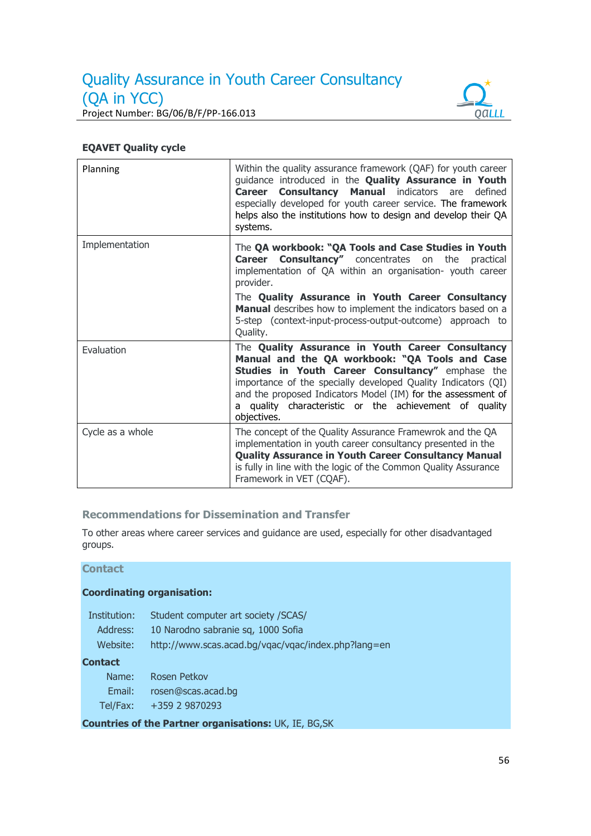

# **EQAVET Quality cycle**

| Planning         | Within the quality assurance framework (QAF) for youth career<br>guidance introduced in the Quality Assurance in Youth<br><b>Consultancy Manual</b> indicators are<br>defined<br>Career<br>especially developed for youth career service. The framework<br>helps also the institutions how to design and develop their QA<br>systems.                                                      |
|------------------|--------------------------------------------------------------------------------------------------------------------------------------------------------------------------------------------------------------------------------------------------------------------------------------------------------------------------------------------------------------------------------------------|
| Implementation   | The QA workbook: "QA Tools and Case Studies in Youth<br><b>Career Consultancy"</b> concentrates on the<br>practical<br>implementation of QA within an organisation- youth career<br>provider.<br>The Quality Assurance in Youth Career Consultancy<br>Manual describes how to implement the indicators based on a<br>5-step (context-input-process-output-outcome) approach to<br>Quality. |
| Evaluation       | The Quality Assurance in Youth Career Consultancy<br>Manual and the QA workbook: "QA Tools and Case<br><b>Studies in Youth Career Consultancy"</b> emphase the<br>importance of the specially developed Quality Indicators (QI)<br>and the proposed Indicators Model (IM) for the assessment of<br>quality characteristic or the achievement of quality<br>a<br>objectives.                |
| Cycle as a whole | The concept of the Quality Assurance Framewrok and the QA<br>implementation in youth career consultancy presented in the<br><b>Quality Assurance in Youth Career Consultancy Manual</b><br>is fully in line with the logic of the Common Quality Assurance<br>Framework in VET (CQAF).                                                                                                     |

# **Recommendations for Dissemination and Transfer**

To other areas where career services and guidance are used, especially for other disadvantaged groups.

# **Contact**

# **Coordinating organisation:**

| Institution:<br>Address: | Student computer art society / SCAS/<br>10 Narodno sabranie sq, 1000 Sofia |
|--------------------------|----------------------------------------------------------------------------|
| Website:                 | http://www.scas.acad.bg/vqac/vqac/index.php?lang=en                        |
| Contact                  |                                                                            |
| Name:                    | Rosen Petkov                                                               |
| Email:                   | rosen@scas.acad.bq                                                         |
| Tel/Fax:                 | +359 2 9870293                                                             |

**Countries of the Partner organisations:** UK, IE, BG,SK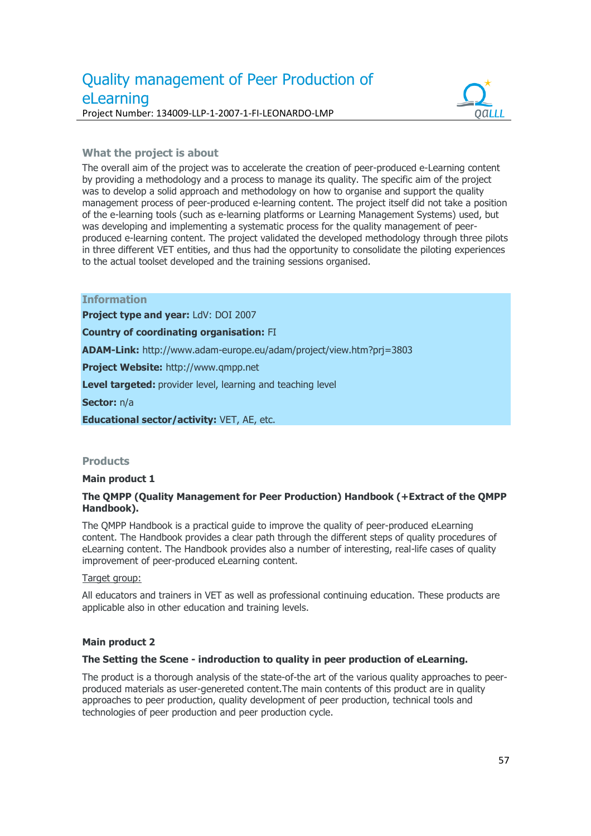

# **What the project is about**

The overall aim of the project was to accelerate the creation of peer-produced e-Learning content by providing a methodology and a process to manage its quality. The specific aim of the project was to develop a solid approach and methodology on how to organise and support the quality management process of peer-produced e-learning content. The project itself did not take a position of the e-learning tools (such as e-learning platforms or Learning Management Systems) used, but was developing and implementing a systematic process for the quality management of peerproduced e-learning content. The project validated the developed methodology through three pilots in three different VET entities, and thus had the opportunity to consolidate the piloting experiences to the actual toolset developed and the training sessions organised.

| <b>Information</b> |  |  |  |  |  |  |
|--------------------|--|--|--|--|--|--|
|                    |  |  |  |  |  |  |
|                    |  |  |  |  |  |  |
|                    |  |  |  |  |  |  |
|                    |  |  |  |  |  |  |

**Project type and year:** LdV: DOI 2007

**Country of coordinating organisation:** FI

**ADAM-Link:** http://www.adam-europe.eu/adam/project/view.htm?prj=3803

**Project Website:** http://www.qmpp.net

**Level targeted:** provider level, learning and teaching level

**Sector:** n/a

**Educational sector/activity:** VET, AE, etc.

# **Products**

#### **Main product 1**

#### **The QMPP (Quality Management for Peer Production) Handbook (+Extract of the QMPP Handbook).**

The QMPP Handbook is a practical guide to improve the quality of peer-produced eLearning content. The Handbook provides a clear path through the different steps of quality procedures of eLearning content. The Handbook provides also a number of interesting, real-life cases of quality improvement of peer-produced eLearning content.

#### Target group:

All educators and trainers in VET as well as professional continuing education. These products are applicable also in other education and training levels.

#### **Main product 2**

#### **The Setting the Scene - indroduction to quality in peer production of eLearning.**

The product is a thorough analysis of the state-of-the art of the various quality approaches to peerproduced materials as user-genereted content.The main contents of this product are in quality approaches to peer production, quality development of peer production, technical tools and technologies of peer production and peer production cycle.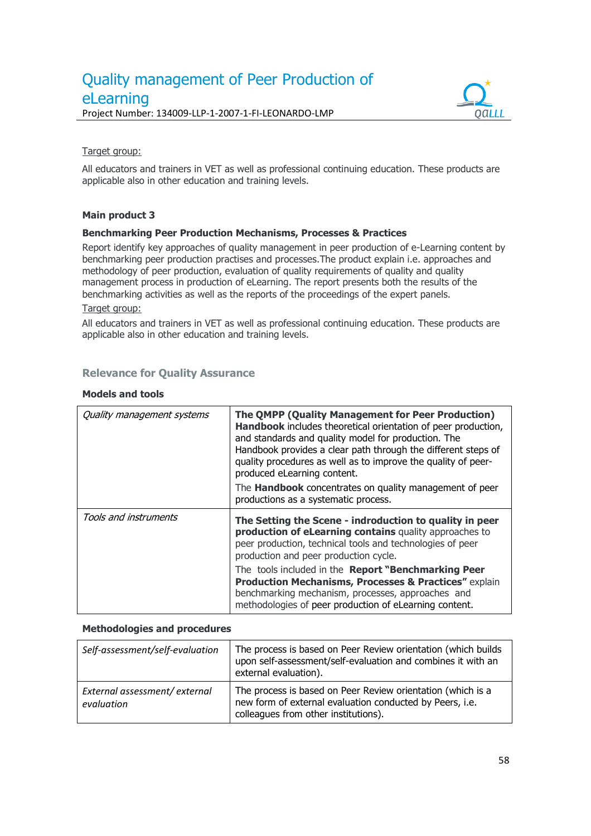

## Target group:

All educators and trainers in VET as well as professional continuing education. These products are applicable also in other education and training levels.

# **Main product 3**

## **Benchmarking Peer Production Mechanisms, Processes & Practices**

Report identify key approaches of quality management in peer production of e-Learning content by benchmarking peer production practises and processes.The product explain i.e. approaches and methodology of peer production, evaluation of quality requirements of quality and quality management process in production of eLearning. The report presents both the results of the benchmarking activities as well as the reports of the proceedings of the expert panels.

#### Target group:

All educators and trainers in VET as well as professional continuing education. These products are applicable also in other education and training levels.

# **Relevance for Quality Assurance**

#### **Models and tools**

| Quality management systems | The QMPP (Quality Management for Peer Production)<br>Handbook includes theoretical orientation of peer production,<br>and standards and quality model for production. The<br>Handbook provides a clear path through the different steps of<br>quality procedures as well as to improve the quality of peer-<br>produced eLearning content.<br>The <b>Handbook</b> concentrates on quality management of peer<br>productions as a systematic process.              |  |  |  |
|----------------------------|-------------------------------------------------------------------------------------------------------------------------------------------------------------------------------------------------------------------------------------------------------------------------------------------------------------------------------------------------------------------------------------------------------------------------------------------------------------------|--|--|--|
| Tools and instruments      | The Setting the Scene - indroduction to quality in peer<br>production of eLearning contains quality approaches to<br>peer production, technical tools and technologies of peer<br>production and peer production cycle.<br>The tools included in the Report "Benchmarking Peer<br><b>Production Mechanisms, Processes &amp; Practices"</b> explain<br>benchmarking mechanism, processes, approaches and<br>methodologies of peer production of eLearning content. |  |  |  |

#### **Methodologies and procedures**

| Self-assessment/self-evaluation            | The process is based on Peer Review orientation (which builds<br>upon self-assessment/self-evaluation and combines it with an<br>external evaluation).          |
|--------------------------------------------|-----------------------------------------------------------------------------------------------------------------------------------------------------------------|
| External assessment/external<br>evaluation | The process is based on Peer Review orientation (which is a<br>new form of external evaluation conducted by Peers, i.e.<br>colleagues from other institutions). |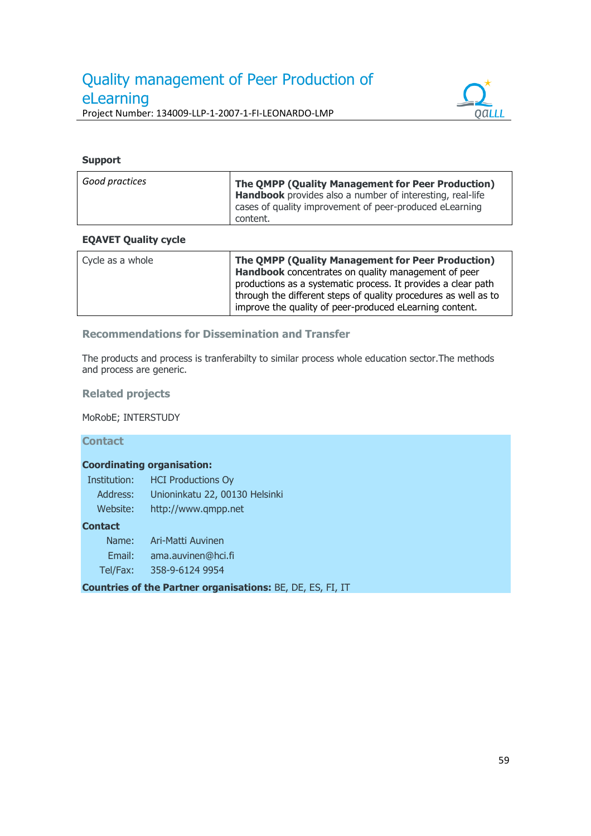

# **Support**

# **EQAVET Quality cycle**

| Cycle as a whole | The QMPP (Quality Management for Peer Production)<br><b>Handbook</b> concentrates on quality management of peer<br>productions as a systematic process. It provides a clear path<br>through the different steps of quality procedures as well as to |
|------------------|-----------------------------------------------------------------------------------------------------------------------------------------------------------------------------------------------------------------------------------------------------|
|                  | improve the quality of peer-produced eLearning content.                                                                                                                                                                                             |

# **Recommendations for Dissemination and Transfer**

The products and process is tranferabilty to similar process whole education sector.The methods and process are generic.

# **Related projects**

MoRobE; INTERSTUDY

#### **Contact**

#### **Coordinating organisation:**

| Institution: | <b>HCI Productions Oy</b>      |
|--------------|--------------------------------|
| Address:     | Unioninkatu 22, 00130 Helsinki |
| Website:     | http://www.gmpp.net            |
|              |                                |

#### **Contact**

 Name: Ari-Matti Auvinen Email: ama.auvinen@hci.fi Tel/Fax: 358-9-6124 9954

**Countries of the Partner organisations:** BE, DE, ES, FI, IT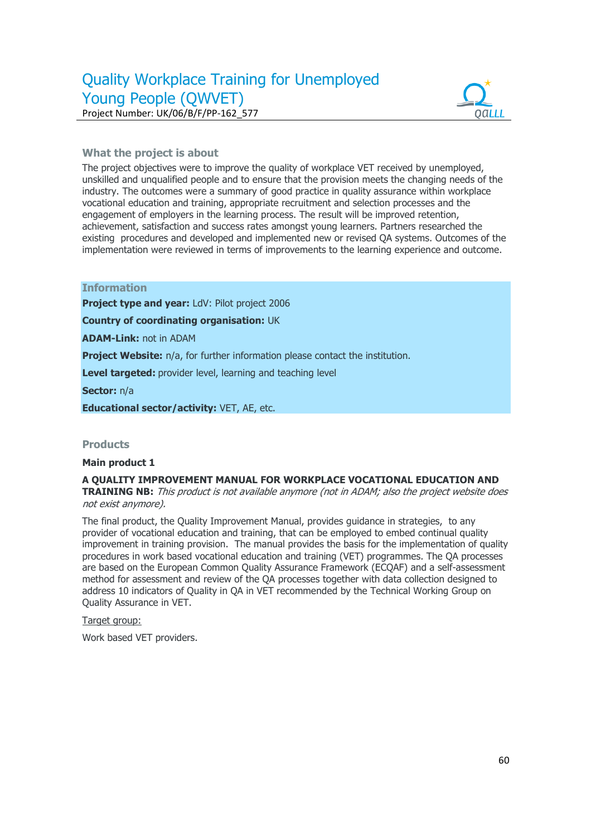

# **What the project is about**

The project objectives were to improve the quality of workplace VET received by unemployed, unskilled and unqualified people and to ensure that the provision meets the changing needs of the industry. The outcomes were a summary of good practice in quality assurance within workplace vocational education and training, appropriate recruitment and selection processes and the engagement of employers in the learning process. The result will be improved retention, achievement, satisfaction and success rates amongst young learners. Partners researched the existing procedures and developed and implemented new or revised QA systems. Outcomes of the implementation were reviewed in terms of improvements to the learning experience and outcome.

## **Information**

**Project type and year:** LdV: Pilot project 2006

**Country of coordinating organisation:** UK

**ADAM-Link:** not in ADAM

**Project Website:**  $n/a$ , for further information please contact the institution.

**Level targeted:** provider level, learning and teaching level

**Sector:** n/a

**Educational sector/activity:** VET, AE, etc.

#### **Products**

#### **Main product 1**

#### **A QUALITY IMPROVEMENT MANUAL FOR WORKPLACE VOCATIONAL EDUCATION AND TRAINING NB:** This product is not available anymore (not in ADAM; also the project website does not exist anymore).

The final product, the Quality Improvement Manual, provides guidance in strategies, to any provider of vocational education and training, that can be employed to embed continual quality improvement in training provision. The manual provides the basis for the implementation of quality procedures in work based vocational education and training (VET) programmes. The QA processes are based on the European Common Quality Assurance Framework (ECQAF) and a self-assessment method for assessment and review of the QA processes together with data collection designed to address 10 indicators of Quality in QA in VET recommended by the Technical Working Group on Quality Assurance in VET.

Target group:

Work based VET providers.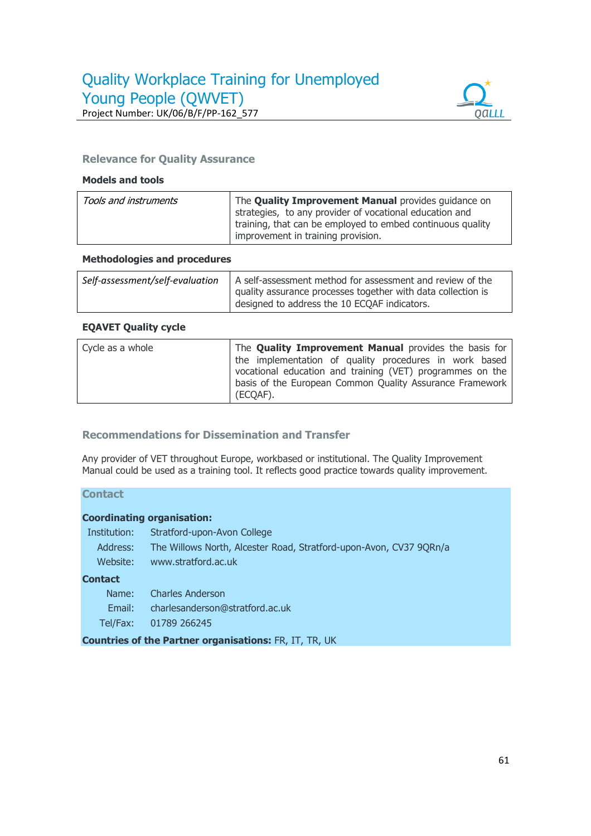

# **Relevance for Quality Assurance**

# **Models and tools**

| Tools and instruments | The <b>Quality Improvement Manual</b> provides guidance on                                                                                                  |
|-----------------------|-------------------------------------------------------------------------------------------------------------------------------------------------------------|
|                       | strategies, to any provider of vocational education and<br>training, that can be employed to embed continuous quality<br>improvement in training provision. |

## **Methodologies and procedures**

# **EQAVET Quality cycle**

| Cycle as a whole | The <b>Quality Improvement Manual</b> provides the basis for<br>the implementation of quality procedures in work based<br>vocational education and training (VET) programmes on the<br>basis of the European Common Quality Assurance Framework<br>(ECOAF). |
|------------------|-------------------------------------------------------------------------------------------------------------------------------------------------------------------------------------------------------------------------------------------------------------|
|------------------|-------------------------------------------------------------------------------------------------------------------------------------------------------------------------------------------------------------------------------------------------------------|

# **Recommendations for Dissemination and Transfer**

Any provider of VET throughout Europe, workbased or institutional. The Quality Improvement Manual could be used as a training tool. It reflects good practice towards quality improvement.

# **Contact**

## **Coordinating organisation:**

| Institution: | Stratford-upon-Avon College                                        |
|--------------|--------------------------------------------------------------------|
| Address:     | The Willows North, Alcester Road, Stratford-upon-Avon, CV37 9QRn/a |
| Website:     | www.stratford.ac.uk                                                |
| Contact      |                                                                    |
| Name:        | <b>Charles Anderson</b>                                            |
| Email:       | charlesanderson@stratford.ac.uk                                    |
| Tel/Fax:     | 01789 266245                                                       |
|              |                                                                    |

**Countries of the Partner organisations:** FR, IT, TR, UK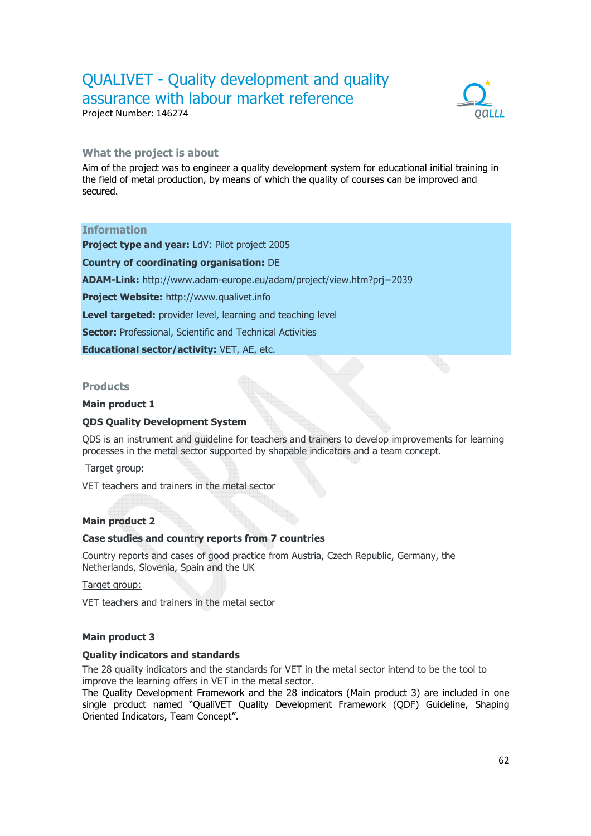# QUALIVET - Quality development and quality assurance with labour market reference



Project Number: 146274

# **What the project is about**

Aim of the project was to engineer a quality development system for educational initial training in the field of metal production, by means of which the quality of courses can be improved and secured.

# **Information**

**Project type and year:** LdV: Pilot project 2005

**Country of coordinating organisation:** DE

**ADAM-Link:** http://www.adam-europe.eu/adam/project/view.htm?prj=2039

**Project Website:** http://www.qualivet.info

**Level targeted:** provider level, learning and teaching level

**Sector: Professional, Scientific and Technical Activities** 

**Educational sector/activity:** VET, AE, etc.

#### **Products**

#### **Main product 1**

## **QDS Quality Development System**

QDS is an instrument and guideline for teachers and trainers to develop improvements for learning processes in the metal sector supported by shapable indicators and a team concept.

#### Target group:

VET teachers and trainers in the metal sector

## **Main product 2**

# **Case studies and country reports from 7 countries**

Country reports and cases of good practice from Austria, Czech Republic, Germany, the Netherlands, Slovenia, Spain and the UK

Target group:

VET teachers and trainers in the metal sector

## **Main product 3**

#### **Quality indicators and standards**

The 28 quality indicators and the standards for VET in the metal sector intend to be the tool to improve the learning offers in VET in the metal sector.

The Quality Development Framework and the 28 indicators (Main product 3) are included in one single product named "QualiVET Quality Development Framework (QDF) Guideline, Shaping Oriented Indicators, Team Concept".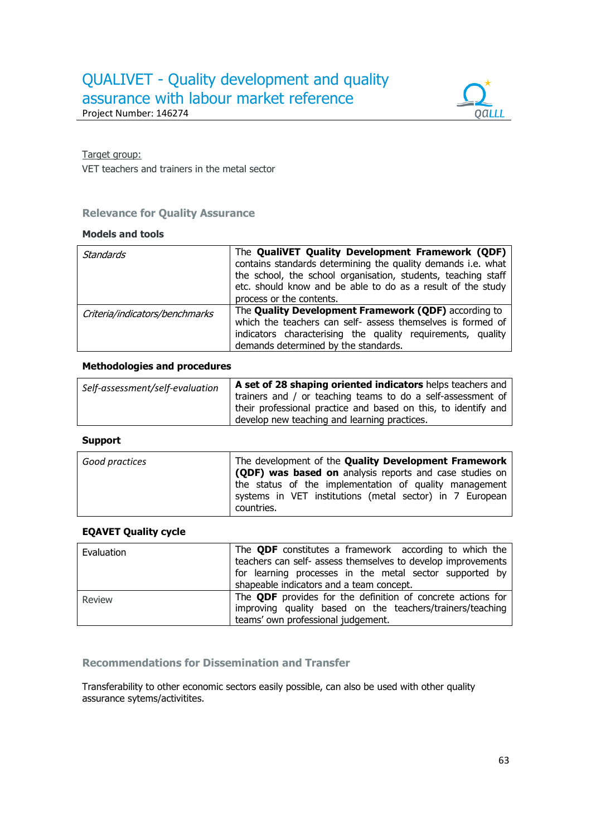

Project Number: 146274

Target group: VET teachers and trainers in the metal sector

# **Relevance for Quality Assurance**

# **Models and tools**

| Standards                      | The QualiVET Quality Development Framework (QDF)<br>contains standards determining the quality demands i.e. what<br>the school, the school organisation, students, teaching staff<br>etc. should know and be able to do as a result of the study<br>process or the contents. |
|--------------------------------|------------------------------------------------------------------------------------------------------------------------------------------------------------------------------------------------------------------------------------------------------------------------------|
| Criteria/indicators/benchmarks | The Quality Development Framework (QDF) according to<br>which the teachers can self- assess themselves is formed of<br>indicators characterising the quality requirements, quality<br>demands determined by the standards.                                                   |

# **Methodologies and procedures**

| Self-assessment/self-evaluation | A set of 28 shaping oriented indicators helps teachers and<br>trainers and / or teaching teams to do a self-assessment of<br>their professional practice and based on this, to identify and<br>develop new teaching and learning practices. |
|---------------------------------|---------------------------------------------------------------------------------------------------------------------------------------------------------------------------------------------------------------------------------------------|
|                                 |                                                                                                                                                                                                                                             |

# **Support**

| Good practices | The development of the Quality Development Framework<br><b>(QDF) was based on</b> analysis reports and case studies on<br>the status of the implementation of quality management<br>systems in VET institutions (metal sector) in 7 European |
|----------------|----------------------------------------------------------------------------------------------------------------------------------------------------------------------------------------------------------------------------------------------|
|                | countries.                                                                                                                                                                                                                                   |

# **EQAVET Quality cycle**

| Evaluation | The <b>QDF</b> constitutes a framework according to which the      |
|------------|--------------------------------------------------------------------|
|            | teachers can self- assess themselves to develop improvements       |
|            | for learning processes in the metal sector supported by            |
|            | shapeable indicators and a team concept.                           |
| Review     | The <b>QDF</b> provides for the definition of concrete actions for |
|            | improving quality based on the teachers/trainers/teaching          |
|            | teams' own professional judgement.                                 |

# **Recommendations for Dissemination and Transfer**

Transferability to other economic sectors easily possible, can also be used with other quality assurance sytems/activitites.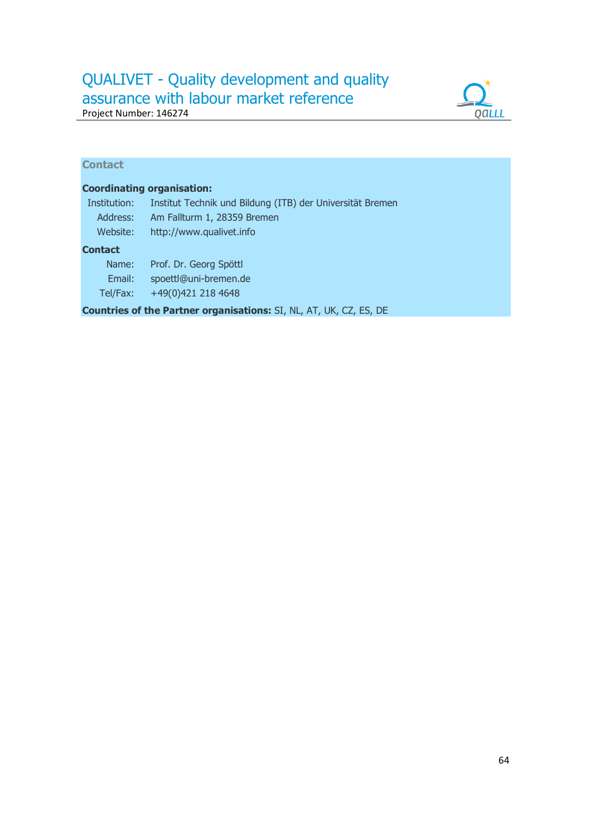# QUALIVET - Quality development and quality assurance with labour market reference

QALLL

Project Number: 146274

# **Contact**

# **Coordinating organisation:**

| Institution:   | Institut Technik und Bildung (ITB) der Universität Bremen                 |
|----------------|---------------------------------------------------------------------------|
| Address:       | Am Fallturm 1, 28359 Bremen                                               |
| Website:       | http://www.qualivet.info                                                  |
| <b>Contact</b> |                                                                           |
| Name:          | Prof. Dr. Georg Spöttl                                                    |
| Email:         | spoettl@uni-bremen.de                                                     |
| Tel/Fax:       | +49(0)421 218 4648                                                        |
|                | <b>Countries of the Partner organisations:</b> SI, NL, AT, UK, CZ, ES, DE |
|                |                                                                           |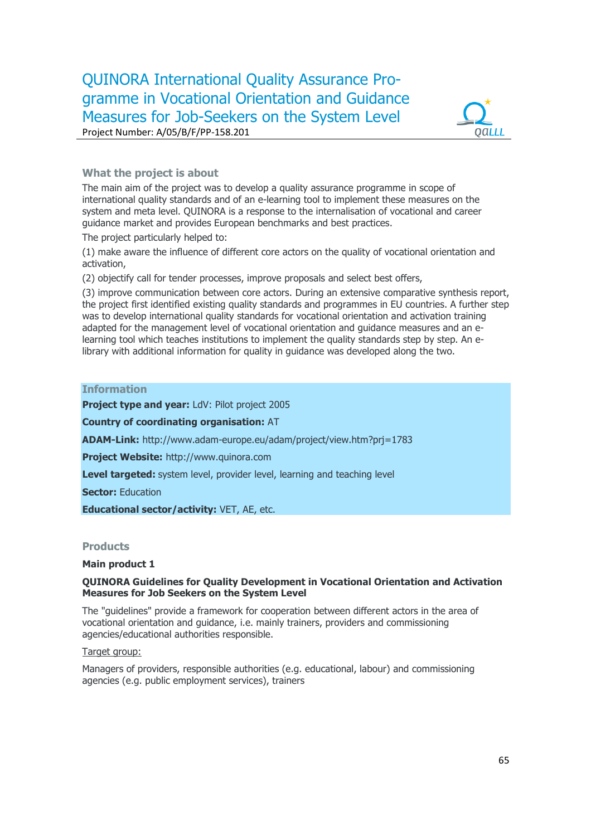# QUINORA International Quality Assurance Programme in Vocational Orientation and Guidance Measures for Job-Seekers on the System Level Project Number: A/05/B/F/PP-158.201



# **What the project is about**

The main aim of the project was to develop a quality assurance programme in scope of international quality standards and of an e-learning tool to implement these measures on the system and meta level. QUINORA is a response to the internalisation of vocational and career guidance market and provides European benchmarks and best practices.

The project particularly helped to:

(1) make aware the influence of different core actors on the quality of vocational orientation and activation,

(2) objectify call for tender processes, improve proposals and select best offers,

(3) improve communication between core actors. During an extensive comparative synthesis report, the project first identified existing quality standards and programmes in EU countries. A further step was to develop international quality standards for vocational orientation and activation training adapted for the management level of vocational orientation and guidance measures and an elearning tool which teaches institutions to implement the quality standards step by step. An elibrary with additional information for quality in guidance was developed along the two.

# **Information**

**Project type and year: LdV: Pilot project 2005** 

**Country of coordinating organisation:** AT

**ADAM-Link:** http://www.adam-europe.eu/adam/project/view.htm?prj=1783

**Project Website:** http://www.quinora.com

**Level targeted:** system level, provider level, learning and teaching level

**Sector: Education** 

**Educational sector/activity:** VET, AE, etc.

#### **Products**

#### **Main product 1**

#### **QUINORA Guidelines for Quality Development in Vocational Orientation and Activation Measures for Job Seekers on the System Level**

The "guidelines" provide a framework for cooperation between different actors in the area of vocational orientation and guidance, i.e. mainly trainers, providers and commissioning agencies/educational authorities responsible.

#### Target group:

Managers of providers, responsible authorities (e.g. educational, labour) and commissioning agencies (e.g. public employment services), trainers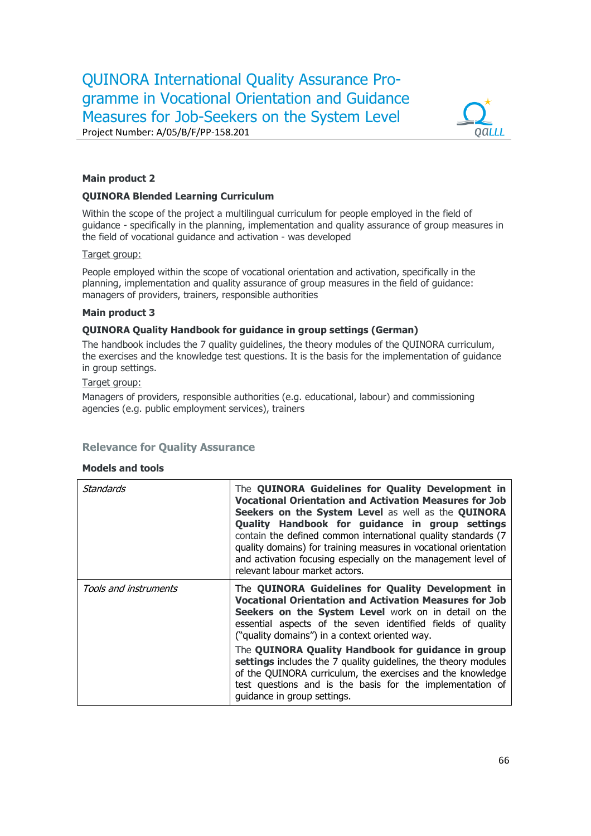

# **Main product 2**

#### **QUINORA Blended Learning Curriculum**

Within the scope of the project a multilingual curriculum for people employed in the field of guidance - specifically in the planning, implementation and quality assurance of group measures in the field of vocational guidance and activation - was developed

#### Target group:

People employed within the scope of vocational orientation and activation, specifically in the planning, implementation and quality assurance of group measures in the field of guidance: managers of providers, trainers, responsible authorities

#### **Main product 3**

## **QUINORA Quality Handbook for guidance in group settings (German)**

The handbook includes the 7 quality guidelines, the theory modules of the QUINORA curriculum, the exercises and the knowledge test questions. It is the basis for the implementation of guidance in group settings.

#### Target group:

Managers of providers, responsible authorities (e.g. educational, labour) and commissioning agencies (e.g. public employment services), trainers

# **Relevance for Quality Assurance**

#### **Models and tools**

| Standards             | The QUINORA Guidelines for Quality Development in<br><b>Vocational Orientation and Activation Measures for Job</b><br>Seekers on the System Level as well as the QUINORA<br>Quality Handbook for guidance in group settings<br>contain the defined common international quality standards (7)<br>quality domains) for training measures in vocational orientation<br>and activation focusing especially on the management level of<br>relevant labour market actors. |
|-----------------------|----------------------------------------------------------------------------------------------------------------------------------------------------------------------------------------------------------------------------------------------------------------------------------------------------------------------------------------------------------------------------------------------------------------------------------------------------------------------|
| Tools and instruments | The QUINORA Guidelines for Quality Development in<br><b>Vocational Orientation and Activation Measures for Job</b><br>Seekers on the System Level work on in detail on the<br>essential aspects of the seven identified fields of quality<br>("quality domains") in a context oriented way.                                                                                                                                                                          |
|                       | The QUINORA Quality Handbook for guidance in group<br>settings includes the 7 quality guidelines, the theory modules<br>of the QUINORA curriculum, the exercises and the knowledge<br>test questions and is the basis for the implementation of<br>quidance in group settings.                                                                                                                                                                                       |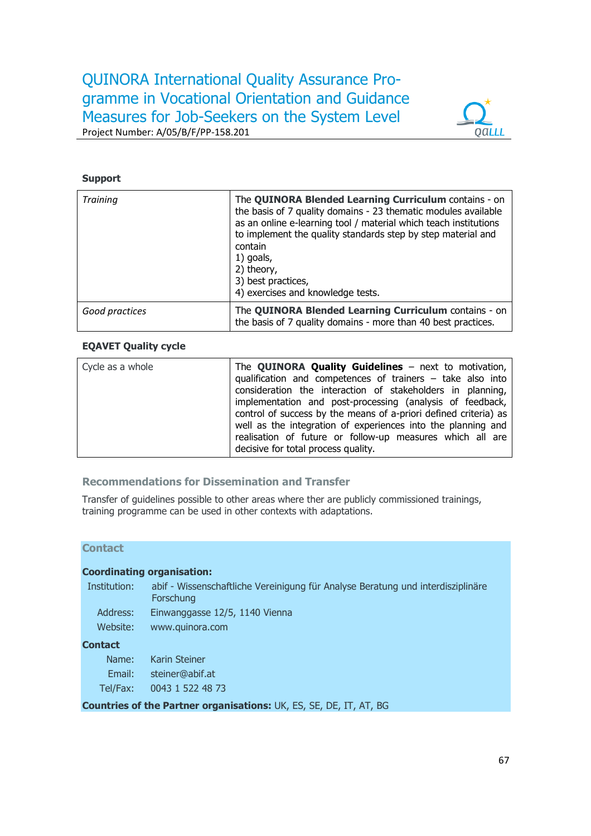

# **Support**

| <b>Training</b> | The QUINORA Blended Learning Curriculum contains - on<br>the basis of 7 quality domains - 23 thematic modules available<br>as an online e-learning tool / material which teach institutions<br>to implement the quality standards step by step material and<br>contain<br>1) goals,<br>2) theory,<br>3) best practices,<br>4) exercises and knowledge tests. |
|-----------------|--------------------------------------------------------------------------------------------------------------------------------------------------------------------------------------------------------------------------------------------------------------------------------------------------------------------------------------------------------------|
| Good practices  | The QUINORA Blended Learning Curriculum contains - on<br>the basis of 7 quality domains - more than 40 best practices.                                                                                                                                                                                                                                       |

## **EQAVET Quality cycle**

| Cycle as a whole | The <b>QUINORA Quality Guidelines</b> $-$ next to motivation,<br>qualification and competences of trainers $-$ take also into<br>consideration the interaction of stakeholders in planning,<br>implementation and post-processing (analysis of feedback,<br>control of success by the means of a-priori defined criteria) as<br>well as the integration of experiences into the planning and<br>realisation of future or follow-up measures which all are |
|------------------|-----------------------------------------------------------------------------------------------------------------------------------------------------------------------------------------------------------------------------------------------------------------------------------------------------------------------------------------------------------------------------------------------------------------------------------------------------------|
|                  | decisive for total process quality.                                                                                                                                                                                                                                                                                                                                                                                                                       |

# **Recommendations for Dissemination and Transfer**

Transfer of guidelines possible to other areas where ther are publicly commissioned trainings, training programme can be used in other contexts with adaptations.

#### **Contact**

#### **Coordinating organisation:**

| Institution: | Forschung | abif - Wissenschaftliche Vereinigung für Analyse Beratung und interdisziplinäre                                                                                                                                                                                                                                                                                                                                                                                                 |
|--------------|-----------|---------------------------------------------------------------------------------------------------------------------------------------------------------------------------------------------------------------------------------------------------------------------------------------------------------------------------------------------------------------------------------------------------------------------------------------------------------------------------------|
|              |           | $\begin{array}{c} \n \text{if } n \neq n \text{ if } n \neq n \text{ if } n \neq n \text{ if } n \neq n \text{ if } n \neq n \text{ if } n \neq n \text{ if } n \neq n \text{ if } n \neq n \text{ if } n \neq n \text{ if } n \neq n \text{ if } n \neq n \text{ if } n \neq n \text{ if } n \neq n \text{ if } n \neq n \text{ if } n \neq n \text{ if } n \neq n \text{ if } n \neq n \text{ if } n \neq n \text{ if } n \neq n \text{ if } n \neq n \text{ if } n \neq n \$ |

- Address: Einwanggasse 12/5, 1140 Vienna
- Website: www.quinora.com

# **Contact**

| Name:    | Karin Steiner    |
|----------|------------------|
| Email:   | steiner@abif.at  |
| Tel/Fax: | 0043 1 522 48 73 |

**Countries of the Partner organisations:** UK, ES, SE, DE, IT, AT, BG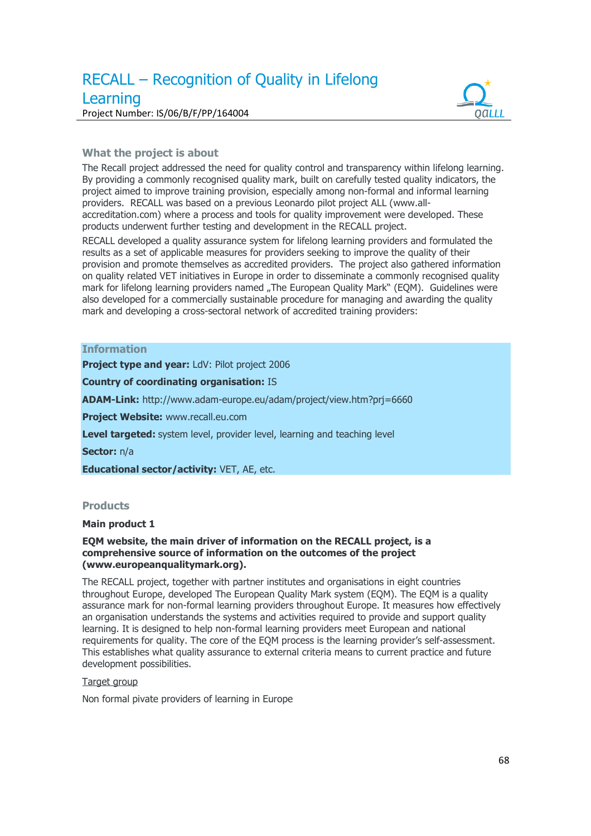# RECALL – Recognition of Quality in Lifelong Learning Project Number: IS/06/B/F/PP/164004



## **What the project is about**

The Recall project addressed the need for quality control and transparency within lifelong learning. By providing a commonly recognised quality mark, built on carefully tested quality indicators, the project aimed to improve training provision, especially among non-formal and informal learning providers. RECALL was based on a previous Leonardo pilot project ALL (www.allaccreditation.com) where a process and tools for quality improvement were developed. These products underwent further testing and development in the RECALL project.

RECALL developed a quality assurance system for lifelong learning providers and formulated the results as a set of applicable measures for providers seeking to improve the quality of their provision and promote themselves as accredited providers. The project also gathered information on quality related VET initiatives in Europe in order to disseminate a commonly recognised quality mark for lifelong learning providers named "The European Quality Mark" (EQM). Guidelines were also developed for a commercially sustainable procedure for managing and awarding the quality mark and developing a cross-sectoral network of accredited training providers:

#### **Information**

**Project type and year: LdV: Pilot project 2006** 

**Country of coordinating organisation:** IS

**ADAM-Link:** http://www.adam-europe.eu/adam/project/view.htm?prj=6660

**Project Website:** www.recall.eu.com

**Level targeted:** system level, provider level, learning and teaching level

**Sector:** n/a

**Educational sector/activity:** VET, AE, etc.

#### **Products**

#### **Main product 1**

#### **EQM website, the main driver of information on the RECALL project, is a comprehensive source of information on the outcomes of the project (www.europeanqualitymark.org).**

The RECALL project, together with partner institutes and organisations in eight countries throughout Europe, developed The European Quality Mark system (EQM). The EQM is a quality assurance mark for non-formal learning providers throughout Europe. It measures how effectively an organisation understands the systems and activities required to provide and support quality learning. It is designed to help non-formal learning providers meet European and national requirements for quality. The core of the EQM process is the learning provider's self-assessment. This establishes what quality assurance to external criteria means to current practice and future development possibilities.

#### Target group

Non formal pivate providers of learning in Europe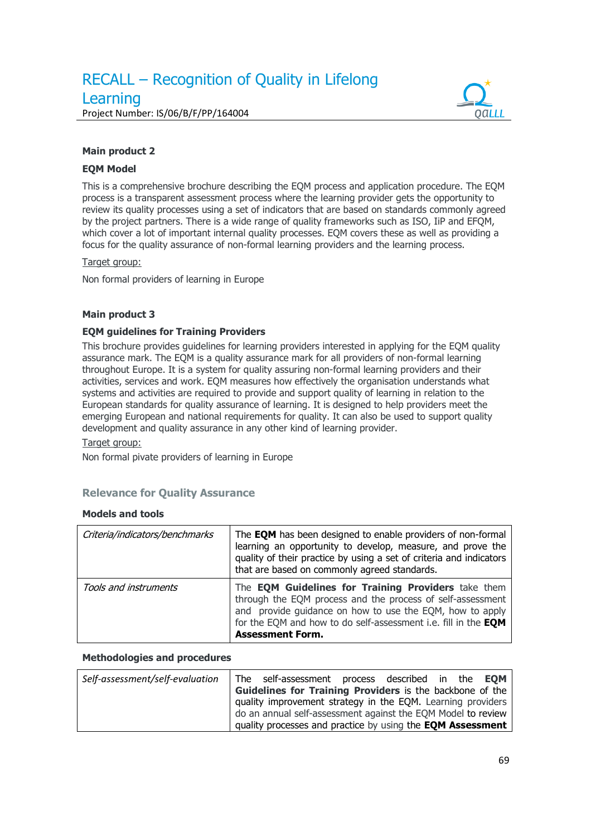# RECALL – Recognition of Quality in Lifelong Learning Project Number: IS/06/B/F/PP/164004



## **Main product 2**

#### **EQM Model**

This is a comprehensive brochure describing the EQM process and application procedure. The EQM process is a transparent assessment process where the learning provider gets the opportunity to review its quality processes using a set of indicators that are based on standards commonly agreed by the project partners. There is a wide range of quality frameworks such as ISO, IiP and EFQM, which cover a lot of important internal quality processes. EQM covers these as well as providing a focus for the quality assurance of non-formal learning providers and the learning process.

#### Target group:

Non formal providers of learning in Europe

#### **Main product 3**

#### **EQM guidelines for Training Providers**

This brochure provides guidelines for learning providers interested in applying for the EQM quality assurance mark. The EQM is a quality assurance mark for all providers of non-formal learning throughout Europe. It is a system for quality assuring non-formal learning providers and their activities, services and work. EQM measures how effectively the organisation understands what systems and activities are required to provide and support quality of learning in relation to the European standards for quality assurance of learning. It is designed to help providers meet the emerging European and national requirements for quality. It can also be used to support quality development and quality assurance in any other kind of learning provider.

#### Target group:

Non formal pivate providers of learning in Europe

## **Relevance for Quality Assurance**

#### **Models and tools**

| Criteria/indicators/benchmarks | The <b>EQM</b> has been designed to enable providers of non-formal<br>learning an opportunity to develop, measure, and prove the<br>quality of their practice by using a set of criteria and indicators<br>that are based on commonly agreed standards.                           |
|--------------------------------|-----------------------------------------------------------------------------------------------------------------------------------------------------------------------------------------------------------------------------------------------------------------------------------|
| Tools and instruments          | The <b>EQM Guidelines for Training Providers</b> take them<br>through the EQM process and the process of self-assessment<br>and provide quidance on how to use the EQM, how to apply<br>for the EQM and how to do self-assessment i.e. fill in the EQM<br><b>Assessment Form.</b> |

#### **Methodologies and procedures**

| Self-assessment/self-evaluation | The self-assessment process described in the <b>EQM</b>           |  |  |  |
|---------------------------------|-------------------------------------------------------------------|--|--|--|
|                                 | Guidelines for Training Providers is the backbone of the          |  |  |  |
|                                 | quality improvement strategy in the EQM. Learning providers       |  |  |  |
|                                 | do an annual self-assessment against the EQM Model to review      |  |  |  |
|                                 | quality processes and practice by using the <b>EQM Assessment</b> |  |  |  |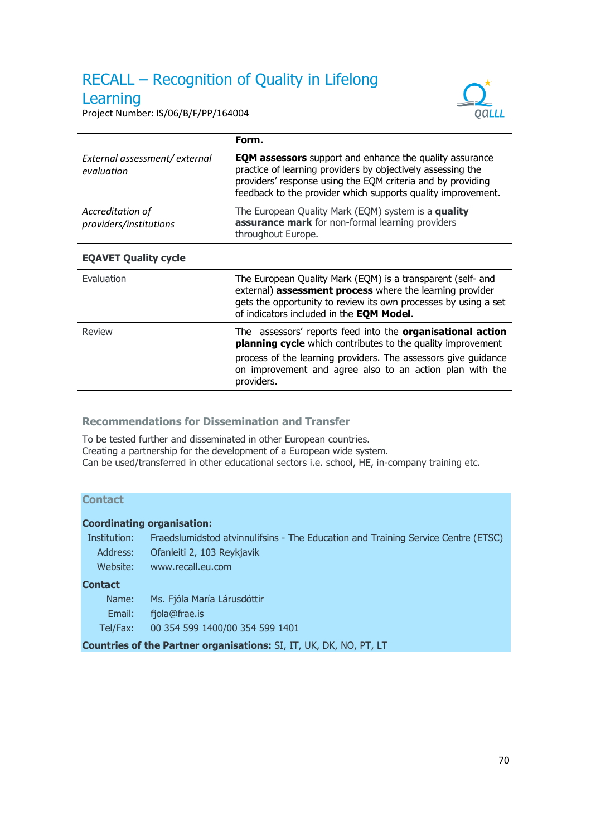# RECALL – Recognition of Quality in Lifelong

# **Learning**

Project Number: IS/06/B/F/PP/164004



|                                            | Form.                                                                                                                                                                                                                                                        |
|--------------------------------------------|--------------------------------------------------------------------------------------------------------------------------------------------------------------------------------------------------------------------------------------------------------------|
| External assessment/external<br>evaluation | <b>EQM assessors</b> support and enhance the quality assurance<br>practice of learning providers by objectively assessing the<br>providers' response using the EQM criteria and by providing<br>feedback to the provider which supports quality improvement. |
| Accreditation of<br>providers/institutions | The European Quality Mark (EQM) system is a quality<br>assurance mark for non-formal learning providers<br>throughout Europe.                                                                                                                                |

# **EQAVET Quality cycle**

| Evaluation | The European Quality Mark (EQM) is a transparent (self- and<br>external) assessment process where the learning provider<br>gets the opportunity to review its own processes by using a set<br>of indicators included in the EQM Model.                                |
|------------|-----------------------------------------------------------------------------------------------------------------------------------------------------------------------------------------------------------------------------------------------------------------------|
| Review     | The assessors' reports feed into the organisational action<br>planning cycle which contributes to the quality improvement<br>process of the learning providers. The assessors give guidance<br>on improvement and agree also to an action plan with the<br>providers. |

# **Recommendations for Dissemination and Transfer**

To be tested further and disseminated in other European countries. Creating a partnership for the development of a European wide system. Can be used/transferred in other educational sectors i.e. school, HE, in-company training etc.

# **Contact**

## **Coordinating organisation:**

| Institution: | Fraedslumidstod atvinnulifsins - The Education and Training Service Centre (ETSC) |
|--------------|-----------------------------------------------------------------------------------|
|              | Address: Ofanleiti 2, 103 Reykjavik                                               |
| Website:     | www.recall.eu.com                                                                 |
| Contact      |                                                                                   |
| Name:        | Ms. Fjóla María Lárusdóttir                                                       |

- Email: fjola@frae.is
- Tel/Fax: 00 354 599 1400/00 354 599 1401

**Countries of the Partner organisations:** SI, IT, UK, DK, NO, PT, LT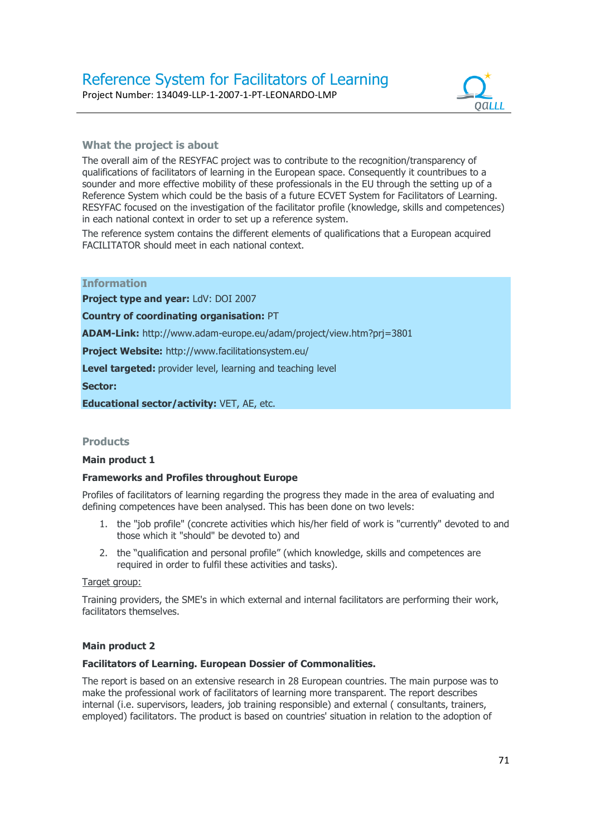

# **What the project is about**

The overall aim of the RESYFAC project was to contribute to the recognition/transparency of qualifications of facilitators of learning in the European space. Consequently it countribues to a sounder and more effective mobility of these professionals in the EU through the setting up of a Reference System which could be the basis of a future ECVET System for Facilitators of Learning. RESYFAC focused on the investigation of the facilitator profile (knowledge, skills and competences) in each national context in order to set up a reference system.

The reference system contains the different elements of qualifications that a European acquired FACILITATOR should meet in each national context.

| <b>Country of coordinating organisation: PT</b> |  |
|-------------------------------------------------|--|
| Project type and year: LdV: DOI 2007            |  |
| .                                               |  |

**ADAM-Link:** http://www.adam-europe.eu/adam/project/view.htm?prj=3801

**Project Website:** http://www.facilitationsystem.eu/

**Level targeted:** provider level, learning and teaching level

**Sector:** 

**Information** 

**Educational sector/activity:** VET, AE, etc.

## **Products**

#### **Main product 1**

## **Frameworks and Profiles throughout Europe**

Profiles of facilitators of learning regarding the progress they made in the area of evaluating and defining competences have been analysed. This has been done on two levels:

- 1. the "job profile" (concrete activities which his/her field of work is "currently" devoted to and those which it "should" be devoted to) and
- 2. the "qualification and personal profile" (which knowledge, skills and competences are required in order to fulfil these activities and tasks).

#### Target group:

Training providers, the SME's in which external and internal facilitators are performing their work, facilitators themselves.

## **Main product 2**

#### **Facilitators of Learning. European Dossier of Commonalities.**

The report is based on an extensive research in 28 European countries. The main purpose was to make the professional work of facilitators of learning more transparent. The report describes internal (i.e. supervisors, leaders, job training responsible) and external ( consultants, trainers, employed) facilitators. The product is based on countries' situation in relation to the adoption of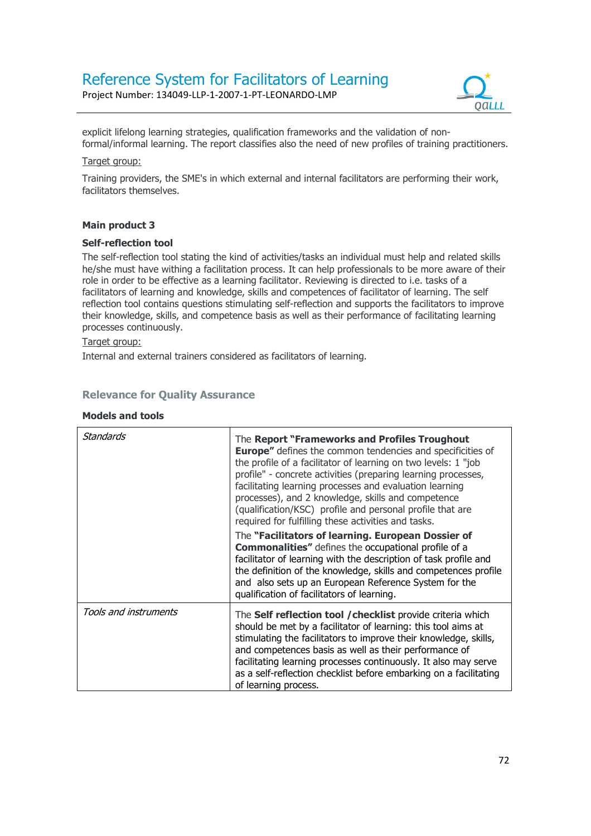# Reference System for Facilitators of Learning

Project Number: 134049-LLP-1-2007-1-PT-LEONARDO-LMP



explicit lifelong learning strategies, qualification frameworks and the validation of nonformal/informal learning. The report classifies also the need of new profiles of training practitioners.

## Target group:

Training providers, the SME's in which external and internal facilitators are performing their work, facilitators themselves.

# **Main product 3**

## **Self-reflection tool**

The self-reflection tool stating the kind of activities/tasks an individual must help and related skills he/she must have withing a facilitation process. It can help professionals to be more aware of their role in order to be effective as a learning facilitator. Reviewing is directed to i.e. tasks of a facilitators of learning and knowledge, skills and competences of facilitator of learning. The self reflection tool contains questions stimulating self-reflection and supports the facilitators to improve their knowledge, skills, and competence basis as well as their performance of facilitating learning processes continuously.

## Target group:

Internal and external trainers considered as facilitators of learning.

# **Relevance for Quality Assurance**

#### **Models and tools**

| Standards             | The Report "Frameworks and Profiles Troughout<br><b>Europe"</b> defines the common tendencies and specificities of<br>the profile of a facilitator of learning on two levels: 1 "job<br>profile" - concrete activities (preparing learning processes,<br>facilitating learning processes and evaluation learning<br>processes), and 2 knowledge, skills and competence<br>(qualification/KSC) profile and personal profile that are<br>required for fulfilling these activities and tasks. |
|-----------------------|--------------------------------------------------------------------------------------------------------------------------------------------------------------------------------------------------------------------------------------------------------------------------------------------------------------------------------------------------------------------------------------------------------------------------------------------------------------------------------------------|
|                       | The "Facilitators of learning. European Dossier of<br><b>Commonalities"</b> defines the occupational profile of a<br>facilitator of learning with the description of task profile and<br>the definition of the knowledge, skills and competences profile<br>and also sets up an European Reference System for the<br>qualification of facilitators of learning.                                                                                                                            |
| Tools and instruments | The Self reflection tool / checklist provide criteria which<br>should be met by a facilitator of learning: this tool aims at<br>stimulating the facilitators to improve their knowledge, skills,<br>and competences basis as well as their performance of<br>facilitating learning processes continuously. It also may serve<br>as a self-reflection checklist before embarking on a facilitating<br>of learning process.                                                                  |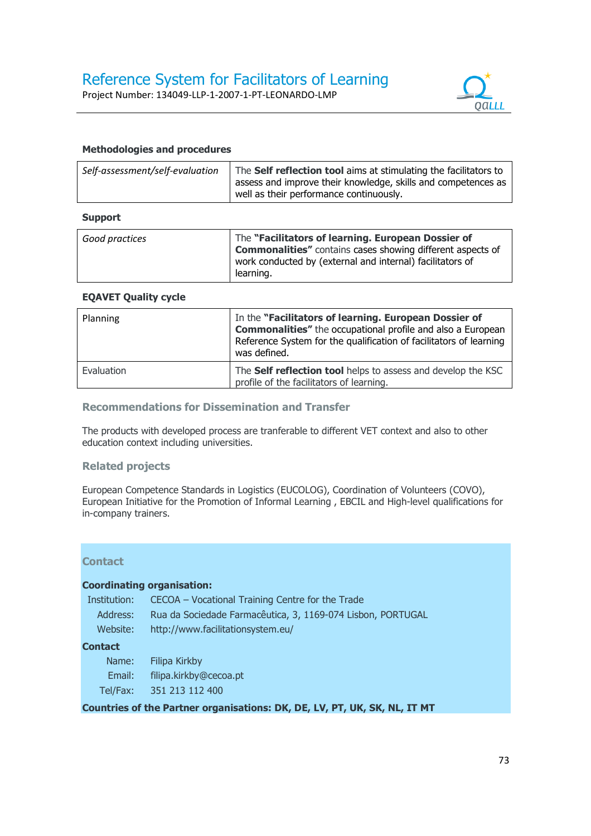

## **Methodologies and procedures**

| Self-assessment/self-evaluation | The Self reflection tool aims at stimulating the facilitators to<br>assess and improve their knowledge, skills and competences as<br>well as their performance continuously. |
|---------------------------------|------------------------------------------------------------------------------------------------------------------------------------------------------------------------------|
| <b>Support</b>                  |                                                                                                                                                                              |
| Good practices                  | The "Facilitators of learning. European Dossier of<br><b>Commonalities"</b> contains cases showing different aspects of                                                      |

learning.

work conducted by (external and internal) facilitators of

## **EQAVET Quality cycle**

| Planning   | In the "Facilitators of learning. European Dossier of<br><b>Commonalities"</b> the occupational profile and also a European<br>Reference System for the qualification of facilitators of learning<br>was defined. |
|------------|-------------------------------------------------------------------------------------------------------------------------------------------------------------------------------------------------------------------|
| Evaluation | The Self reflection tool helps to assess and develop the KSC<br>profile of the facilitators of learning.                                                                                                          |

## **Recommendations for Dissemination and Transfer**

The products with developed process are tranferable to different VET context and also to other education context including universities.

#### **Related projects**

European Competence Standards in Logistics (EUCOLOG), Coordination of Volunteers (COVO), European Initiative for the Promotion of Informal Learning , EBCIL and High-level qualifications for in-company trainers.

#### **Contact**

#### **Coordinating organisation:**

| Institution: | CECOA - Vocational Training Centre for the Trade            |
|--------------|-------------------------------------------------------------|
| Address:     | Rua da Sociedade Farmacêutica, 3, 1169-074 Lisbon, PORTUGAL |
| Website:     | http://www.facilitationsystem.eu/                           |
| Contact      |                                                             |
| Name:        | Filipa Kirkby                                               |
| Email:       | filipa.kirkby@cecoa.pt                                      |
| Tel/Fax:     | 351 213 112 400                                             |

**Countries of the Partner organisations: DK, DE, LV, PT, UK, SK, NL, IT MT**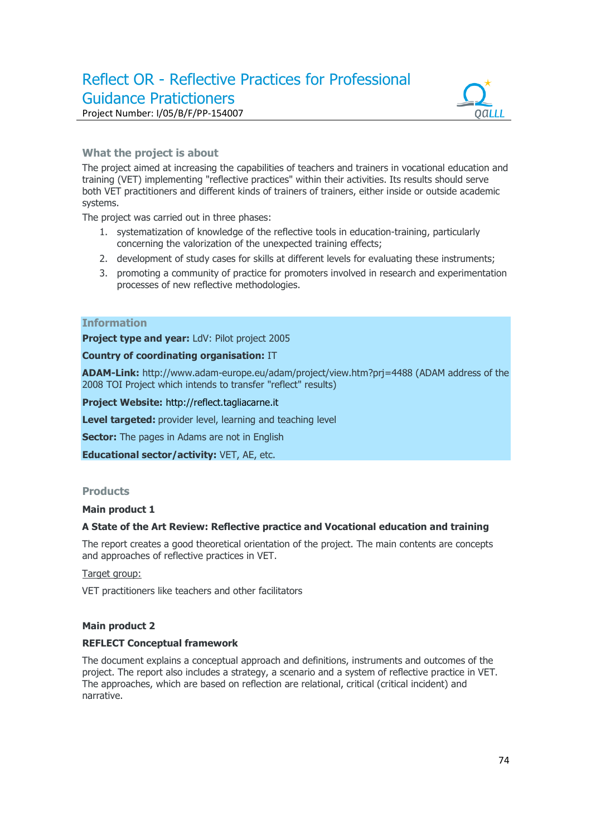# Reflect OR - Reflective Practices for Professional Guidance Pratictioners



Project Number: I/05/B/F/PP-154007

## **What the project is about**

The project aimed at increasing the capabilities of teachers and trainers in vocational education and training (VET) implementing "reflective practices" within their activities. Its results should serve both VET practitioners and different kinds of trainers of trainers, either inside or outside academic systems.

The project was carried out in three phases:

- 1. systematization of knowledge of the reflective tools in education-training, particularly concerning the valorization of the unexpected training effects;
- 2. development of study cases for skills at different levels for evaluating these instruments;
- 3. promoting a community of practice for promoters involved in research and experimentation processes of new reflective methodologies.

## **Information**

**Project type and year: LdV: Pilot project 2005** 

#### **Country of coordinating organisation:** IT

**ADAM-Link:** http://www.adam-europe.eu/adam/project/view.htm?prj=4488 (ADAM address of the 2008 TOI Project which intends to transfer "reflect" results)

**Project Website:** http://reflect.tagliacarne.it

**Level targeted:** provider level, learning and teaching level

**Sector:** The pages in Adams are not in English

**Educational sector/activity:** VET, AE, etc.

## **Products**

## **Main product 1**

## **A State of the Art Review: Reflective practice and Vocational education and training**

The report creates a good theoretical orientation of the project. The main contents are concepts and approaches of reflective practices in VET.

Target group:

VET practitioners like teachers and other facilitators

## **Main product 2**

## **REFLECT Conceptual framework**

The document explains a conceptual approach and definitions, instruments and outcomes of the project. The report also includes a strategy, a scenario and a system of reflective practice in VET. The approaches, which are based on reflection are relational, critical (critical incident) and narrative.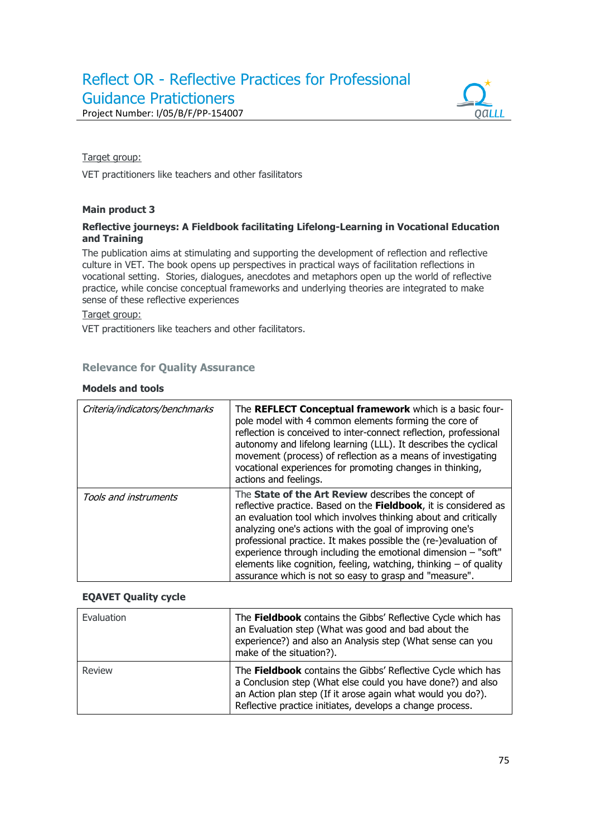# Reflect OR - Reflective Practices for Professional Guidance Pratictioners



## Target group:

VET practitioners like teachers and other fasilitators

## **Main product 3**

#### **Reflective journeys: A Fieldbook facilitating Lifelong-Learning in Vocational Education and Training**

The publication aims at stimulating and supporting the development of reflection and reflective culture in VET. The book opens up perspectives in practical ways of facilitation reflections in vocational setting. Stories, dialogues, anecdotes and metaphors open up the world of reflective practice, while concise conceptual frameworks and underlying theories are integrated to make sense of these reflective experiences

## Target group:

VET practitioners like teachers and other facilitators.

## **Relevance for Quality Assurance**

#### **Models and tools**

| Criteria/indicators/benchmarks | The REFLECT Conceptual framework which is a basic four-<br>pole model with 4 common elements forming the core of<br>reflection is conceived to inter-connect reflection, professional<br>autonomy and lifelong learning (LLL). It describes the cyclical<br>movement (process) of reflection as a means of investigating<br>vocational experiences for promoting changes in thinking,                                                                                                                                        |
|--------------------------------|------------------------------------------------------------------------------------------------------------------------------------------------------------------------------------------------------------------------------------------------------------------------------------------------------------------------------------------------------------------------------------------------------------------------------------------------------------------------------------------------------------------------------|
|                                | actions and feelings.                                                                                                                                                                                                                                                                                                                                                                                                                                                                                                        |
| Tools and instruments          | The State of the Art Review describes the concept of<br>reflective practice. Based on the Fieldbook, it is considered as<br>an evaluation tool which involves thinking about and critically<br>analyzing one's actions with the goal of improving one's<br>professional practice. It makes possible the (re-)evaluation of<br>experience through including the emotional dimension - "soft"<br>elements like cognition, feeling, watching, thinking $-$ of quality<br>assurance which is not so easy to grasp and "measure". |

## **EQAVET Quality cycle**

| Evaluation | The Fieldbook contains the Gibbs' Reflective Cycle which has<br>an Evaluation step (What was good and bad about the<br>experience?) and also an Analysis step (What sense can you<br>make of the situation?).                                           |
|------------|---------------------------------------------------------------------------------------------------------------------------------------------------------------------------------------------------------------------------------------------------------|
| Review     | The Fieldbook contains the Gibbs' Reflective Cycle which has<br>a Conclusion step (What else could you have done?) and also<br>an Action plan step (If it arose again what would you do?).<br>Reflective practice initiates, develops a change process. |

**OGLLL**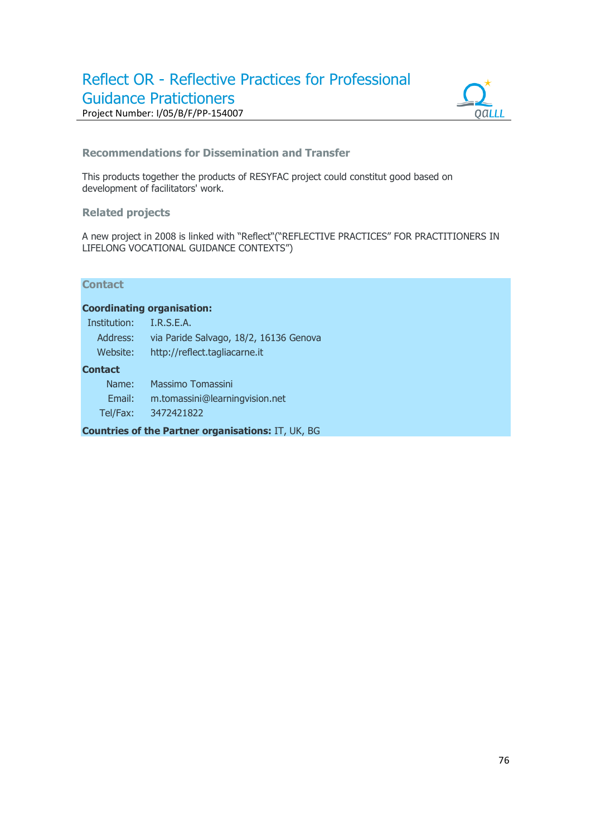## Reflect OR - Reflective Practices for Professional Guidance Pratictioners Project Number: I/05/B/F/PP-154007



## **Recommendations for Dissemination and Transfer**

This products together the products of RESYFAC project could constitut good based on development of facilitators' work.

## **Related projects**

A new project in 2008 is linked with "Reflect"("REFLECTIVE PRACTICES" FOR PRACTITIONERS IN LIFELONG VOCATIONAL GUIDANCE CONTEXTS")

## **Contact**

#### **Coordinating organisation:**

Institution: I.R.S.E.A.

 Address: via Paride Salvago, 18/2, 16136 Genova Website: http://reflect.tagliacarne.it

#### **Contact**

 Name: Massimo Tomassini Email: m.tomassini@learningvision.net Tel/Fax: 3472421822

**Countries of the Partner organisations:** IT, UK, BG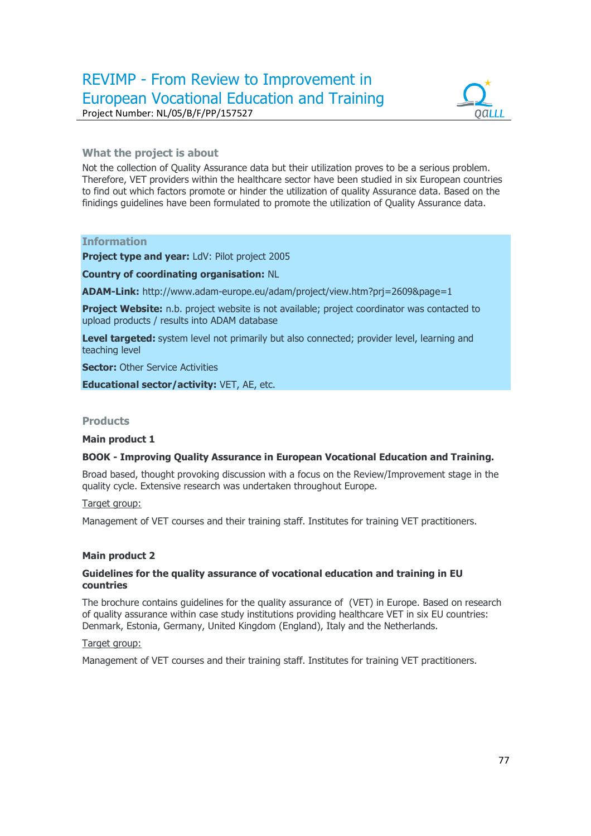## REVIMP - From Review to Improvement in European Vocational Education and Training Project Number: NL/05/B/F/PP/157527



## **What the project is about**

Not the collection of Quality Assurance data but their utilization proves to be a serious problem. Therefore, VET providers within the healthcare sector have been studied in six European countries to find out which factors promote or hinder the utilization of quality Assurance data. Based on the finidings guidelines have been formulated to promote the utilization of Quality Assurance data.

## **Information**

**Project type and year:** LdV: Pilot project 2005

## **Country of coordinating organisation:** NL

**ADAM-Link:** http://www.adam-europe.eu/adam/project/view.htm?prj=2609&page=1

**Project Website:** n.b. project website is not available; project coordinator was contacted to upload products / results into ADAM database

Level targeted: system level not primarily but also connected; provider level, learning and teaching level

**Sector: Other Service Activities** 

**Educational sector/activity:** VET, AE, etc.

#### **Products**

#### **Main product 1**

## **BOOK - Improving Quality Assurance in European Vocational Education and Training.**

Broad based, thought provoking discussion with a focus on the Review/Improvement stage in the quality cycle. Extensive research was undertaken throughout Europe.

#### Target group:

Management of VET courses and their training staff. Institutes for training VET practitioners.

## **Main product 2**

#### **Guidelines for the quality assurance of vocational education and training in EU countries**

The brochure contains guidelines for the quality assurance of (VET) in Europe. Based on research of quality assurance within case study institutions providing healthcare VET in six EU countries: Denmark, Estonia, Germany, United Kingdom (England), Italy and the Netherlands.

#### Target group:

Management of VET courses and their training staff. Institutes for training VET practitioners.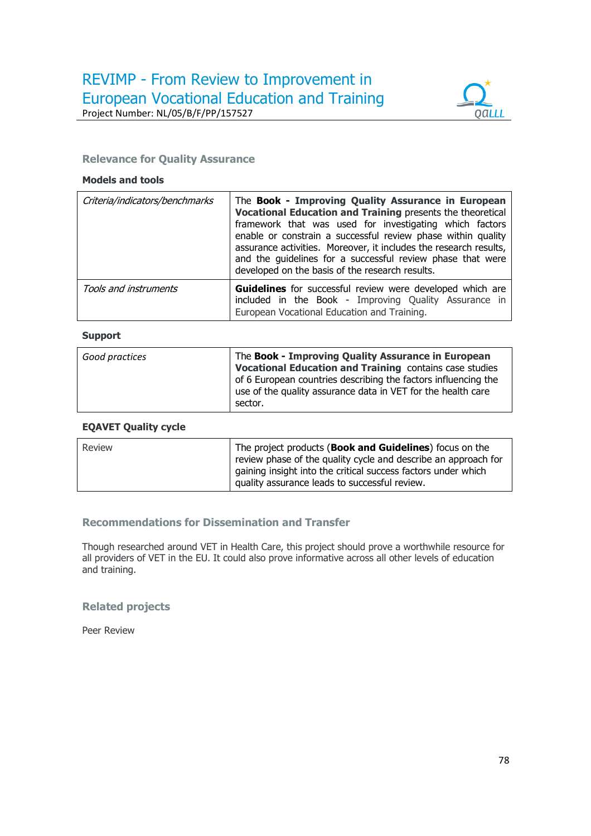

## **Relevance for Quality Assurance**

## **Models and tools**

| Criteria/indicators/benchmarks | The Book - Improving Quality Assurance in European<br>Vocational Education and Training presents the theoretical<br>framework that was used for investigating which factors<br>enable or constrain a successful review phase within quality<br>assurance activities. Moreover, it includes the research results,<br>and the quidelines for a successful review phase that were<br>developed on the basis of the research results. |
|--------------------------------|-----------------------------------------------------------------------------------------------------------------------------------------------------------------------------------------------------------------------------------------------------------------------------------------------------------------------------------------------------------------------------------------------------------------------------------|
| Tools and instruments          | <b>Guidelines</b> for successful review were developed which are<br>included in the Book - Improving Quality Assurance in<br>European Vocational Education and Training.                                                                                                                                                                                                                                                          |

#### **Support**

| use of the quality assurance data in VET for the health care<br>sector. | Good practices | The Book - Improving Quality Assurance in European<br>Vocational Education and Training contains case studies<br>of 6 European countries describing the factors influencing the |
|-------------------------------------------------------------------------|----------------|---------------------------------------------------------------------------------------------------------------------------------------------------------------------------------|
|-------------------------------------------------------------------------|----------------|---------------------------------------------------------------------------------------------------------------------------------------------------------------------------------|

#### **EQAVET Quality cycle**

|  | Review | The project products (Book and Guidelines) focus on the<br>review phase of the quality cycle and describe an approach for<br>gaining insight into the critical success factors under which<br>quality assurance leads to successful review. |
|--|--------|---------------------------------------------------------------------------------------------------------------------------------------------------------------------------------------------------------------------------------------------|
|--|--------|---------------------------------------------------------------------------------------------------------------------------------------------------------------------------------------------------------------------------------------------|

## **Recommendations for Dissemination and Transfer**

Though researched around VET in Health Care, this project should prove a worthwhile resource for all providers of VET in the EU. It could also prove informative across all other levels of education and training.

## **Related projects**

Peer Review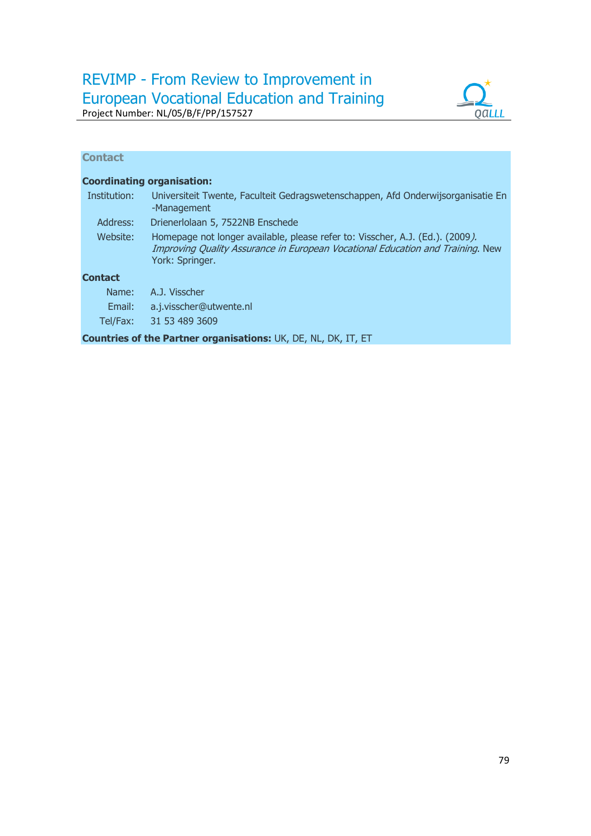

## **Contact**

|              | <b>Coordinating organisation:</b>                                                                                                                                                  |
|--------------|------------------------------------------------------------------------------------------------------------------------------------------------------------------------------------|
| Institution: | Universiteit Twente, Faculteit Gedragswetenschappen, Afd Onderwijsorganisatie En<br>-Management                                                                                    |
| Address:     | Drienerlolaan 5, 7522NB Enschede                                                                                                                                                   |
| Website:     | Homepage not longer available, please refer to: Visscher, A.J. (Ed.). (2009).<br>Improving Quality Assurance in European Vocational Education and Training. New<br>York: Springer. |
| Contact      |                                                                                                                                                                                    |
| Name:        | A.J. Visscher                                                                                                                                                                      |
| Email:       | a.j.visscher@utwente.nl                                                                                                                                                            |
| Tel/Fax:     | 31 53 489 3609                                                                                                                                                                     |

**Countries of the Partner organisations:** UK, DE, NL, DK, IT, ET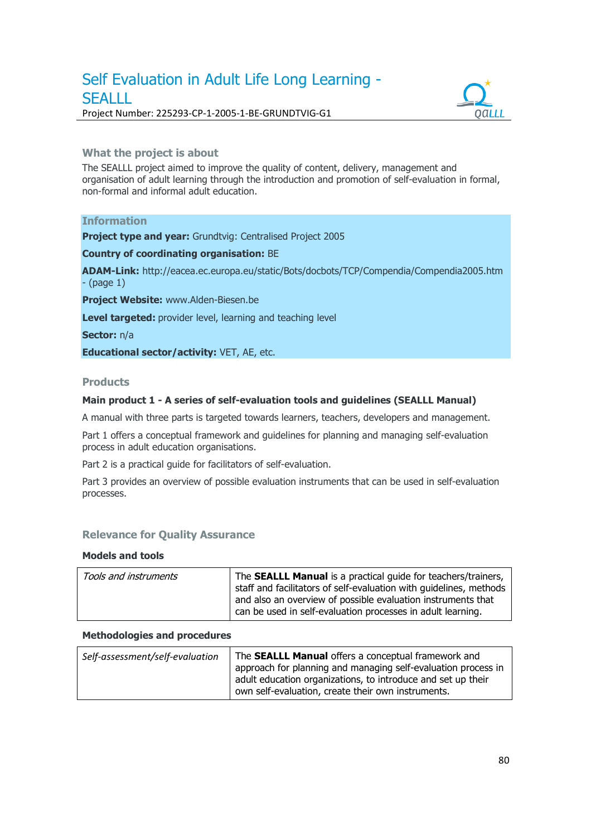## Self Evaluation in Adult Life Long Learning - **SEALLL** Project Number: 225293-CP-1-2005-1-BE-GRUNDTVIG-G1



## **What the project is about**

The SEALLL project aimed to improve the quality of content, delivery, management and organisation of adult learning through the introduction and promotion of self-evaluation in formal, non-formal and informal adult education.

## **Information**

**Project type and year:** Grundtvig: Centralised Project 2005

#### **Country of coordinating organisation:** BE

**ADAM-Link:** http://eacea.ec.europa.eu/static/Bots/docbots/TCP/Compendia/Compendia2005.htm - (page 1)

**Project Website:** www.Alden-Biesen.be

**Level targeted:** provider level, learning and teaching level

**Sector:** n/a

**Educational sector/activity:** VET, AE, etc.

#### **Products**

## **Main product 1 - A series of self-evaluation tools and guidelines (SEALLL Manual)**

A manual with three parts is targeted towards learners, teachers, developers and management.

Part 1 offers a conceptual framework and guidelines for planning and managing self-evaluation process in adult education organisations.

Part 2 is a practical guide for facilitators of self-evaluation.

Part 3 provides an overview of possible evaluation instruments that can be used in self-evaluation processes.

## **Relevance for Quality Assurance**

#### **Models and tools**

| Tools and instruments | The <b>SEALLL Manual</b> is a practical quide for teachers/trainers,<br>staff and facilitators of self-evaluation with guidelines, methods<br>and also an overview of possible evaluation instruments that |
|-----------------------|------------------------------------------------------------------------------------------------------------------------------------------------------------------------------------------------------------|
|                       | can be used in self-evaluation processes in adult learning.                                                                                                                                                |

#### **Methodologies and procedures**

| Self-assessment/self-evaluation | The SEALLL Manual offers a conceptual framework and<br>approach for planning and managing self-evaluation process in<br>adult education organizations, to introduce and set up their<br>own self-evaluation, create their own instruments. |
|---------------------------------|--------------------------------------------------------------------------------------------------------------------------------------------------------------------------------------------------------------------------------------------|
|                                 |                                                                                                                                                                                                                                            |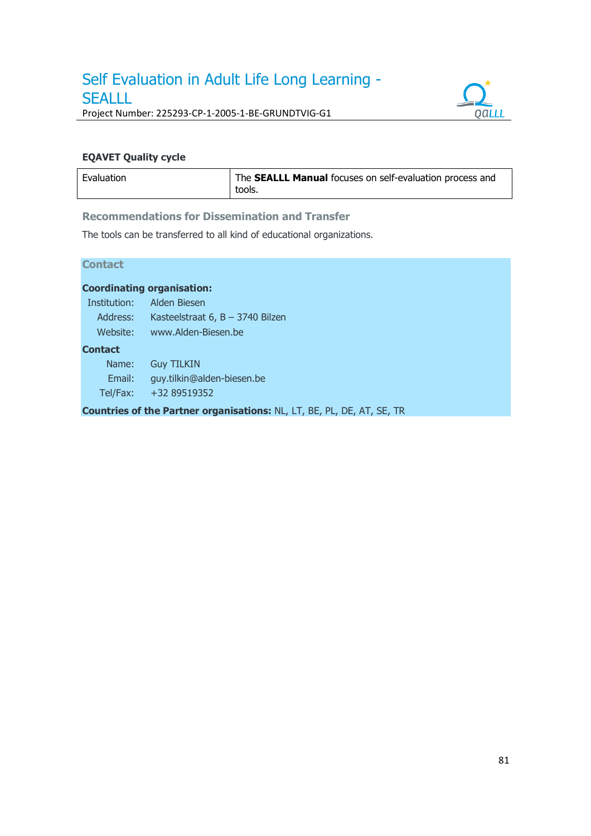

## **EQAVET Quality cycle**

| Evaluation | The SEALLL Manual focuses on self-evaluation process and<br>tools. |
|------------|--------------------------------------------------------------------|
|            |                                                                    |

## **Recommendations for Dissemination and Transfer**

The tools can be transferred to all kind of educational organizations.

## **Contact**

## **Coordinating organisation:**

| Institution:   | Alden Biesen                       |
|----------------|------------------------------------|
| Address:       | Kasteelstraat $6, B - 3740$ Bilzen |
| Website:       | www.Alden-Biesen.be                |
|                |                                    |
| <b>Contact</b> |                                    |
| Name:          | <b>Guy TILKIN</b>                  |

Tel/Fax: +32 89519352

**Countries of the Partner organisations:** NL, LT, BE, PL, DE, AT, SE, TR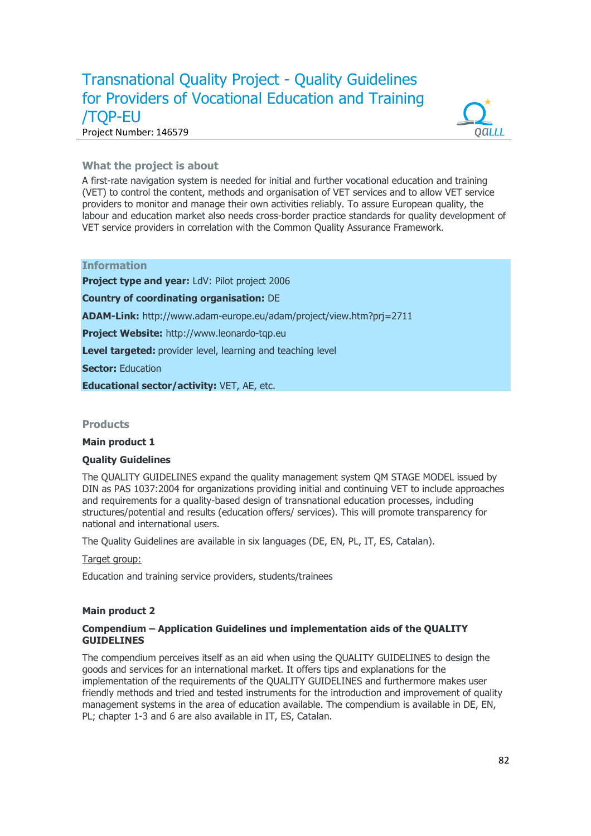## Transnational Quality Project - Quality Guidelines for Providers of Vocational Education and Training /TQP-EU Project Number: 146579



## **What the project is about**

A first-rate navigation system is needed for initial and further vocational education and training (VET) to control the content, methods and organisation of VET services and to allow VET service providers to monitor and manage their own activities reliably. To assure European quality, the labour and education market also needs cross-border practice standards for quality development of VET service providers in correlation with the Common Quality Assurance Framework.

## **Information**

**Project type and year: LdV: Pilot project 2006** 

**Country of coordinating organisation:** DE

**ADAM-Link:** http://www.adam-europe.eu/adam/project/view.htm?prj=2711

**Project Website:** http://www.leonardo-tqp.eu

**Level targeted:** provider level, learning and teaching level

**Sector: Education** 

**Educational sector/activity:** VET, AE, etc.

#### **Products**

#### **Main product 1**

## **Quality Guidelines**

The QUALITY GUIDELINES expand the quality management system QM STAGE MODEL issued by DIN as PAS 1037:2004 for organizations providing initial and continuing VET to include approaches and requirements for a quality-based design of transnational education processes, including structures/potential and results (education offers/ services). This will promote transparency for national and international users.

The Quality Guidelines are available in six languages (DE, EN, PL, IT, ES, Catalan).

#### Target group:

Education and training service providers, students/trainees

## **Main product 2**

#### **Compendium – Application Guidelines und implementation aids of the QUALITY GUIDELINES**

The compendium perceives itself as an aid when using the QUALITY GUIDELINES to design the goods and services for an international market. It offers tips and explanations for the implementation of the requirements of the QUALITY GUIDELINES and furthermore makes user friendly methods and tried and tested instruments for the introduction and improvement of quality management systems in the area of education available. The compendium is available in DE, EN, PL; chapter 1-3 and 6 are also available in IT, ES, Catalan.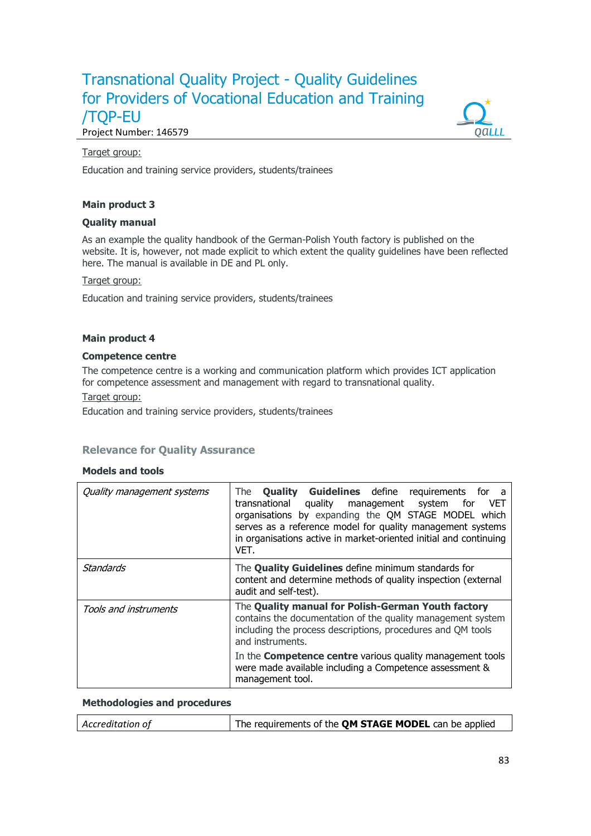## Transnational Quality Project - Quality Guidelines for Providers of Vocational Education and Training /TQP-EU Project Number: 146579



Education and training service providers, students/trainees

## **Main product 3**

## **Quality manual**

As an example the quality handbook of the German-Polish Youth factory is published on the website. It is, however, not made explicit to which extent the quality guidelines have been reflected here. The manual is available in DE and PL only.

#### Target group:

Education and training service providers, students/trainees

#### **Main product 4**

#### **Competence centre**

The competence centre is a working and communication platform which provides ICT application for competence assessment and management with regard to transnational quality.

#### Target group:

Education and training service providers, students/trainees

## **Relevance for Quality Assurance**

#### **Models and tools**

| Quality management systems | <b>Quality Guidelines</b> define requirements for a<br>The<br>transnational quality management system for<br>VET<br>organisations by expanding the QM STAGE MODEL which<br>serves as a reference model for quality management systems<br>in organisations active in market-oriented initial and continuing<br>VFT. |
|----------------------------|--------------------------------------------------------------------------------------------------------------------------------------------------------------------------------------------------------------------------------------------------------------------------------------------------------------------|
| Standards                  | The <b>Quality Guidelines</b> define minimum standards for<br>content and determine methods of quality inspection (external<br>audit and self-test).                                                                                                                                                               |
| Tools and instruments      | The Quality manual for Polish-German Youth factory<br>contains the documentation of the quality management system<br>including the process descriptions, procedures and QM tools<br>and instruments.                                                                                                               |
|                            | In the <b>Competence centre</b> various quality management tools<br>were made available including a Competence assessment &<br>management tool.                                                                                                                                                                    |

#### **Methodologies and procedures**

| The requirements of the QM STAGE MODEL can be applied<br>Accreditation of |
|---------------------------------------------------------------------------|
|---------------------------------------------------------------------------|

oallL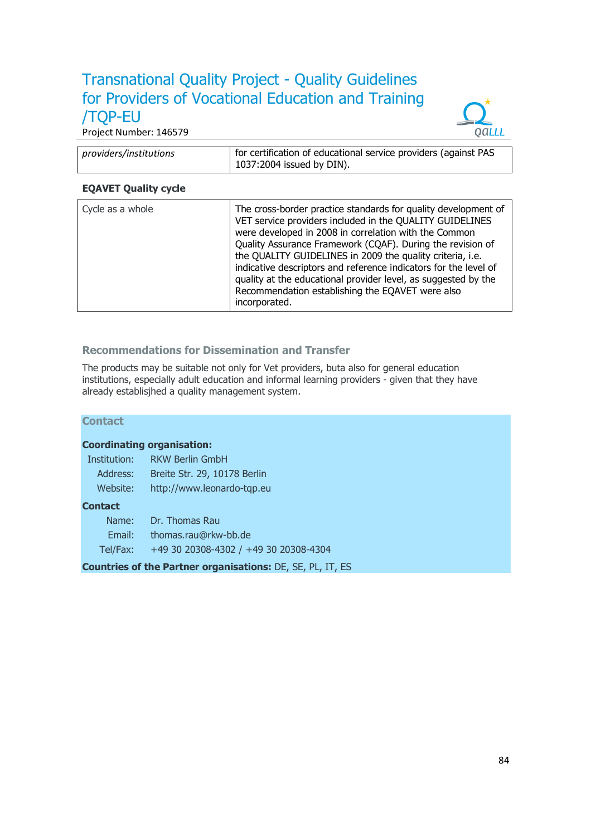## Transnational Quality Project - Quality Guidelines for Providers of Vocational Education and Training /TQP-EU Project Number: 146579



| providers/institutions | for certification of educational service providers (against PAS |
|------------------------|-----------------------------------------------------------------|
|                        | 1037:2004 issued by DIN).                                       |

## **EQAVET Quality cycle**

| Cycle as a whole<br>The cross-border practice standards for quality development of<br>VET service providers included in the QUALITY GUIDELINES<br>were developed in 2008 in correlation with the Common<br>Quality Assurance Framework (CQAF). During the revision of<br>the QUALITY GUIDELINES in 2009 the quality criteria, i.e.<br>indicative descriptors and reference indicators for the level of<br>quality at the educational provider level, as suggested by the<br>Recommendation establishing the EQAVET were also<br>incorporated. |
|-----------------------------------------------------------------------------------------------------------------------------------------------------------------------------------------------------------------------------------------------------------------------------------------------------------------------------------------------------------------------------------------------------------------------------------------------------------------------------------------------------------------------------------------------|
|-----------------------------------------------------------------------------------------------------------------------------------------------------------------------------------------------------------------------------------------------------------------------------------------------------------------------------------------------------------------------------------------------------------------------------------------------------------------------------------------------------------------------------------------------|

## **Recommendations for Dissemination and Transfer**

The products may be suitable not only for Vet providers, buta also for general education institutions, especially adult education and informal learning providers - given that they have already establisjhed a quality management system.

## **Contact**

## **Coordinating organisation:**

| Institution: | <b>RKW Berlin GmbH</b>                |
|--------------|---------------------------------------|
| Address:     | Breite Str. 29, 10178 Berlin          |
| Website:     | http://www.leonardo-tqp.eu            |
| Contact      |                                       |
| Name:        | Dr. Thomas Rau                        |
| Email:       | thomas.rau@rkw-bb.de                  |
| Tel/Fax:     | +49 30 20308-4302 / +49 30 20308-4304 |
|              |                                       |

**Countries of the Partner organisations:** DE, SE, PL, IT, ES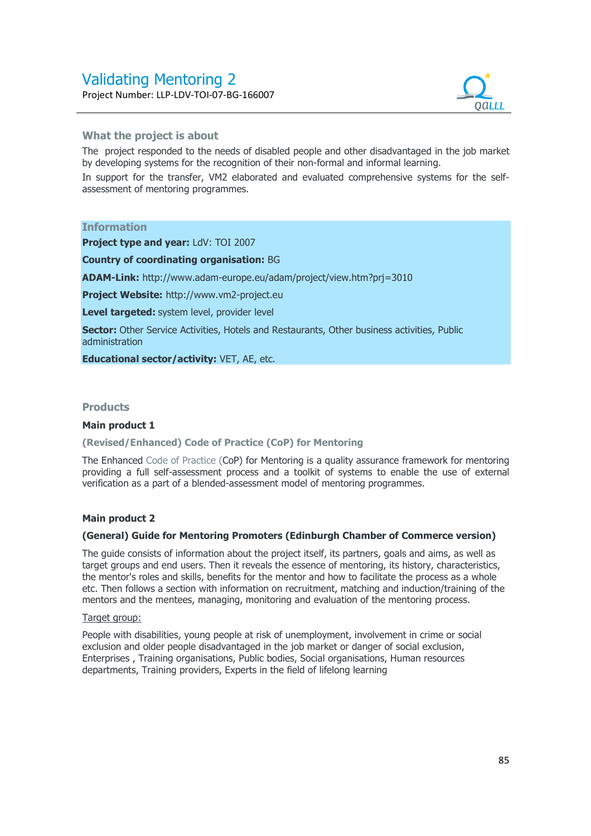## Validating Mentoring 2 Project Number: LLP-LDV-TOI-07-BG-166007



## **What the project is about**

The project responded to the needs of disabled people and other disadvantaged in the job market by developing systems for the recognition of their non-formal and informal learning.

In support for the transfer, VM2 elaborated and evaluated comprehensive systems for the selfassessment of mentoring programmes.

## **Information**

**Project type and year:** LdV: TOI 2007

**Country of coordinating organisation:** BG

**ADAM-Link:** http://www.adam-europe.eu/adam/project/view.htm?prj=3010

**Project Website:** http://www.vm2-project.eu

**Level targeted:** system level, provider level

**Sector:** Other Service Activities, Hotels and Restaurants, Other business activities, Public administration

**Educational sector/activity:** VET, AE, etc.

#### **Products**

#### **Main product 1**

**(Revised/Enhanced) Code of Practice (CoP) for Mentoring**

The Enhanced Code of Practice (CoP) for Mentoring is a quality assurance framework for mentoring providing a full self-assessment process and a toolkit of systems to enable the use of external verification as a part of a blended-assessment model of mentoring programmes.

## **Main product 2**

#### **(General) Guide for Mentoring Promoters (Edinburgh Chamber of Commerce version)**

The guide consists of information about the project itself, its partners, goals and aims, as well as target groups and end users. Then it reveals the essence of mentoring, its history, characteristics, the mentor's roles and skills, benefits for the mentor and how to facilitate the process as a whole etc. Then follows a section with information on recruitment, matching and induction/training of the mentors and the mentees, managing, monitoring and evaluation of the mentoring process.

#### Target group:

People with disabilities, young people at risk of unemployment, involvement in crime or social exclusion and older people disadvantaged in the job market or danger of social exclusion, Enterprises , Training organisations, Public bodies, Social organisations, Human resources departments, Training providers, Experts in the field of lifelong learning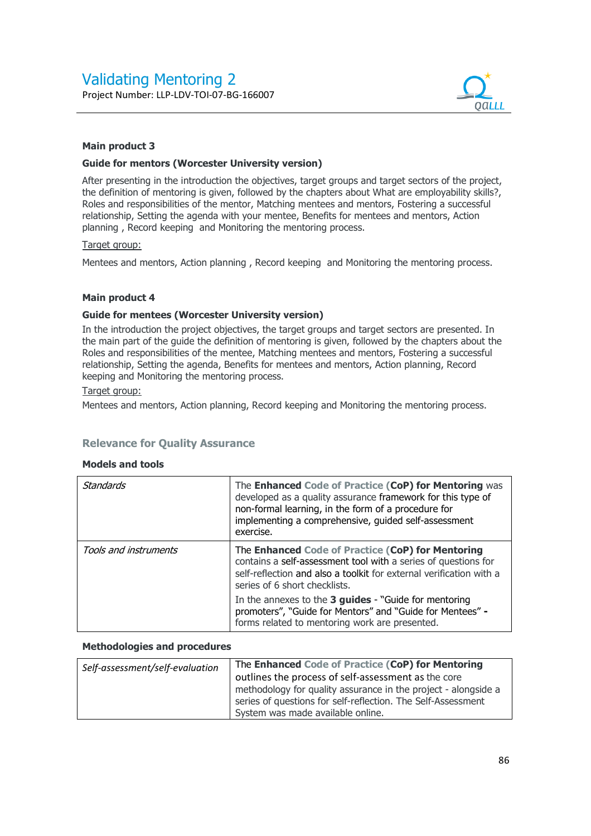

#### **Main product 3**

#### **Guide for mentors (Worcester University version)**

After presenting in the introduction the objectives, target groups and target sectors of the project, the definition of mentoring is given, followed by the chapters about What are employability skills?, Roles and responsibilities of the mentor, Matching mentees and mentors, Fostering a successful relationship, Setting the agenda with your mentee, Benefits for mentees and mentors, Action planning , Record keeping and Monitoring the mentoring process.

#### Target group:

Mentees and mentors, Action planning , Record keeping and Monitoring the mentoring process.

#### **Main product 4**

#### **Guide for mentees (Worcester University version)**

In the introduction the project objectives, the target groups and target sectors are presented. In the main part of the guide the definition of mentoring is given, followed by the chapters about the Roles and responsibilities of the mentee, Matching mentees and mentors, Fostering a successful relationship, Setting the agenda, Benefits for mentees and mentors, Action planning, Record keeping and Monitoring the mentoring process.

#### Target group:

Mentees and mentors, Action planning, Record keeping and Monitoring the mentoring process.

#### **Relevance for Quality Assurance**

#### **Models and tools**

| Standards             | The Enhanced Code of Practice (CoP) for Mentoring was<br>developed as a quality assurance framework for this type of<br>non-formal learning, in the form of a procedure for<br>implementing a comprehensive, quided self-assessment<br>exercise. |
|-----------------------|--------------------------------------------------------------------------------------------------------------------------------------------------------------------------------------------------------------------------------------------------|
| Tools and instruments | The Enhanced Code of Practice (CoP) for Mentoring<br>contains a self-assessment tool with a series of questions for<br>self-reflection and also a toolkit for external verification with a<br>series of 6 short checklists.                      |
|                       | In the annexes to the 3 guides - "Guide for mentoring<br>promoters", "Guide for Mentors" and "Guide for Mentees" -<br>forms related to mentoring work are presented.                                                                             |

#### **Methodologies and procedures**

| Self-assessment/self-evaluation | The Enhanced Code of Practice (CoP) for Mentoring                                                                              |
|---------------------------------|--------------------------------------------------------------------------------------------------------------------------------|
|                                 | outlines the process of self-assessment as the core                                                                            |
|                                 | methodology for quality assurance in the project - alongside a<br>series of questions for self-reflection. The Self-Assessment |
|                                 | System was made available online.                                                                                              |